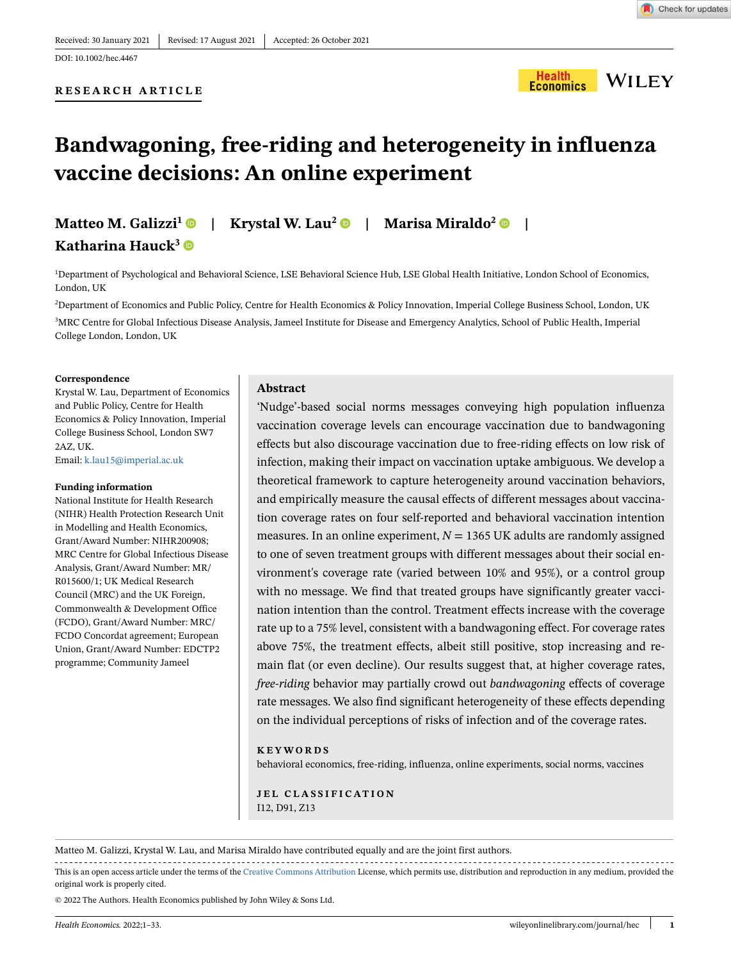#### **RESEARCH ARTICLE**



# **Bandwagoning, free-riding and heterogeneity in influenza vaccine decisions: An online experiment**

# **Matteo M. Galizzi1 | Krystal W. Lau<sup>2</sup> | Marisa Miraldo2 | Katharina Hauck<sup>3</sup>**

1 Department of Psychological and Behavioral Science, LSE Behavioral Science Hub, LSE Global Health Initiative, London School of Economics, London, UK

2 Department of Economics and Public Policy, Centre for Health Economics & Policy Innovation, Imperial College Business School, London, UK 3 MRC Centre for Global Infectious Disease Analysis, Jameel Institute for Disease and Emergency Analytics, School of Public Health, Imperial College London, London, UK

#### **Correspondence**

Krystal W. Lau, Department of Economics and Public Policy, Centre for Health Economics & Policy Innovation, Imperial College Business School, London SW7 2AZ, UK. Email: k.lau15@imperial.ac.uk

#### **Funding information**

National Institute for Health Research (NIHR) Health Protection Research Unit in Modelling and Health Economics, Grant/Award Number: NIHR200908; MRC Centre for Global Infectious Disease Analysis, Grant/Award Number: MR/ R015600/1; UK Medical Research Council (MRC) and the UK Foreign, Commonwealth & Development Office (FCDO), Grant/Award Number: MRC/ FCDO Concordat agreement; European Union, Grant/Award Number: EDCTP2 programme; Community Jameel

#### **Abstract**

'Nudge'-based social norms messages conveying high population influenza vaccination coverage levels can encourage vaccination due to bandwagoning effects but also discourage vaccination due to free-riding effects on low risk of infection, making their impact on vaccination uptake ambiguous. We develop a theoretical framework to capture heterogeneity around vaccination behaviors, and empirically measure the causal effects of different messages about vaccination coverage rates on four self-reported and behavioral vaccination intention measures. In an online experiment,  $N = 1365$  UK adults are randomly assigned to one of seven treatment groups with different messages about their social environment's coverage rate (varied between 10% and 95%), or a control group with no message. We find that treated groups have significantly greater vaccination intention than the control. Treatment effects increase with the coverage rate up to a 75% level, consistent with a bandwagoning effect. For coverage rates above 75%, the treatment effects, albeit still positive, stop increasing and remain flat (or even decline). Our results suggest that, at higher coverage rates, *free-riding* behavior may partially crowd out *bandwagoning* effects of coverage rate messages. We also find significant heterogeneity of these effects depending on the individual perceptions of risks of infection and of the coverage rates.

#### **KEYWORDS**

behavioral economics, free-riding, influenza, online experiments, social norms, vaccines

**JEL CLASSIFICATION** I12, D91, Z13

Matteo M. Galizzi, Krystal W. Lau, and Marisa Miraldo have contributed equally and are the joint first authors.

This is an open access article under the terms of the [Creative Commons Attribution](http://creativecommons.org/licenses/by/4.0/) License, which permits use, distribution and reproduction in any medium, provided the original work is properly cited.

© 2022 The Authors. Health Economics published by John Wiley & Sons Ltd.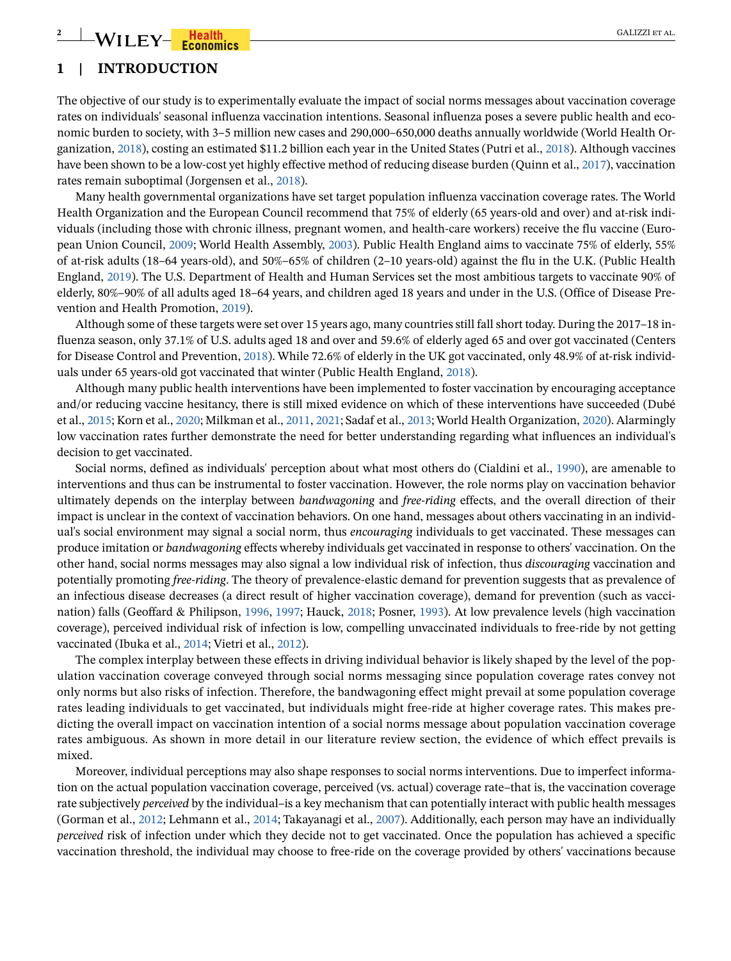# **2** WILEY-Realth GALIZZI ET AL.

# **1 | INTRODUCTION**

The objective of our study is to experimentally evaluate the impact of social norms messages about vaccination coverage rates on individuals' seasonal influenza vaccination intentions. Seasonal influenza poses a severe public health and economic burden to society, with 3–5 million new cases and 290,000–650,000 deaths annually worldwide (World Health Organization, [2018\)](#page-32-0), costing an estimated \$11.2 billion each year in the United States (Putri et al., [2018](#page-31-0)). Although vaccines have been shown to be a low-cost yet highly effective method of reducing disease burden (Quinn et al., [2017\)](#page-31-1), vaccination rates remain suboptimal (Jorgensen et al., [2018\)](#page-30-0).

Many health governmental organizations have set target population influenza vaccination coverage rates. The World Health Organization and the European Council recommend that 75% of elderly (65 years-old and over) and at-risk individuals (including those with chronic illness, pregnant women, and health-care workers) receive the flu vaccine (European Union Council, [2009](#page-30-1); World Health Assembly, [2003](#page-31-2)). Public Health England aims to vaccinate 75% of elderly, 55% of at-risk adults (18–64 years-old), and 50%–65% of children (2–10 years-old) against the flu in the U.K. (Public Health England, [2019](#page-31-3)). The U.S. Department of Health and Human Services set the most ambitious targets to vaccinate 90% of elderly, 80%–90% of all adults aged 18–64 years, and children aged 18 years and under in the U.S. (Office of Disease Prevention and Health Promotion, [2019](#page-31-4)).

Although some of these targets were set over 15 years ago, many countries still fall short today. During the 2017–18 influenza season, only 37.1% of U.S. adults aged 18 and over and 59.6% of elderly aged 65 and over got vaccinated (Centers for Disease Control and Prevention, [2018](#page-30-2)). While 72.6% of elderly in the UK got vaccinated, only 48.9% of at-risk individuals under 65 years-old got vaccinated that winter (Public Health England, [2018](#page-31-5)).

Although many public health interventions have been implemented to foster vaccination by encouraging acceptance and/or reducing vaccine hesitancy, there is still mixed evidence on which of these interventions have succeeded (Dubé et al., [2015;](#page-30-3) Korn et al., [2020](#page-30-4); Milkman et al., [2011,](#page-31-6) [2021](#page-31-7); Sadaf et al., [2013;](#page-31-8) World Health Organization, [2020](#page-32-1)). Alarmingly low vaccination rates further demonstrate the need for better understanding regarding what influences an individual's decision to get vaccinated.

Social norms, defined as individuals' perception about what most others do (Cialdini et al., [1990](#page-30-5)), are amenable to interventions and thus can be instrumental to foster vaccination. However, the role norms play on vaccination behavior ultimately depends on the interplay between *bandwagoning* and *free-riding* effects, and the overall direction of their impact is unclear in the context of vaccination behaviors. On one hand, messages about others vaccinating in an individual's social environment may signal a social norm, thus *encouraging* individuals to get vaccinated. These messages can produce imitation or *bandwagoning* effects whereby individuals get vaccinated in response to others' vaccination. On the other hand, social norms messages may also signal a low individual risk of infection, thus *discouraging* vaccination and potentially promoting *free-riding*. The theory of prevalence-elastic demand for prevention suggests that as prevalence of an infectious disease decreases (a direct result of higher vaccination coverage), demand for prevention (such as vaccination) falls (Geoffard & Philipson, [1996](#page-30-6), [1997](#page-30-7); Hauck, [2018](#page-30-8); Posner, [1993\)](#page-31-9). At low prevalence levels (high vaccination coverage), perceived individual risk of infection is low, compelling unvaccinated individuals to free-ride by not getting vaccinated (Ibuka et al., [2014](#page-30-9); Vietri et al., [2012\)](#page-31-10).

The complex interplay between these effects in driving individual behavior is likely shaped by the level of the population vaccination coverage conveyed through social norms messaging since population coverage rates convey not only norms but also risks of infection. Therefore, the bandwagoning effect might prevail at some population coverage rates leading individuals to get vaccinated, but individuals might free-ride at higher coverage rates. This makes predicting the overall impact on vaccination intention of a social norms message about population vaccination coverage rates ambiguous. As shown in more detail in our literature review section, the evidence of which effect prevails is mixed.

Moreover, individual perceptions may also shape responses to social norms interventions. Due to imperfect information on the actual population vaccination coverage, perceived (vs. actual) coverage rate–that is, the vaccination coverage rate subjectively *perceived* by the individual–is a key mechanism that can potentially interact with public health messages (Gorman et al., [2012;](#page-30-10) Lehmann et al., [2014](#page-30-11); Takayanagi et al., [2007](#page-31-11)). Additionally, each person may have an individually *perceived* risk of infection under which they decide not to get vaccinated. Once the population has achieved a specific vaccination threshold, the individual may choose to free-ride on the coverage provided by others' vaccinations because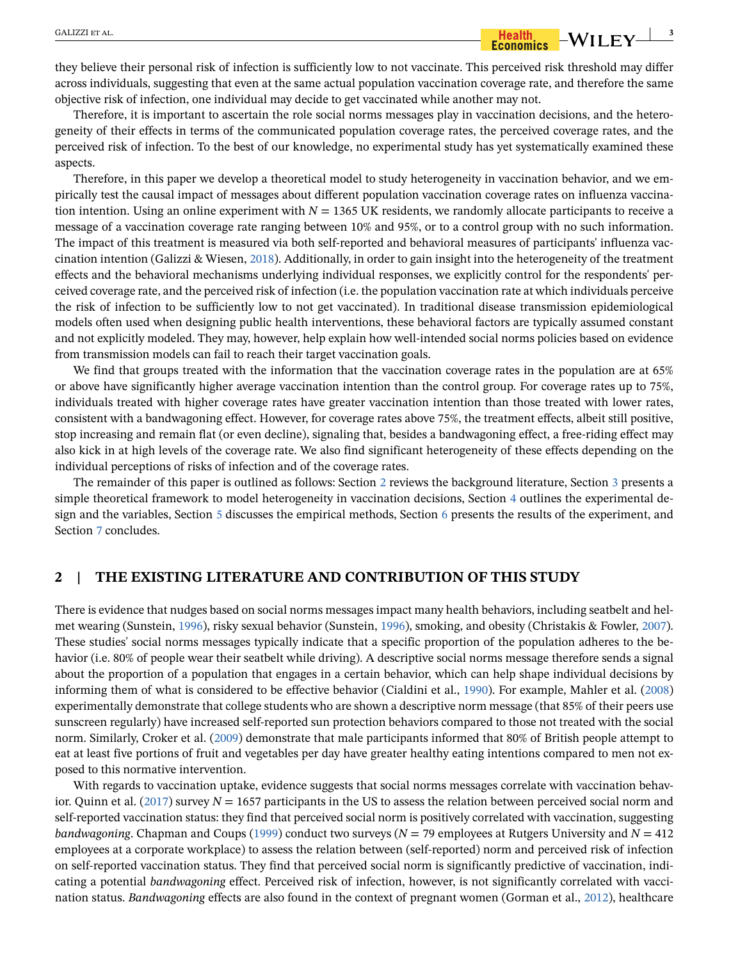they believe their personal risk of infection is sufficiently low to not vaccinate. This perceived risk threshold may differ across individuals, suggesting that even at the same actual population vaccination coverage rate, and therefore the same objective risk of infection, one individual may decide to get vaccinated while another may not.

Therefore, it is important to ascertain the role social norms messages play in vaccination decisions, and the heterogeneity of their effects in terms of the communicated population coverage rates, the perceived coverage rates, and the perceived risk of infection. To the best of our knowledge, no experimental study has yet systematically examined these aspects.

Therefore, in this paper we develop a theoretical model to study heterogeneity in vaccination behavior, and we empirically test the causal impact of messages about different population vaccination coverage rates on influenza vaccination intention. Using an online experiment with  $N = 1365$  UK residents, we randomly allocate participants to receive a message of a vaccination coverage rate ranging between 10% and 95%, or to a control group with no such information. The impact of this treatment is measured via both self-reported and behavioral measures of participants' influenza vaccination intention (Galizzi & Wiesen, [2018](#page-30-12)). Additionally, in order to gain insight into the heterogeneity of the treatment effects and the behavioral mechanisms underlying individual responses, we explicitly control for the respondents' perceived coverage rate, and the perceived risk of infection (i.e. the population vaccination rate at which individuals perceive the risk of infection to be sufficiently low to not get vaccinated). In traditional disease transmission epidemiological models often used when designing public health interventions, these behavioral factors are typically assumed constant and not explicitly modeled. They may, however, help explain how well-intended social norms policies based on evidence from transmission models can fail to reach their target vaccination goals.

We find that groups treated with the information that the vaccination coverage rates in the population are at 65% or above have significantly higher average vaccination intention than the control group. For coverage rates up to 75%, individuals treated with higher coverage rates have greater vaccination intention than those treated with lower rates, consistent with a bandwagoning effect. However, for coverage rates above 75%, the treatment effects, albeit still positive, stop increasing and remain flat (or even decline), signaling that, besides a bandwagoning effect, a free-riding effect may also kick in at high levels of the coverage rate. We also find significant heterogeneity of these effects depending on the individual perceptions of risks of infection and of the coverage rates.

The remainder of this paper is outlined as follows: Section [2](#page-2-0) reviews the background literature, Section [3](#page-4-0) presents a simple theoretical framework to model heterogeneity in vaccination decisions, Section [4](#page-7-0) outlines the experimental design and the variables, Section [5](#page-12-0) discusses the empirical methods, Section [6](#page-14-0) presents the results of the experiment, and Section [7](#page-27-0) concludes.

### <span id="page-2-0"></span>**2 | THE EXISTING LITERATURE AND CONTRIBUTION OF THIS STUDY**

There is evidence that nudges based on social norms messages impact many health behaviors, including seatbelt and helmet wearing (Sunstein, [1996](#page-31-12)), risky sexual behavior (Sunstein, [1996](#page-31-12)), smoking, and obesity (Christakis & Fowler, [2007\)](#page-30-13). These studies' social norms messages typically indicate that a specific proportion of the population adheres to the behavior (i.e. 80% of people wear their seatbelt while driving). A descriptive social norms message therefore sends a signal about the proportion of a population that engages in a certain behavior, which can help shape individual decisions by informing them of what is considered to be effective behavior (Cialdini et al., [1990\)](#page-30-5). For example, Mahler et al. ([2008](#page-31-13)) experimentally demonstrate that college students who are shown a descriptive norm message (that 85% of their peers use sunscreen regularly) have increased self-reported sun protection behaviors compared to those not treated with the social norm. Similarly, Croker et al. [\(2009](#page-30-14)) demonstrate that male participants informed that 80% of British people attempt to eat at least five portions of fruit and vegetables per day have greater healthy eating intentions compared to men not exposed to this normative intervention.

With regards to vaccination uptake, evidence suggests that social norms messages correlate with vaccination behav-ior. Quinn et al. [\(2017](#page-31-1)) survey  $N = 1657$  participants in the US to assess the relation between perceived social norm and self-reported vaccination status: they find that perceived social norm is positively correlated with vaccination, suggesting *bandwagoning*. Chapman and Coups ([1999\)](#page-30-15) conduct two surveys (*N* = 79 employees at Rutgers University and *N* = 412 employees at a corporate workplace) to assess the relation between (self-reported) norm and perceived risk of infection on self-reported vaccination status. They find that perceived social norm is significantly predictive of vaccination, indicating a potential *bandwagoning* effect. Perceived risk of infection, however, is not significantly correlated with vaccination status. *Bandwagoning* effects are also found in the context of pregnant women (Gorman et al., [2012\)](#page-30-10), healthcare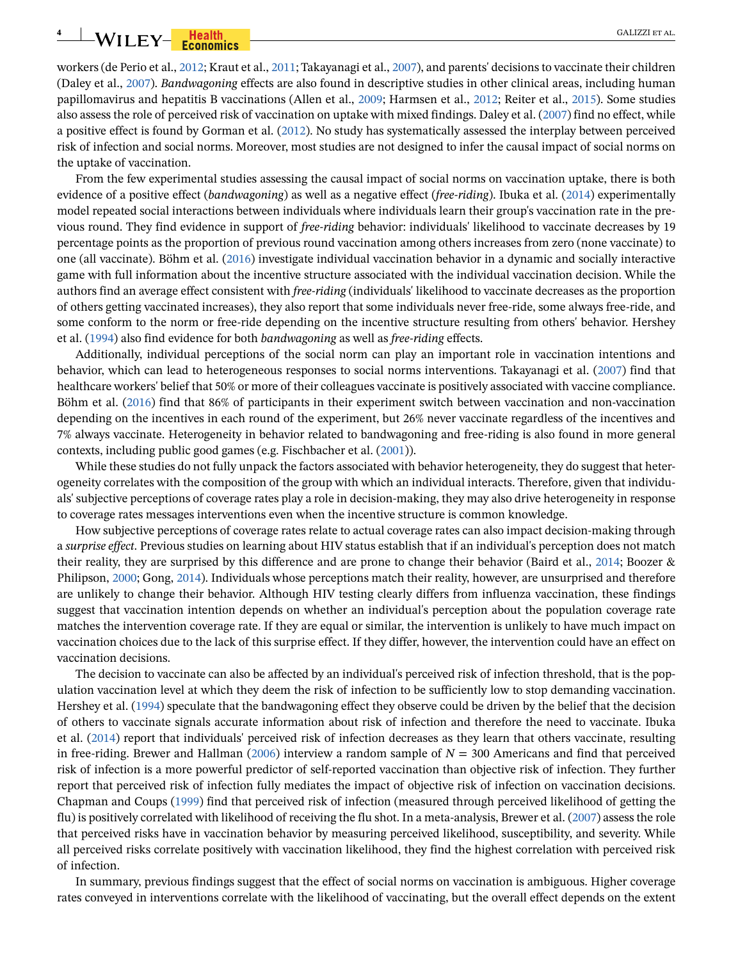# **4** WILEY-**Franquis Franquis Example 1** GALIZZI ET AL.

workers (de Perio et al., [2012;](#page-30-16) Kraut et al., [2011;](#page-30-17) Takayanagi et al., [2007](#page-31-11)), and parents' decisions to vaccinate their children (Daley et al., [2007\)](#page-30-18). *Bandwagoning* effects are also found in descriptive studies in other clinical areas, including human papillomavirus and hepatitis B vaccinations (Allen et al., [2009;](#page-29-0) Harmsen et al., [2012;](#page-30-19) Reiter et al., [2015\)](#page-31-14). Some studies also assess the role of perceived risk of vaccination on uptake with mixed findings. Daley et al. [\(2007](#page-30-18)) find no effect, while a positive effect is found by Gorman et al. [\(2012](#page-30-10)). No study has systematically assessed the interplay between perceived risk of infection and social norms. Moreover, most studies are not designed to infer the causal impact of social norms on the uptake of vaccination.

From the few experimental studies assessing the causal impact of social norms on vaccination uptake, there is both evidence of a positive effect (*bandwagoning*) as well as a negative effect (*free-riding*). Ibuka et al. [\(2014](#page-30-9)) experimentally model repeated social interactions between individuals where individuals learn their group's vaccination rate in the previous round. They find evidence in support of *free-riding* behavior: individuals' likelihood to vaccinate decreases by 19 percentage points as the proportion of previous round vaccination among others increases from zero (none vaccinate) to one (all vaccinate). Böhm et al. ([2016](#page-29-1)) investigate individual vaccination behavior in a dynamic and socially interactive game with full information about the incentive structure associated with the individual vaccination decision. While the authors find an average effect consistent with *free-riding* (individuals' likelihood to vaccinate decreases as the proportion of others getting vaccinated increases), they also report that some individuals never free-ride, some always free-ride, and some conform to the norm or free-ride depending on the incentive structure resulting from others' behavior. Hershey et al. ([1994\)](#page-30-20) also find evidence for both *bandwagoning* as well as *free-riding* effects.

Additionally, individual perceptions of the social norm can play an important role in vaccination intentions and behavior, which can lead to heterogeneous responses to social norms interventions. Takayanagi et al. ([2007\)](#page-31-11) find that healthcare workers' belief that 50% or more of their colleagues vaccinate is positively associated with vaccine compliance. Böhm et al. [\(2016](#page-29-1)) find that 86% of participants in their experiment switch between vaccination and non-vaccination depending on the incentives in each round of the experiment, but 26% never vaccinate regardless of the incentives and 7% always vaccinate. Heterogeneity in behavior related to bandwagoning and free-riding is also found in more general contexts, including public good games (e.g. Fischbacher et al. [\(2001\)](#page-30-21)).

While these studies do not fully unpack the factors associated with behavior heterogeneity, they do suggest that heterogeneity correlates with the composition of the group with which an individual interacts. Therefore, given that individuals' subjective perceptions of coverage rates play a role in decision-making, they may also drive heterogeneity in response to coverage rates messages interventions even when the incentive structure is common knowledge.

How subjective perceptions of coverage rates relate to actual coverage rates can also impact decision-making through a *surprise effect*. Previous studies on learning about HIV status establish that if an individual's perception does not match their reality, they are surprised by this difference and are prone to change their behavior (Baird et al., [2014](#page-29-2); Boozer & Philipson, [2000](#page-29-3); Gong, [2014\)](#page-30-22). Individuals whose perceptions match their reality, however, are unsurprised and therefore are unlikely to change their behavior. Although HIV testing clearly differs from influenza vaccination, these findings suggest that vaccination intention depends on whether an individual's perception about the population coverage rate matches the intervention coverage rate. If they are equal or similar, the intervention is unlikely to have much impact on vaccination choices due to the lack of this surprise effect. If they differ, however, the intervention could have an effect on vaccination decisions.

The decision to vaccinate can also be affected by an individual's perceived risk of infection threshold, that is the population vaccination level at which they deem the risk of infection to be sufficiently low to stop demanding vaccination. Hershey et al. ([1994](#page-30-20)) speculate that the bandwagoning effect they observe could be driven by the belief that the decision of others to vaccinate signals accurate information about risk of infection and therefore the need to vaccinate. Ibuka et al. [\(2014](#page-30-9)) report that individuals' perceived risk of infection decreases as they learn that others vaccinate, resulting in free-riding. Brewer and Hallman ([2006\)](#page-29-4) interview a random sample of  $N = 300$  Americans and find that perceived risk of infection is a more powerful predictor of self-reported vaccination than objective risk of infection. They further report that perceived risk of infection fully mediates the impact of objective risk of infection on vaccination decisions. Chapman and Coups ([1999](#page-30-15)) find that perceived risk of infection (measured through perceived likelihood of getting the flu) is positively correlated with likelihood of receiving the flu shot. In a meta-analysis, Brewer et al. [\(2007](#page-29-5)) assess the role that perceived risks have in vaccination behavior by measuring perceived likelihood, susceptibility, and severity. While all perceived risks correlate positively with vaccination likelihood, they find the highest correlation with perceived risk of infection.

In summary, previous findings suggest that the effect of social norms on vaccination is ambiguous. Higher coverage rates conveyed in interventions correlate with the likelihood of vaccinating, but the overall effect depends on the extent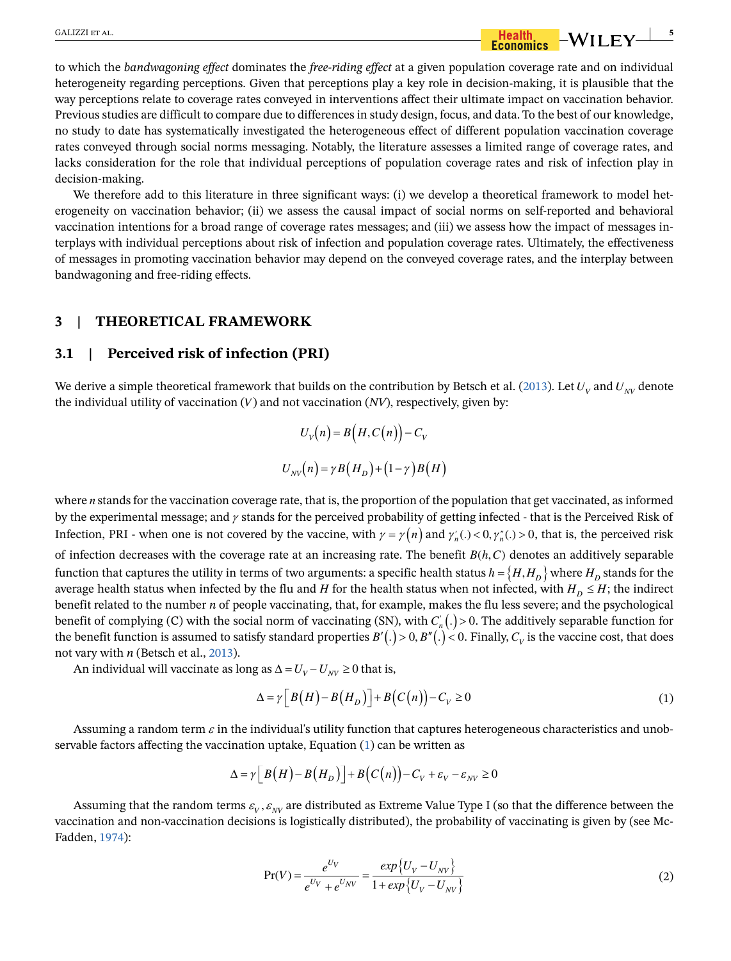# GALIZZI ET AL. **5**<br>**6 Example 10 Formalise**  $-WILEY$  **5**

to which the *bandwagoning effect* dominates the *free-riding effect* at a given population coverage rate and on individual heterogeneity regarding perceptions. Given that perceptions play a key role in decision-making, it is plausible that the way perceptions relate to coverage rates conveyed in interventions affect their ultimate impact on vaccination behavior. Previous studies are difficult to compare due to differences in study design, focus, and data. To the best of our knowledge, no study to date has systematically investigated the heterogeneous effect of different population vaccination coverage rates conveyed through social norms messaging. Notably, the literature assesses a limited range of coverage rates, and lacks consideration for the role that individual perceptions of population coverage rates and risk of infection play in decision-making.

We therefore add to this literature in three significant ways: (i) we develop a theoretical framework to model heterogeneity on vaccination behavior; (ii) we assess the causal impact of social norms on self-reported and behavioral vaccination intentions for a broad range of coverage rates messages; and (iii) we assess how the impact of messages interplays with individual perceptions about risk of infection and population coverage rates. Ultimately, the effectiveness of messages in promoting vaccination behavior may depend on the conveyed coverage rates, and the interplay between bandwagoning and free-riding effects.

### <span id="page-4-0"></span>**3 | THEORETICAL FRAMEWORK**

### **3.1 | Perceived risk of infection (PRI)**

We derive a simple theoretical framework that builds on the contribution by Betsch et al. [\(2013](#page-29-6)). Let  $U_V$  and  $U_{NV}$  denote the individual utility of vaccination  $(V)$  and not vaccination  $(NV)$ , respectively, given by:

$$
U_V(n) = B(H, C(n)) - C_V
$$
  

$$
U_{NV}(n) = \gamma B(H_D) + (1 - \gamma) B(H)
$$

where  $n$  stands for the vaccination coverage rate, that is, the proportion of the population that get vaccinated, as informed by the experimental message; and  $\gamma$  stands for the perceived probability of getting infected - that is the Perceived Risk of Infection, PRI - when one is not covered by the vaccine, with  $\gamma = \gamma(n)$  and  $\gamma'_n(.) < 0, \gamma''_n(.) > 0$ , that is, the perceived risk of infection decreases with the coverage rate at an increasing rate. The benefit  $B(h, C)$  denotes an additively separable function that captures the utility in terms of two arguments: a specific health status  $h = \{H, H_D\}$  where  $H_D$  stands for the average health status when infected by the flu and H for the health status when not infected, with  $H_D \leq H$ ; the indirect benefit related to the number *n* of people vaccinating, that, for example, makes the flu less severe; and the psychological benefit of complying (C) with the social norm of vaccinating (SN), with  $C'_n(.)>0$ . The additively separable function for the benefit function is assumed to satisfy standard properties  $B'(.) > 0$ ,  $B''(.) < 0$ . Finally,  $C_v$  is the vaccine cost, that does not vary with *n* (Betsch et al., [2013\)](#page-29-6).

<span id="page-4-1"></span>An individual will vaccinate as long as  $\Delta = U_V - U_{NV} \ge 0$  that is,

$$
\Delta = \gamma \left[ B(H) - B(H_D) \right] + B(C(n)) - C_V \ge 0 \tag{1}
$$

Assuming a random term  $\varepsilon$  in the individual's utility function that captures heterogeneous characteristics and unobservable factors affecting the vaccination uptake, Equation ([1\)](#page-4-1) can be written as

$$
\Delta = \gamma \left[ B\left( H\right) - B\left( H_D \right) \right] + B\left( C\left( n\right) \right) - C_V + \varepsilon_V - \varepsilon_{NV} \ge 0
$$

Assuming that the random terms  $\varepsilon_v$ ,  $\varepsilon_{\text{NV}}$  are distributed as Extreme Value Type I (so that the difference between the vaccination and non-vaccination decisions is logistically distributed), the probability of vaccinating is given by (see Mc-Fadden, [1974\)](#page-31-15):

$$
Pr(V) = \frac{e^{U_V}}{e^{U_V} + e^{U_{NV}}} = \frac{\exp\{U_V - U_{NV}\}}{1 + \exp\{U_V - U_{NV}\}}
$$
(2)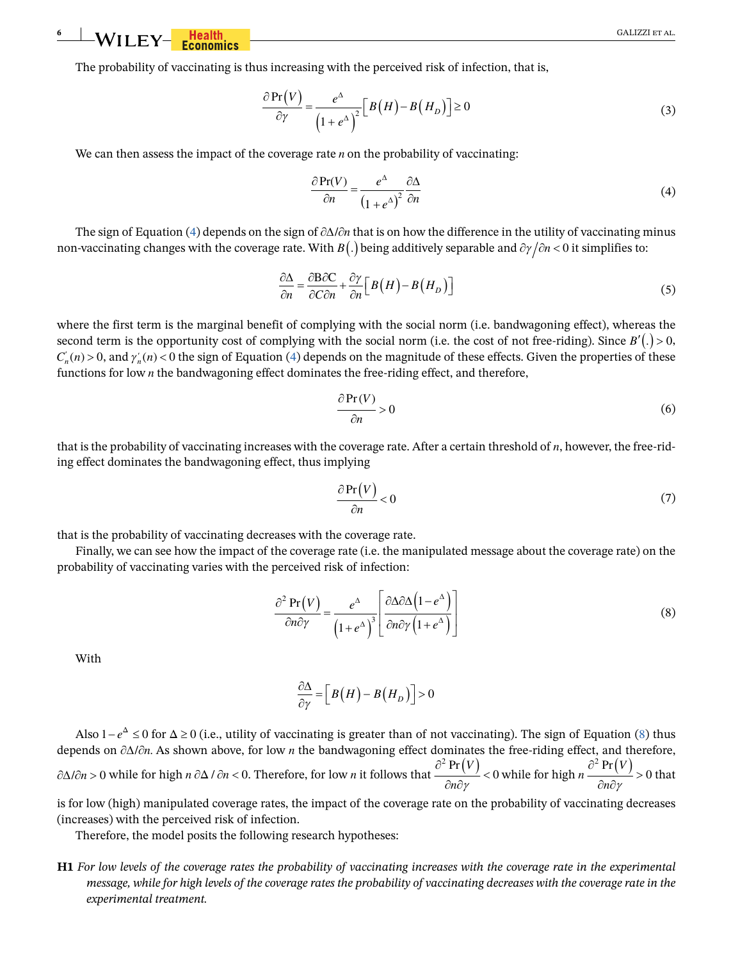<span id="page-5-4"></span>The probability of vaccinating is thus increasing with the perceived risk of infection, that is,

$$
\frac{\partial \Pr(V)}{\partial \gamma} = \frac{e^{\Delta}}{\left(1 + e^{\Delta}\right)^2} \Big[ B\left(H\right) - B\left(H_D\right) \Big] \ge 0 \tag{3}
$$

<span id="page-5-0"></span>We can then assess the impact of the coverage rate  $n$  on the probability of vaccinating:

$$
\frac{\partial \Pr(V)}{\partial n} = \frac{e^{\Delta}}{\left(1 + e^{\Delta}\right)^2} \frac{\partial \Delta}{\partial n}
$$
(4)

The sign of Equation ([4\)](#page-5-0) depends on the sign of  $\partial \Delta / \partial n$  that is on how the difference in the utility of vaccinating minus non-vaccinating changes with the coverage rate. With  $B(.)$  being additively separable and  $\partial \gamma / \partial n < 0$  it simplifies to:

$$
\frac{\partial \Delta}{\partial n} = \frac{\partial B \partial C}{\partial C \partial n} + \frac{\partial \gamma}{\partial n} \Big[ B(H) - B(H_D) \Big] \tag{5}
$$

<span id="page-5-2"></span>where the first term is the marginal benefit of complying with the social norm (i.e. bandwagoning effect), whereas the second term is the opportunity cost of complying with the social norm (i.e. the cost of not free-riding). Since  $B'(.) > 0$ ,  $C'_n(n) > 0$ , and  $\gamma'_n(n) < 0$  the sign of Equation [\(4](#page-5-0)) depends on the magnitude of these effects. Given the properties of these functions for low  $n$  the bandwagoning effect dominates the free-riding effect, and therefore,

$$
\frac{\partial \Pr(V)}{\partial n} > 0 \tag{6}
$$

that is the probability of vaccinating increases with the coverage rate. After a certain threshold of  $n$ , however, the free-riding effect dominates the bandwagoning effect, thus implying

$$
\frac{\partial \Pr(V)}{\partial n} < 0 \tag{7}
$$

that is the probability of vaccinating decreases with the coverage rate.

Finally, we can see how the impact of the coverage rate (i.e. the manipulated message about the coverage rate) on the probability of vaccinating varies with the perceived risk of infection:

$$
\frac{\partial^2 \operatorname{Pr}(V)}{\partial n \partial \gamma} = \frac{e^{\Delta}}{\left(1 + e^{\Delta}\right)^3} \left[ \frac{\partial \Delta \partial \Delta \left(1 - e^{\Delta}\right)}{\partial n \partial \gamma \left(1 + e^{\Delta}\right)} \right]
$$
(8)

<span id="page-5-1"></span>With

$$
\frac{\partial \Delta}{\partial \gamma} = \left[ B\left(H\right) - B\left(H_D\right) \right] > 0
$$

Also  $1-e^{\Delta} \le 0$  for  $\Delta \ge 0$  (i.e., utility of vaccinating is greater than of not vaccinating). The sign of Equation ([8\)](#page-5-1) thus depends on  $\partial \Delta / \partial n$ . As shown above, for low *n* the bandwagoning effect dominates the free-riding effect, and therefore,  $\partial \Delta/\partial n$  > 0 while for high *n*  $\partial \Delta/\partial n$  < 0. Therefore, for low *n* it follows that  $\frac{\partial^2 \Pr(V)}{\partial n \partial y}$  $\frac{\partial^2 \Pr(V)}{\partial n \partial \gamma}$ s that  $\frac{\partial^2 \Pr(V)}{\partial n \partial \gamma}$  < 0 while for high  $n \frac{\partial^2 \Pr(V)}{\partial n \partial \gamma}$  $\frac{\partial^2 \Pr(V)}{\partial n \partial \gamma}$ high  $n \frac{\partial^2 \operatorname{Pr}(V)}{\partial n \partial \gamma} > 0$ that

is for low (high) manipulated coverage rates, the impact of the coverage rate on the probability of vaccinating decreases (increases) with the perceived risk of infection.

Therefore, the model posits the following research hypotheses:

<span id="page-5-3"></span>**H1** *For low levels of the coverage rates the probability of vaccinating increases with the coverage rate in the experimental message, while for high levels of the coverage rates the probability of vaccinating decreases with the coverage rate in the experimental treatment.*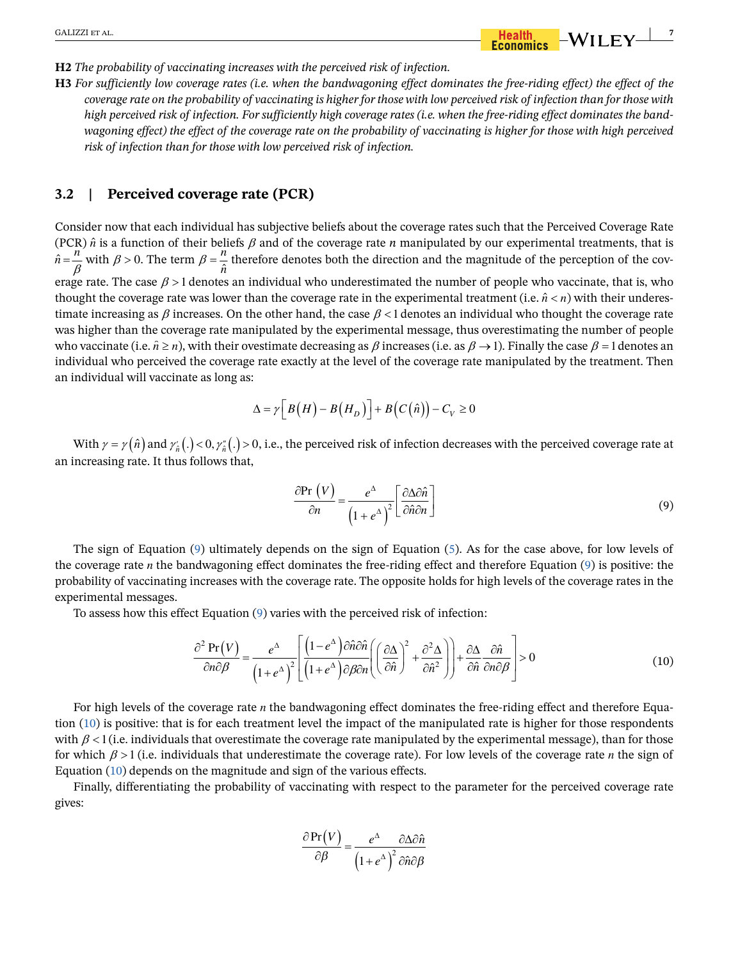#### <span id="page-6-2"></span>**H2** *The probability of vaccinating increases with the perceived risk of infection.*

**H3** *For sufficiently low coverage rates (i.e. when the bandwagoning effect dominates the free-riding effect) the effect of the coverage rate on the probability of vaccinating is higher for those with low perceived risk of infection than for those with high perceived risk of infection. For sufficiently high coverage rates (i.e. when the free-riding effect dominates the bandwagoning effect) the effect of the coverage rate on the probability of vaccinating is higher for those with high perceived risk of infection than for those with low perceived risk of infection.*

# **3.2 | Perceived coverage rate (PCR)**

Consider now that each individual has subjective beliefs about the coverage rates such that the Perceived Coverage Rate (PCR)  $\hat{n}$  is a function of their beliefs  $\beta$  and of the coverage rate *n* manipulated by our experimental treatments, that is  $\hat{n} = \frac{n}{\beta}$  with  $\beta > 0$ . The term  $\beta = \frac{n}{\hat{n}}$  therefore denotes both the direction and the magnitude of the perception of the coverage rate. The case  $\beta > 1$  denotes an individual who underestimated the number of people who vaccinate, that is, who thought the coverage rate was lower than the coverage rate in the experimental treatment (i.e.  $\hat{n} < n$ ) with their underestimate increasing as  $\beta$  increases. On the other hand, the case  $\beta$  < 1 denotes an individual who thought the coverage rate was higher than the coverage rate manipulated by the experimental message, thus overestimating the number of people who vaccinate (i.e.  $\hat{n} \ge n$ ), with their ovestimate decreasing as  $\beta$  increases (i.e. as  $\beta \to 1$ ). Finally the case  $\beta = 1$  denotes an individual who perceived the coverage rate exactly at the level of the coverage rate manipulated by the treatment. Then an individual will vaccinate as long as:

$$
\Delta = \gamma \Big[ B\big( H \big) - B\big( H_D \big) \Big] + B\big( C\big( \hat{n} \big) \Big) - C_V \ge 0
$$

With  $\gamma = \gamma(\hat{n})$  and  $\gamma'_{\hat{n}}(.) < 0$ ,  $\gamma''_{\hat{n}}(.) > 0$ , i.e., the perceived risk of infection decreases with the perceived coverage rate at an increasing rate. It thus follows that,

$$
\frac{\partial \text{Pr}(V)}{\partial n} = \frac{e^{\Delta}}{\left(1 + e^{\Delta}\right)^2} \left[\frac{\partial \Delta \partial \hat{n}}{\partial \hat{n} \partial n}\right]
$$
(9)

<span id="page-6-0"></span>The sign of Equation ([9](#page-6-0)) ultimately depends on the sign of Equation ([5\)](#page-5-2). As for the case above, for low levels of the coverage rate  $n$  the bandwagoning effect dominates the free-riding effect and therefore Equation  $(9)$  $(9)$  $(9)$  is positive: the probability of vaccinating increases with the coverage rate. The opposite holds for high levels of the coverage rates in the experimental messages.

<span id="page-6-1"></span>To assess how this effect Equation [\(9](#page-6-0)) varies with the perceived risk of infection:

$$
\frac{\partial^2 \Pr(V)}{\partial n \partial \beta} = \frac{e^{\Delta}}{\left(1 + e^{\Delta}\right)^2} \left[ \frac{\left(1 - e^{\Delta}\right) \partial \hat{n} \partial \hat{n}}{\left(1 + e^{\Delta}\right) \partial \beta \partial n} \left(\left(\frac{\partial \Delta}{\partial \hat{n}}\right)^2 + \frac{\partial^2 \Delta}{\partial \hat{n}^2}\right) \right] + \frac{\partial \Delta}{\partial \hat{n}} \frac{\partial \hat{n}}{\partial n \partial \beta} \right] > 0
$$
\n(10)

For high levels of the coverage rate  $n$  the bandwagoning effect dominates the free-riding effect and therefore Equation [\(10](#page-6-1)) is positive: that is for each treatment level the impact of the manipulated rate is higher for those respondents with  $\beta$  < 1 (i.e. individuals that overestimate the coverage rate manipulated by the experimental message), than for those for which  $\beta > 1$  (i.e. individuals that underestimate the coverage rate). For low levels of the coverage rate n the sign of Equation ([10\)](#page-6-1) depends on the magnitude and sign of the various effects.

Finally, differentiating the probability of vaccinating with respect to the parameter for the perceived coverage rate gives:

$$
\frac{\partial \Pr(V)}{\partial \beta} = \frac{e^{\Delta}}{\left(1 + e^{\Delta}\right)^2} \frac{\partial \Delta \partial \hat{n}}{\partial \hat{n} \partial \beta}
$$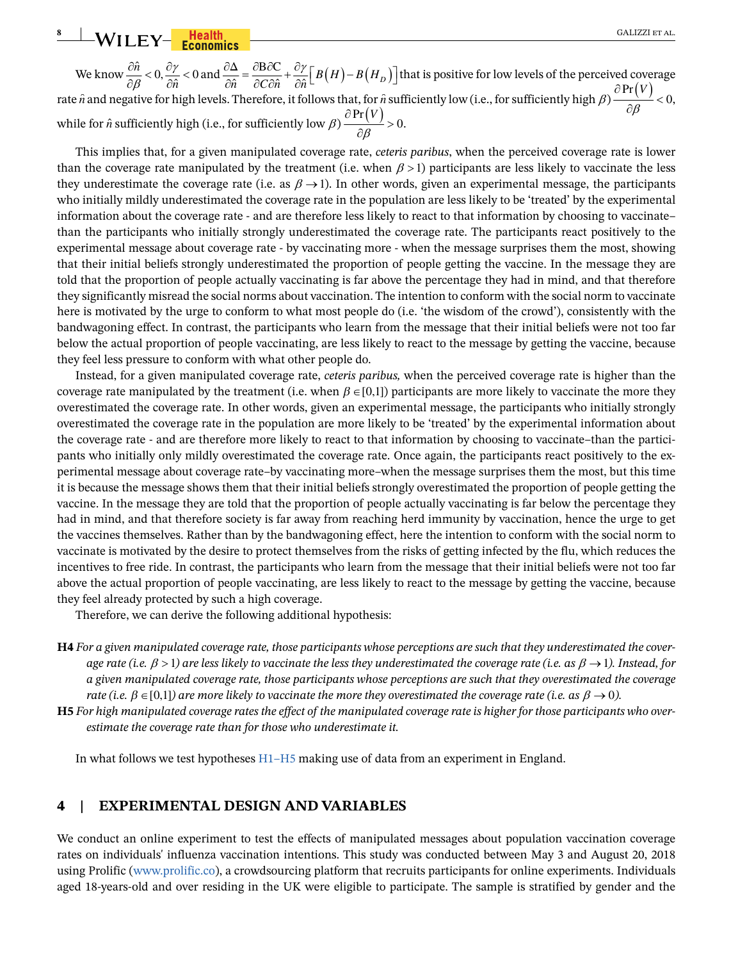<span id="page-7-2"></span>**8** WILEY-**Franchis GALIZZI ET AL.** 

We know  $\frac{\partial n}{\partial \beta} < 0$ ,  $\frac{\partial \gamma}{\partial \hat{n}}$ know  $\frac{\partial \hat{n}}{\partial \beta} < 0$ ,  $\frac{\partial \gamma}{\partial \hat{n}} < 0$  and  $\frac{\partial \Delta}{\partial \hat{n}} = \frac{\partial B \partial C}{\partial C \partial \hat{n}} + \frac{\partial \gamma}{\partial \hat{n}} \Big[ B(H) - B(H_D) \Big]$  that is positive for low levels of the perceived coverage  $\frac{\partial P}{\partial P(r)}$ rate  $\hat{n}$  and negative for high levels. Therefore, it follows that, for  $\hat{n}$  sufficiently low (i.e., for sufficiently high  $\beta$ )  $\frac{\partial Pr(V)}{\partial \beta}$  $\frac{\partial \Pr(V)}{\partial \beta}$ igh  $\beta$ )  $\frac{\partial Pr(V)}{\partial \beta}<0$ , while for  $\hat{n}$  sufficiently high (i.e., for sufficiently low  $\beta$ )  $\frac{\partial Pr(V)}{\partial \beta}$  $\frac{\partial \Pr(V)}{\partial \beta}$  > ow  $\beta$ )  $\frac{\partial Pr(V)}{\partial \beta} > 0$ .

This implies that, for a given manipulated coverage rate, *ceteris paribus*, when the perceived coverage rate is lower than the coverage rate manipulated by the treatment (i.e. when  $\beta > 1$ ) participants are less likely to vaccinate the less they underestimate the coverage rate (i.e. as  $\beta \rightarrow 1$ ). In other words, given an experimental message, the participants who initially mildly underestimated the coverage rate in the population are less likely to be 'treated' by the experimental information about the coverage rate - and are therefore less likely to react to that information by choosing to vaccinate– than the participants who initially strongly underestimated the coverage rate. The participants react positively to the experimental message about coverage rate - by vaccinating more - when the message surprises them the most, showing that their initial beliefs strongly underestimated the proportion of people getting the vaccine. In the message they are told that the proportion of people actually vaccinating is far above the percentage they had in mind, and that therefore they significantly misread the social norms about vaccination. The intention to conform with the social norm to vaccinate here is motivated by the urge to conform to what most people do (i.e. 'the wisdom of the crowd'), consistently with the bandwagoning effect. In contrast, the participants who learn from the message that their initial beliefs were not too far below the actual proportion of people vaccinating, are less likely to react to the message by getting the vaccine, because they feel less pressure to conform with what other people do.

Instead, for a given manipulated coverage rate, *ceteris paribus,* when the perceived coverage rate is higher than the coverage rate manipulated by the treatment (i.e. when  $\beta \in [0,1]$ ) participants are more likely to vaccinate the more they overestimated the coverage rate. In other words, given an experimental message, the participants who initially strongly overestimated the coverage rate in the population are more likely to be 'treated' by the experimental information about the coverage rate - and are therefore more likely to react to that information by choosing to vaccinate–than the participants who initially only mildly overestimated the coverage rate. Once again, the participants react positively to the experimental message about coverage rate–by vaccinating more–when the message surprises them the most, but this time it is because the message shows them that their initial beliefs strongly overestimated the proportion of people getting the vaccine. In the message they are told that the proportion of people actually vaccinating is far below the percentage they had in mind, and that therefore society is far away from reaching herd immunity by vaccination, hence the urge to get the vaccines themselves. Rather than by the bandwagoning effect, here the intention to conform with the social norm to vaccinate is motivated by the desire to protect themselves from the risks of getting infected by the flu, which reduces the incentives to free ride. In contrast, the participants who learn from the message that their initial beliefs were not too far above the actual proportion of people vaccinating, are less likely to react to the message by getting the vaccine, because they feel already protected by such a high coverage.

Therefore, we can derive the following additional hypothesis:

- **H4** *For a given manipulated coverage rate, those participants whose perceptions are such that they underestimated the coverage rate (i.e.*  $\beta > 1$ ) are less likely to vaccinate the less they underestimated the coverage rate (i.e. as  $\beta \to 1$ ). Instead, for *a given manipulated coverage rate, those participants whose perceptions are such that they overestimated the coverage rate (i.e.*  $\beta \in [0,1]$ ) are more likely to vaccinate the more they overestimated the coverage rate (i.e. as  $\beta \to 0$ ).
- <span id="page-7-1"></span>**H5** *For high manipulated coverage rates the effect of the manipulated coverage rate is higher for those participants who overestimate the coverage rate than for those who underestimate it.*

In what follows we test hypotheses [H1](#page-5-3)[–H5](#page-7-1) making use of data from an experiment in England.

### <span id="page-7-0"></span>**4 | EXPERIMENTAL DESIGN AND VARIABLES**

We conduct an online experiment to test the effects of manipulated messages about population vaccination coverage rates on individuals' influenza vaccination intentions. This study was conducted between May 3 and August 20, 2018 using Prolific ([www.prolific.co](http://www.prolific.co)), a crowdsourcing platform that recruits participants for online experiments. Individuals aged 18-years-old and over residing in the UK were eligible to participate. The sample is stratified by gender and the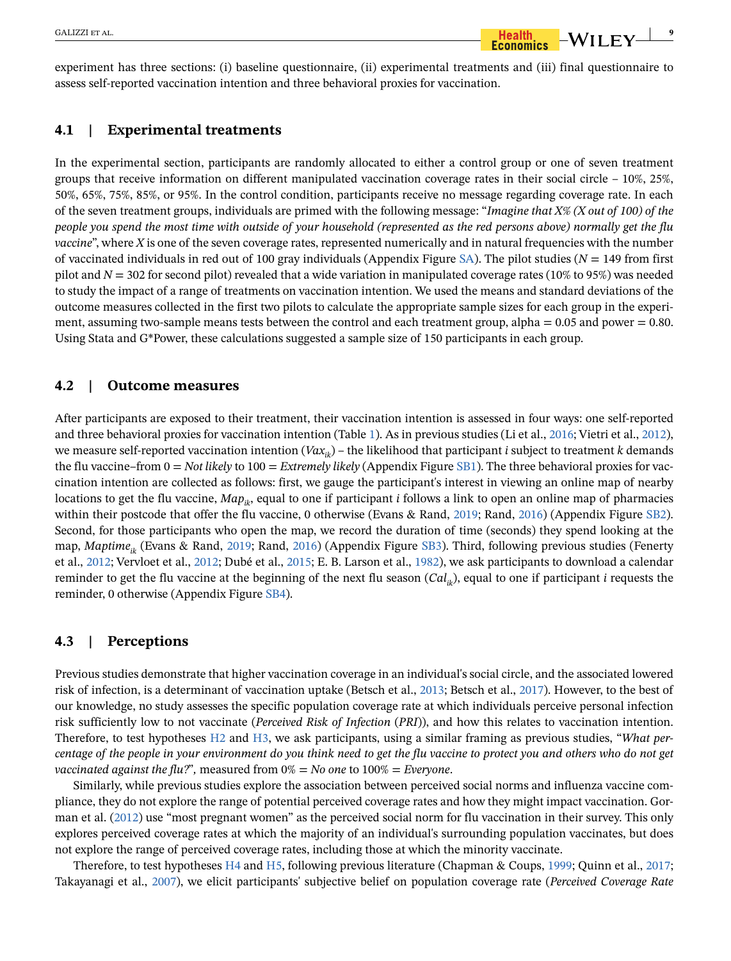experiment has three sections: (i) baseline questionnaire, (ii) experimental treatments and (iii) final questionnaire to assess self-reported vaccination intention and three behavioral proxies for vaccination.

### **4.1 | Experimental treatments**

In the experimental section, participants are randomly allocated to either a control group or one of seven treatment groups that receive information on different manipulated vaccination coverage rates in their social circle – 10%, 25%, 50%, 65%, 75%, 85%, or 95%. In the control condition, participants receive no message regarding coverage rate. In each of the seven treatment groups, individuals are primed with the following message: "*Imagine that X% (X out of 100) of the people you spend the most time with outside of your household (represented as the red persons above) normally get the flu vaccine*", where *X* is one of the seven coverage rates, represented numerically and in natural frequencies with the number of vaccinated individuals in red out of 100 gray individuals (Appendix Figure SA). The pilot studies (*N* = 149 from first pilot and *N* = 302 for second pilot) revealed that a wide variation in manipulated coverage rates (10% to 95%) was needed to study the impact of a range of treatments on vaccination intention. We used the means and standard deviations of the outcome measures collected in the first two pilots to calculate the appropriate sample sizes for each group in the experiment, assuming two-sample means tests between the control and each treatment group, alpha  $= 0.05$  and power  $= 0.80$ . Using Stata and G\*Power, these calculations suggested a sample size of 150 participants in each group.

## **4.2 | Outcome measures**

After participants are exposed to their treatment, their vaccination intention is assessed in four ways: one self-reported and three behavioral proxies for vaccination intention (Table [1\)](#page-9-0). As in previous studies (Li et al., [2016](#page-30-23); Vietri et al., [2012\)](#page-31-10), we measure self-reported vaccination intention (*Vax<sub>ik</sub>*) – the likelihood that participant *i* subject to treatment *k* demands the flu vaccine–from 0 = *Not likely* to 100 = *Extremely likely* (Appendix Figure SB1). The three behavioral proxies for vaccination intention are collected as follows: first, we gauge the participant's interest in viewing an online map of nearby locations to get the flu vaccine,  $Map_{ik}$ , equal to one if participant *i* follows a link to open an online map of pharmacies within their postcode that offer the flu vaccine, 0 otherwise (Evans & Rand, [2019](#page-30-24); Rand, [2016](#page-31-16)) (Appendix Figure SB2). Second, for those participants who open the map, we record the duration of time (seconds) they spend looking at the map, *Maptimeik* (Evans & Rand, [2019;](#page-30-24) Rand, [2016](#page-31-16)) (Appendix Figure SB3). Third, following previous studies (Fenerty et al., [2012](#page-30-25); Vervloet et al., [2012;](#page-31-17) Dubé et al., [2015;](#page-30-3) E. B. Larson et al., [1982\)](#page-30-26), we ask participants to download a calendar reminder to get the flu vaccine at the beginning of the next flu season (*Cal<sub>ik</sub>*), equal to one if participant *i* requests the reminder, 0 otherwise (Appendix Figure SB4).

# **4.3 | Perceptions**

Previous studies demonstrate that higher vaccination coverage in an individual's social circle, and the associated lowered risk of infection, is a determinant of vaccination uptake (Betsch et al., [2013;](#page-29-6) Betsch et al., [2017\)](#page-29-7). However, to the best of our knowledge, no study assesses the specific population coverage rate at which individuals perceive personal infection risk sufficiently low to not vaccinate (*Perceived Risk of Infection* (*PRI*)), and how this relates to vaccination intention. Therefore, to test hypotheses [H2](#page-6-2) and [H3,](#page-6-2) we ask participants, using a similar framing as previous studies, "*What percentage of the people in your environment do you think need to get the flu vaccine to protect you and others who do not get vaccinated against the flu?*"*,* measured from 0% = *No one* to 100% = *Everyone*.

Similarly, while previous studies explore the association between perceived social norms and influenza vaccine compliance, they do not explore the range of potential perceived coverage rates and how they might impact vaccination. Gorman et al. [\(2012\)](#page-30-10) use "most pregnant women" as the perceived social norm for flu vaccination in their survey. This only explores perceived coverage rates at which the majority of an individual's surrounding population vaccinates, but does not explore the range of perceived coverage rates, including those at which the minority vaccinate.

Therefore, to test hypotheses [H4](#page-7-2) and [H5,](#page-7-2) following previous literature (Chapman & Coups, [1999](#page-30-15); Quinn et al., [2017](#page-31-1); Takayanagi et al., [2007\)](#page-31-11), we elicit participants' subjective belief on population coverage rate (*Perceived Coverage Rate*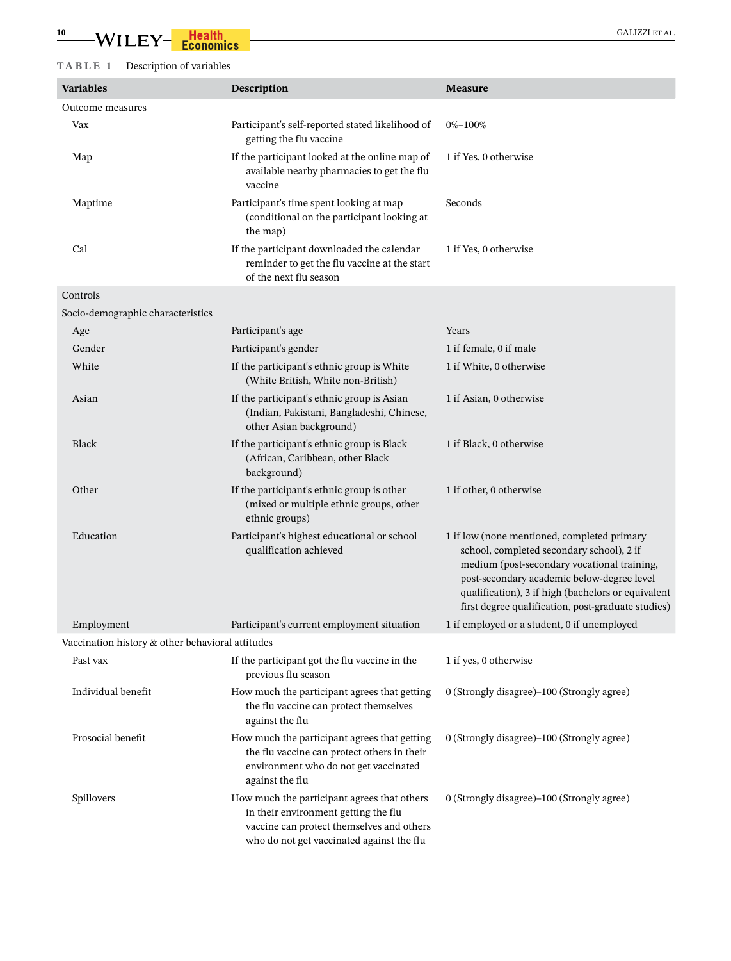# **10** WILEY-**Health** GALIZZI ET AL.

# <span id="page-9-0"></span>**TABLE 1** Description of variables

| <b>Variables</b>                                 | Description                                                                                                                                                                   | <b>Measure</b>                                                                                                                                                                                                                                                                                    |
|--------------------------------------------------|-------------------------------------------------------------------------------------------------------------------------------------------------------------------------------|---------------------------------------------------------------------------------------------------------------------------------------------------------------------------------------------------------------------------------------------------------------------------------------------------|
| Outcome measures                                 |                                                                                                                                                                               |                                                                                                                                                                                                                                                                                                   |
| Vax                                              | Participant's self-reported stated likelihood of<br>getting the flu vaccine                                                                                                   | 0%-100%                                                                                                                                                                                                                                                                                           |
| Map                                              | If the participant looked at the online map of<br>available nearby pharmacies to get the flu<br>vaccine                                                                       | 1 if Yes, 0 otherwise                                                                                                                                                                                                                                                                             |
| Maptime                                          | Participant's time spent looking at map<br>(conditional on the participant looking at<br>the map)                                                                             | Seconds                                                                                                                                                                                                                                                                                           |
| Cal                                              | If the participant downloaded the calendar<br>reminder to get the flu vaccine at the start<br>of the next flu season                                                          | 1 if Yes, 0 otherwise                                                                                                                                                                                                                                                                             |
| Controls                                         |                                                                                                                                                                               |                                                                                                                                                                                                                                                                                                   |
| Socio-demographic characteristics                |                                                                                                                                                                               |                                                                                                                                                                                                                                                                                                   |
| Age                                              | Participant's age                                                                                                                                                             | Years                                                                                                                                                                                                                                                                                             |
| Gender                                           | Participant's gender                                                                                                                                                          | 1 if female, 0 if male                                                                                                                                                                                                                                                                            |
| White                                            | If the participant's ethnic group is White<br>(White British, White non-British)                                                                                              | 1 if White, 0 otherwise                                                                                                                                                                                                                                                                           |
| Asian                                            | If the participant's ethnic group is Asian<br>(Indian, Pakistani, Bangladeshi, Chinese,<br>other Asian background)                                                            | 1 if Asian, 0 otherwise                                                                                                                                                                                                                                                                           |
| Black                                            | If the participant's ethnic group is Black<br>(African, Caribbean, other Black<br>background)                                                                                 | 1 if Black, 0 otherwise                                                                                                                                                                                                                                                                           |
| Other                                            | If the participant's ethnic group is other<br>(mixed or multiple ethnic groups, other<br>ethnic groups)                                                                       | 1 if other, 0 otherwise                                                                                                                                                                                                                                                                           |
| Education                                        | Participant's highest educational or school<br>qualification achieved                                                                                                         | 1 if low (none mentioned, completed primary<br>school, completed secondary school), 2 if<br>medium (post-secondary vocational training,<br>post-secondary academic below-degree level<br>qualification), 3 if high (bachelors or equivalent<br>first degree qualification, post-graduate studies) |
| Employment                                       | Participant's current employment situation                                                                                                                                    | 1 if employed or a student, 0 if unemployed                                                                                                                                                                                                                                                       |
| Vaccination history & other behavioral attitudes |                                                                                                                                                                               |                                                                                                                                                                                                                                                                                                   |
| Past vax                                         | If the participant got the flu vaccine in the<br>previous flu season                                                                                                          | 1 if yes, 0 otherwise                                                                                                                                                                                                                                                                             |
| Individual benefit                               | How much the participant agrees that getting<br>the flu vaccine can protect themselves<br>against the flu                                                                     | 0 (Strongly disagree)-100 (Strongly agree)                                                                                                                                                                                                                                                        |
| Prosocial benefit                                | How much the participant agrees that getting<br>the flu vaccine can protect others in their<br>environment who do not get vaccinated<br>against the flu                       | 0 (Strongly disagree)–100 (Strongly agree)                                                                                                                                                                                                                                                        |
| Spillovers                                       | How much the participant agrees that others<br>in their environment getting the flu<br>vaccine can protect themselves and others<br>who do not get vaccinated against the flu | 0 (Strongly disagree)-100 (Strongly agree)                                                                                                                                                                                                                                                        |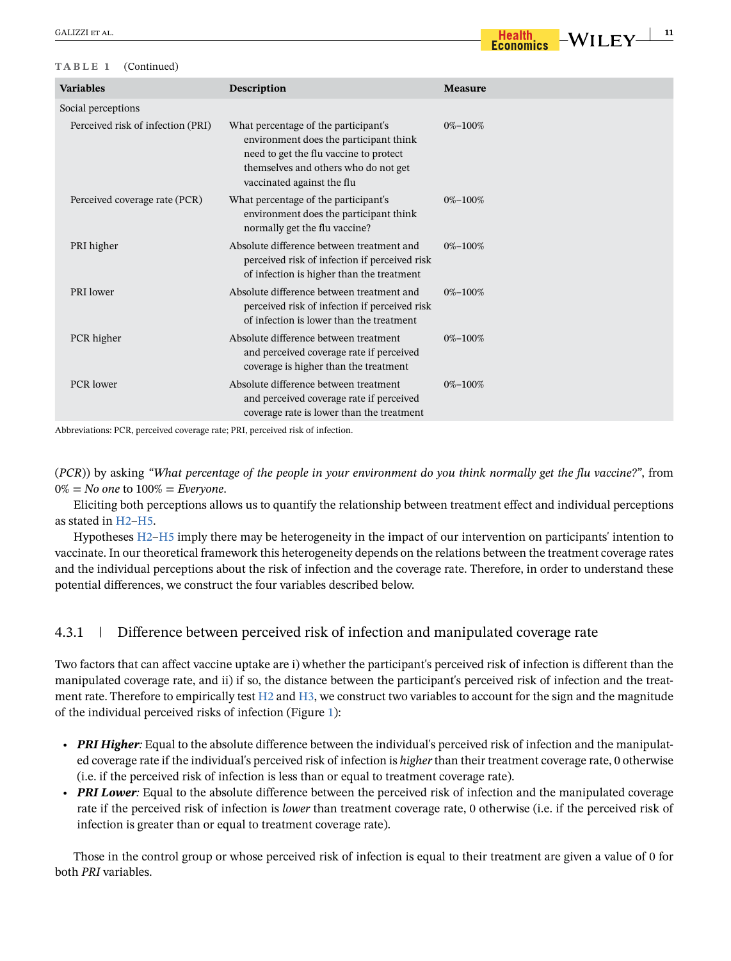#### **TABLE 1** (Continued)

| <b>Variables</b>                  | Description                                                                                                                                                                                    | <b>Measure</b> |
|-----------------------------------|------------------------------------------------------------------------------------------------------------------------------------------------------------------------------------------------|----------------|
| Social perceptions                |                                                                                                                                                                                                |                |
| Perceived risk of infection (PRI) | What percentage of the participant's<br>environment does the participant think<br>need to get the flu vaccine to protect<br>themselves and others who do not get<br>vaccinated against the flu | $0\% - 100\%$  |
| Perceived coverage rate (PCR)     | What percentage of the participant's<br>environment does the participant think<br>normally get the flu vaccine?                                                                                | $0\% - 100\%$  |
| PRI higher                        | Absolute difference between treatment and<br>perceived risk of infection if perceived risk<br>of infection is higher than the treatment                                                        | $0\% - 100\%$  |
| PRI lower                         | Absolute difference between treatment and<br>perceived risk of infection if perceived risk<br>of infection is lower than the treatment                                                         | $0\% - 100\%$  |
| PCR higher                        | Absolute difference between treatment<br>and perceived coverage rate if perceived<br>coverage is higher than the treatment                                                                     | $0\% - 100\%$  |
| <b>PCR</b> lower                  | Absolute difference between treatment<br>and perceived coverage rate if perceived<br>coverage rate is lower than the treatment                                                                 | $0\% - 100\%$  |

Abbreviations: PCR, perceived coverage rate; PRI, perceived risk of infection.

(*PCR*)) by asking *"What percentage of the people in your environment do you think normally get the flu vaccine?"*, from 0% = *No one* to 100% = *Everyone*.

Eliciting both perceptions allows us to quantify the relationship between treatment effect and individual perceptions as stated in H2–H5.

Hypotheses H2–H5 imply there may be heterogeneity in the impact of our intervention on participants' intention to vaccinate. In our theoretical framework this heterogeneity depends on the relations between the treatment coverage rates and the individual perceptions about the risk of infection and the coverage rate. Therefore, in order to understand these potential differences, we construct the four variables described below.

# 4.3.1 | Difference between perceived risk of infection and manipulated coverage rate

Two factors that can affect vaccine uptake are i) whether the participant's perceived risk of infection is different than the manipulated coverage rate, and ii) if so, the distance between the participant's perceived risk of infection and the treatment rate. Therefore to empirically test H2 and H3, we construct two variables to account for the sign and the magnitude of the individual perceived risks of infection (Figure [1](#page-11-0)):

- *PRI Higher:* Equal to the absolute difference between the individual's perceived risk of infection and the manipulated coverage rate if the individual's perceived risk of infection is *higher* than their treatment coverage rate, 0 otherwise (i.e. if the perceived risk of infection is less than or equal to treatment coverage rate).
- **PRI Lower**: Equal to the absolute difference between the perceived risk of infection and the manipulated coverage rate if the perceived risk of infection is *lower* than treatment coverage rate, 0 otherwise (i.e. if the perceived risk of infection is greater than or equal to treatment coverage rate).

Those in the control group or whose perceived risk of infection is equal to their treatment are given a value of 0 for both *PRI* variables.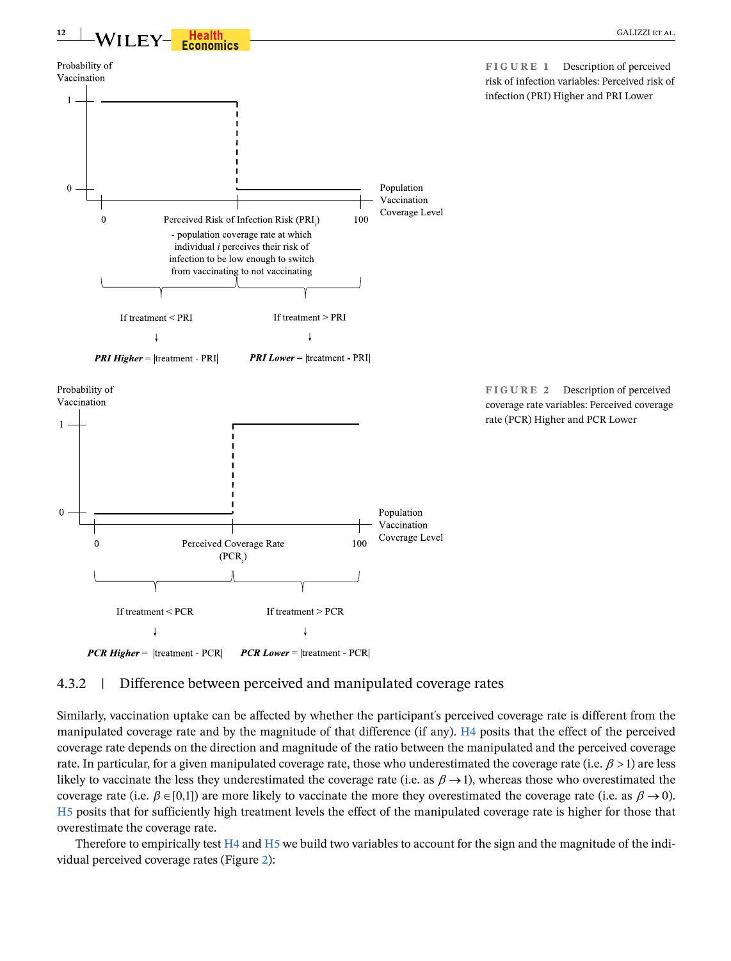<span id="page-11-0"></span>

# <span id="page-11-1"></span>4.3.2 | Difference between perceived and manipulated coverage rates

Similarly, vaccination uptake can be affected by whether the participant's perceived coverage rate is different from the manipulated coverage rate and by the magnitude of that difference (if any). H4 posits that the effect of the perceived coverage rate depends on the direction and magnitude of the ratio between the manipulated and the perceived coverage rate. In particular, for a given manipulated coverage rate, those who underestimated the coverage rate (i.e.  $\beta$  > 1) are less likely to vaccinate the less they underestimated the coverage rate (i.e. as  $\beta \rightarrow 1$ ), whereas those who overestimated the coverage rate (i.e.  $\beta \in [0,1]$ ) are more likely to vaccinate the more they overestimated the coverage rate (i.e. as  $\beta \to 0$ ). H5 posits that for sufficiently high treatment levels the effect of the manipulated coverage rate is higher for those that overestimate the coverage rate.

Therefore to empirically test H4 and H5 we build two variables to account for the sign and the magnitude of the individual perceived coverage rates (Figure [2](#page-11-1)):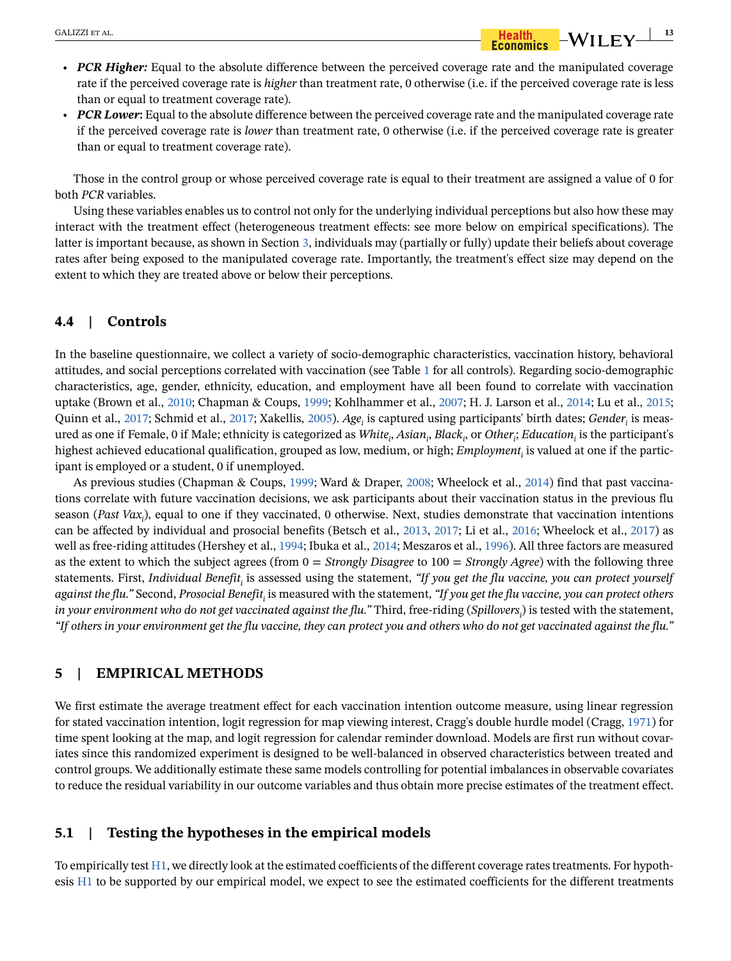• *PCR Lower***:** Equal to the absolute difference between the perceived coverage rate and the manipulated coverage rate if the perceived coverage rate is *lower* than treatment rate, 0 otherwise (i.e. if the perceived coverage rate is greater than or equal to treatment coverage rate).

Those in the control group or whose perceived coverage rate is equal to their treatment are assigned a value of 0 for both *PCR* variables.

Using these variables enables us to control not only for the underlying individual perceptions but also how these may interact with the treatment effect (heterogeneous treatment effects: see more below on empirical specifications). The latter is important because, as shown in Section [3](#page-4-0), individuals may (partially or fully) update their beliefs about coverage rates after being exposed to the manipulated coverage rate. Importantly, the treatment's effect size may depend on the extent to which they are treated above or below their perceptions.

# **4.4 | Controls**

In the baseline questionnaire, we collect a variety of socio-demographic characteristics, vaccination history, behavioral attitudes, and social perceptions correlated with vaccination (see Table [1](#page-9-0) for all controls). Regarding socio-demographic characteristics, age, gender, ethnicity, education, and employment have all been found to correlate with vaccination uptake (Brown et al., [2010](#page-29-8); Chapman & Coups, [1999](#page-30-15); Kohlhammer et al., [2007](#page-30-27); H. J. Larson et al., [2014](#page-30-28); Lu et al., [2015](#page-31-18); Quinn et al., [2017;](#page-31-19) Schmid et al., 2017; Xakellis, [2005\)](#page-32-2). *Age<sub>i</sub>* is captured using participants' birth dates; *Gender<sub>i</sub>* is measured as one if Female, 0 if Male; ethnicity is categorized as *White<sub>i</sub>, Asian<sub>i</sub>, Black<sub>i</sub>, or Other<sub>i</sub>; Education<sub>i</sub> is the participant's* highest achieved educational qualification, grouped as low, medium, or high; *Employment<sub>i</sub>* is valued at one if the participant is employed or a student, 0 if unemployed.

As previous studies (Chapman & Coups, [1999;](#page-30-15) Ward & Draper, [2008;](#page-31-20) Wheelock et al., [2014\)](#page-31-21) find that past vaccinations correlate with future vaccination decisions, we ask participants about their vaccination status in the previous flu season (*Past Vaxi* ), equal to one if they vaccinated, 0 otherwise. Next, studies demonstrate that vaccination intentions can be affected by individual and prosocial benefits (Betsch et al., [2013](#page-29-6), [2017;](#page-29-7) Li et al., [2016](#page-30-23); Wheelock et al., [2017\)](#page-31-22) as well as free-riding attitudes (Hershey et al., [1994](#page-30-20); Ibuka et al., [2014](#page-30-9); Meszaros et al., [1996\)](#page-31-23). All three factors are measured as the extent to which the subject agrees (from 0 = *Strongly Disagree* to 100 = *Strongly Agree*) with the following three statements. First, *Individual Benefit<sub>i</sub> is assessed using the statement, "If you get the flu vaccine, you can protect yourself* against the flu." Second, Prosocial Benefit<sub>i</sub> is measured with the statement, *"If you get the flu vaccine, you can protect others* in your environment who do not get vaccinated against the flu." Third, free-riding (*Spillovers<sub>i</sub>)* is tested with the statement, *"If others in your environment get the flu vaccine, they can protect you and others who do not get vaccinated against the flu."*

# <span id="page-12-0"></span>**5 | EMPIRICAL METHODS**

We first estimate the average treatment effect for each vaccination intention outcome measure, using linear regression for stated vaccination intention, logit regression for map viewing interest, Cragg's double hurdle model (Cragg, [1971](#page-30-29)) for time spent looking at the map, and logit regression for calendar reminder download. Models are first run without covariates since this randomized experiment is designed to be well-balanced in observed characteristics between treated and control groups. We additionally estimate these same models controlling for potential imbalances in observable covariates to reduce the residual variability in our outcome variables and thus obtain more precise estimates of the treatment effect.

# **5.1 | Testing the hypotheses in the empirical models**

To empirically test [H1,](#page-5-4) we directly look at the estimated coefficients of the different coverage rates treatments. For hypothesis [H1](#page-5-4) to be supported by our empirical model, we expect to see the estimated coefficients for the different treatments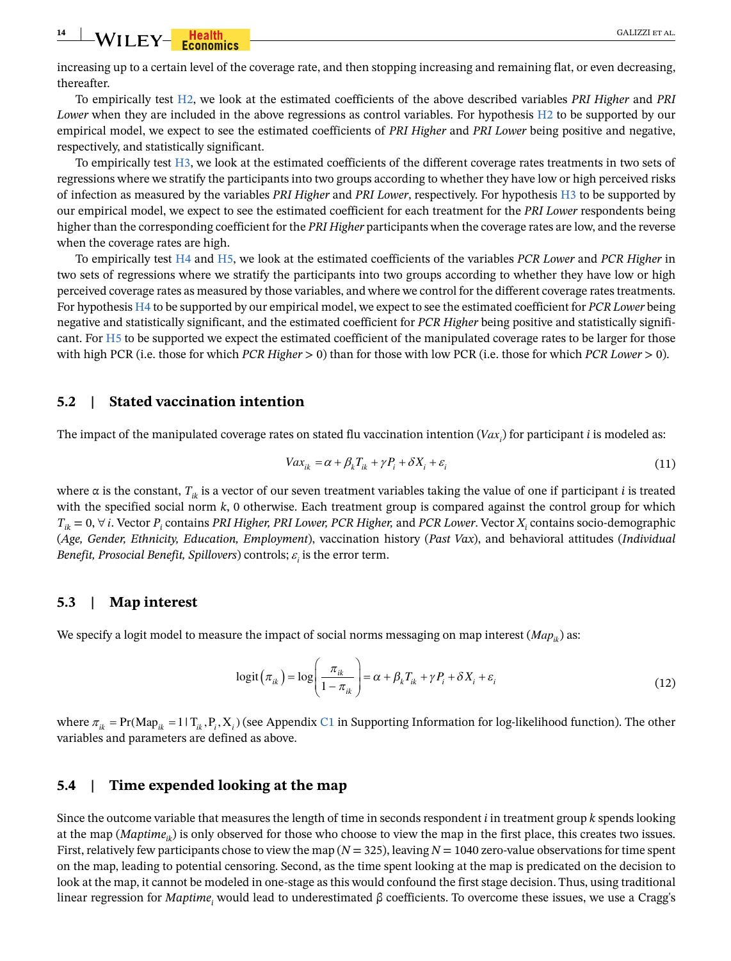**14** WILEY-**Franchise CALIZZI ET AL.** 

increasing up to a certain level of the coverage rate, and then stopping increasing and remaining flat, or even decreasing, thereafter.

To empirically test [H2](#page-6-2), we look at the estimated coefficients of the above described variables *PRI Higher* and *PRI Lower* when they are included in the above regressions as control variables. For hypothesis H2 to be supported by our empirical model, we expect to see the estimated coefficients of *PRI Higher* and *PRI Lower* being positive and negative, respectively, and statistically significant.

To empirically test [H3](#page-6-2), we look at the estimated coefficients of the different coverage rates treatments in two sets of regressions where we stratify the participants into two groups according to whether they have low or high perceived risks of infection as measured by the variables *PRI Higher* and *PRI Lower*, respectively. For hypothesis H3 to be supported by our empirical model, we expect to see the estimated coefficient for each treatment for the *PRI Lower* respondents being higher than the corresponding coefficient for the *PRI Higher* participants when the coverage rates are low, and the reverse when the coverage rates are high.

To empirically test [H4](#page-7-2) and [H5,](#page-7-2) we look at the estimated coefficients of the variables *PCR Lower* and *PCR Higher* in two sets of regressions where we stratify the participants into two groups according to whether they have low or high perceived coverage rates as measured by those variables, and where we control for the different coverage rates treatments. For hypothesis [H4](#page-7-2) to be supported by our empirical model, we expect to see the estimated coefficient for *PCR Lower* being negative and statistically significant, and the estimated coefficient for *PCR Higher* being positive and statistically significant. For [H5](#page-7-2) to be supported we expect the estimated coefficient of the manipulated coverage rates to be larger for those with high PCR (i.e. those for which *PCR Higher* > 0) than for those with low PCR (i.e. those for which *PCR Lower* > 0).

### **5.2 | Stated vaccination intention**

The impact of the manipulated coverage rates on stated flu vaccination intention (V $ax_i$ ) for participant  $i$  is modeled as:

$$
Vax_{ik} = \alpha + \beta_k T_{ik} + \gamma P_i + \delta X_i + \varepsilon_i
$$
\n(11)

where  $\alpha$  is the constant,  $T_{ik}$  is a vector of our seven treatment variables taking the value of one if participant *i* is treated with the specified social norm *k*, 0 otherwise. Each treatment group is compared against the control group for which  $T_{ik} = 0$ ,  $\forall i$ . Vector  $P_i$  contains *PRI Higher, PRI Lower, PCR Higher,* and *PCR Lower*. Vector  $X_i$  contains socio-demographic (*Age, Gender, Ethnicity, Education, Employment*), vaccination history (*Past Vax*), and behavioral attitudes (*Individual Benefit, Prosocial Benefit, Spillovers*) controls;  $\varepsilon_{i}$  is the error term.

#### **5.3 | Map interest**

We specify a logit model to measure the impact of social norms messaging on map interest  $(Map<sub>ik</sub>)$  as:

$$
logit(\pi_{ik}) = log\left(\frac{\pi_{ik}}{1 - \pi_{ik}}\right) = \alpha + \beta_k T_{ik} + \gamma P_i + \delta X_i + \varepsilon_i
$$
\n(12)

where  $\pi_{ik} = Pr(Map_{ik} = 1 | T_{ik}, P_i, X_i)$  (see Appendix C1 in Supporting Information for log-likelihood function). The other variables and parameters are defined as above.

### **5.4 | Time expended looking at the map**

Since the outcome variable that measures the length of time in seconds respondent *i* in treatment group *k* spends looking at the map  $(Maptime<sub>i</sub>)$  is only observed for those who choose to view the map in the first place, this creates two issues. First, relatively few participants chose to view the map (*N* = 325), leaving *N* = 1040 zero-value observations for time spent on the map, leading to potential censoring. Second, as the time spent looking at the map is predicated on the decision to look at the map, it cannot be modeled in one-stage as this would confound the first stage decision. Thus, using traditional linear regression for *Maptime<sub>i</sub>* would lead to underestimated β coefficients. To overcome these issues, we use a Cragg's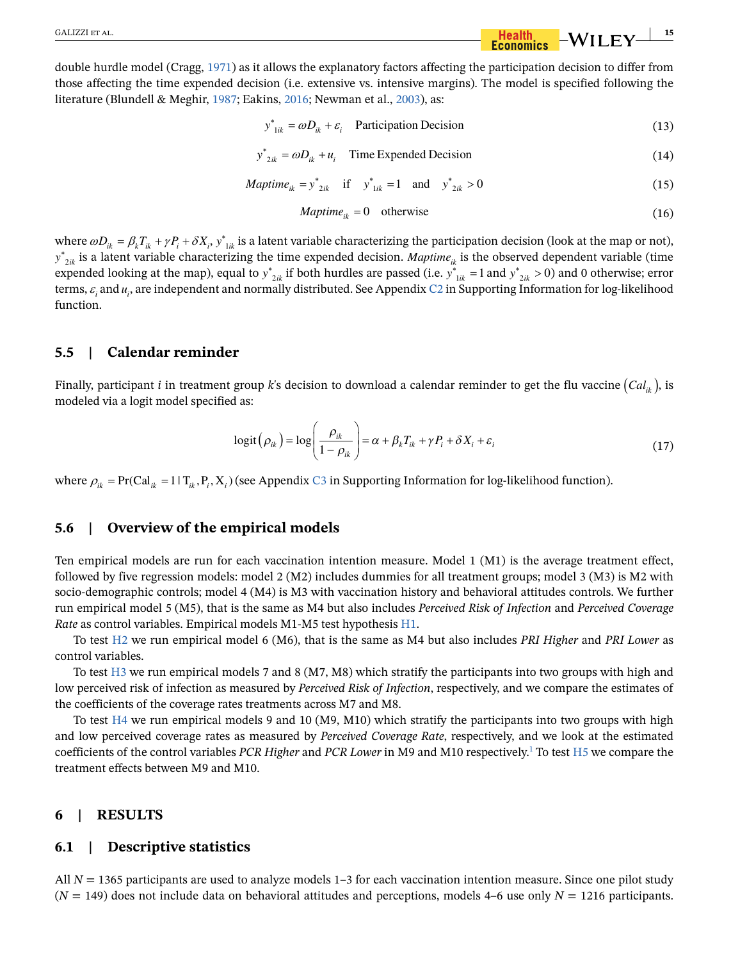double hurdle model (Cragg, [1971\)](#page-30-29) as it allows the explanatory factors affecting the participation decision to differ from those affecting the time expended decision (i.e. extensive vs. intensive margins). The model is specified following the literature (Blundell & Meghir, [1987;](#page-29-9) Eakins, [2016;](#page-30-30) Newman et al., [2003](#page-31-24)), as:

$$
y^*_{1ik} = \omega D_{ik} + \varepsilon_i \quad \text{Participation Decision} \tag{13}
$$

$$
y^*_{2ik} = \omega D_{ik} + u_i
$$
 Time Expended Decision (14)

*Maptime<sub>ik</sub>* = 
$$
y^*_{2ik}
$$
 if  $y^*_{1ik} = 1$  and  $y^*_{2ik} > 0$  (15)

$$
Maptime_{ik} = 0 \quad \text{otherwise} \tag{16}
$$

where  $\omega D_{ik} = \beta_k T_{ik} + \gamma P_i + \delta X_i$ ,  $y^*_{1ik}$  is a latent variable characterizing the participation decision (look at the map or not),  $y^*_{2ik}$  is a latent variable characterizing the time expended decision. *Maptime<sub>ik</sub>* expended looking at the map), equal to  $y^*_{2ik}$  if both hurdles are passed (i.e.  $y^*_{1ik} = 1$  and  $y^*_{2ik} > 0$ ) and 0 otherwise; error terms,  $\varepsilon_i$  and  $u_i$ , are independent and normally distributed. See Appendix C2 in Supporting Information for log-likelihood function.

# **5.5 | Calendar reminder**

Finally, participant *i* in treatment group *k*'s decision to download a calendar reminder to get the flu vaccine  $(Cal_{ik})$ , is modeled via a logit model specified as:

$$
logit(\rho_{ik}) = log\left(\frac{\rho_{ik}}{1 - \rho_{ik}}\right) = \alpha + \beta_k T_{ik} + \gamma P_i + \delta X_i + \varepsilon_i
$$
\n(17)

where  $\rho_{ik} = Pr(Cal_{ik} = 1 | T_{ik}, P_i, X_i)$  (see Appendix C3 in Supporting Information for log-likelihood function).

# **5.6 | Overview of the empirical models**

Ten empirical models are run for each vaccination intention measure. Model 1 (M1) is the average treatment effect, followed by five regression models: model 2 (M2) includes dummies for all treatment groups; model 3 (M3) is M2 with socio-demographic controls; model 4 (M4) is M3 with vaccination history and behavioral attitudes controls. We further run empirical model 5 (M5), that is the same as M4 but also includes *Perceived Risk of Infection* and *Perceived Coverage Rate* as control variables. Empirical models M1-M5 test hypothesis [H1](#page-5-4).

To test [H2](#page-6-2) we run empirical model 6 (M6), that is the same as M4 but also includes *PRI Higher* and *PRI Lower* as control variables.

To test [H3](#page-6-2) we run empirical models 7 and 8 (M7, M8) which stratify the participants into two groups with high and low perceived risk of infection as measured by *Perceived Risk of Infection*, respectively, and we compare the estimates of the coefficients of the coverage rates treatments across M7 and M8.

To test  $H4$  we run empirical models 9 and 10 (M9, M10) which stratify the participants into two groups with high and low perceived coverage rates as measured by *Perceived Coverage Rate*, respectively, and we look at the estimated coefficients of the control variables *PCR Higher* and *PCR Lower* in M9 and M10 respectively[.1](#page-29-10) To test H5 we compare the treatment effects between M9 and M10.

#### <span id="page-14-0"></span>**6 | RESULTS**

### **6.1 | Descriptive statistics**

All  $N = 1365$  participants are used to analyze models  $1-3$  for each vaccination intention measure. Since one pilot study  $(N = 149)$  does not include data on behavioral attitudes and perceptions, models 4–6 use only  $N = 1216$  participants.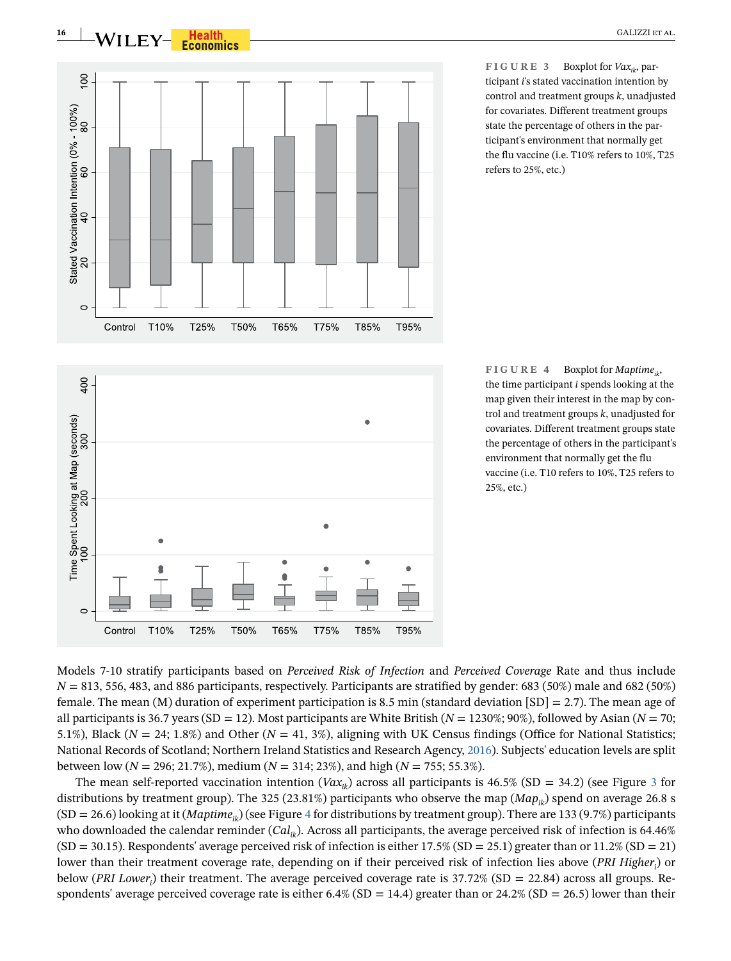

 $\circ$ 

Control

T10%

T25%

T50%

T65%

T75%

<span id="page-15-0"></span>**FIGURE 3** Boxplot for  $Vax_{ik}$ , participant *i*'s stated vaccination intention by control and treatment groups *k*, unadjusted for covariates. Different treatment groups state the percentage of others in the participant's environment that normally get the flu vaccine (i.e. T10% refers to 10%, T25 refers to 25%, etc.)

<span id="page-15-1"></span>**FIGURE 4** Boxplot for *Maptimeik*, the time participant *i* spends looking at the map given their interest in the map by control and treatment groups *k*, unadjusted for covariates. Different treatment groups state the percentage of others in the participant's environment that normally get the flu vaccine (i.e. T10 refers to 10%, T25 refers to 25%, etc.)

Models 7-10 stratify participants based on *Perceived Risk of Infection* and *Perceived Coverage* Rate and thus include  $N = 813, 556, 483,$  and 886 participants, respectively. Participants are stratified by gender: 683 (50%) male and 682 (50%) female. The mean (M) duration of experiment participation is 8.5 min (standard deviation  $|SD| = 2.7$ ). The mean age of all participants is 36.7 years (SD = 12). Most participants are White British (*N* = 1230%; 90%), followed by Asian (*N* = 70; 5.1%), Black ( $N = 24$ ; 1.8%) and Other ( $N = 41$ , 3%), aligning with UK Census findings (Office for National Statistics; National Records of Scotland; Northern Ireland Statistics and Research Agency, [2016\)](#page-31-25). Subjects' education levels are split between low (*N* = 296; 21.7%), medium (*N* = 314; 23%), and high (*N* = 755; 55.3%).

T85%

T95%

The mean self-reported vaccination intention ( $Vax_{ik}$ ) across all participants is 46.5% (SD = [3](#page-15-0)4.2) (see Figure 3 for distributions by treatment group). The 325 (23.81%) participants who observe the map ( $Map_{ik}$ ) spend on average 26.8 s (SD = 26.6) looking at it (*Maptimeik*) (see Figure [4](#page-15-1) for distributions by treatment group). There are 133 (9.7%) participants who downloaded the calendar reminder (*Cal<sub>ik</sub>*). Across all participants, the average perceived risk of infection is 64.46%  $(SD = 30.15)$ . Respondents' average perceived risk of infection is either 17.5%  $(SD = 25.1)$  greater than or 11.2%  $(SD = 21)$ lower than their treatment coverage rate, depending on if their perceived risk of infection lies above (*PRI Higher<sub>i</sub>*) or below (*PRI Lower<sub>i</sub>*) their treatment. The average perceived coverage rate is 37.72% (SD = 22.84) across all groups. Respondents' average perceived coverage rate is either 6.4% (SD = 14.4) greater than or 24.2% (SD = 26.5) lower than their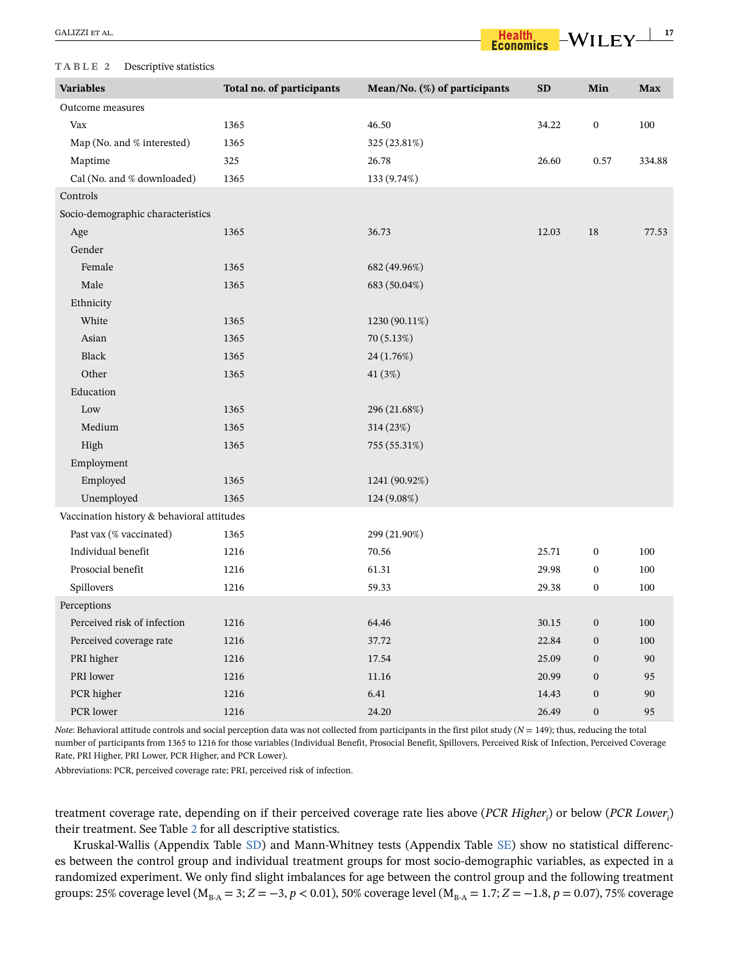| GALIZZI ET AL. |  |
|----------------|--|
|----------------|--|

#### <span id="page-16-0"></span>**TABLE 2** Descriptive statistics

| <b>Variables</b>                           | Total no. of participants | Mean/No. (%) of participants | <b>SD</b> | Min              | <b>Max</b> |
|--------------------------------------------|---------------------------|------------------------------|-----------|------------------|------------|
| Outcome measures                           |                           |                              |           |                  |            |
| Vax                                        | 1365                      | 46.50                        | 34.22     | $\boldsymbol{0}$ | 100        |
| Map (No. and % interested)                 | 1365                      | 325 (23.81%)                 |           |                  |            |
| Maptime                                    | 325                       | 26.78                        | 26.60     | 0.57             | 334.88     |
| Cal (No. and % downloaded)                 | 1365                      | 133 (9.74%)                  |           |                  |            |
| Controls                                   |                           |                              |           |                  |            |
| Socio-demographic characteristics          |                           |                              |           |                  |            |
| Age                                        | 1365                      | 36.73                        | 12.03     | 18               | 77.53      |
| Gender                                     |                           |                              |           |                  |            |
| Female                                     | 1365                      | 682 (49.96%)                 |           |                  |            |
| Male                                       | 1365                      | 683 (50.04%)                 |           |                  |            |
| Ethnicity                                  |                           |                              |           |                  |            |
| White                                      | 1365                      | 1230 (90.11%)                |           |                  |            |
| Asian                                      | 1365                      | 70 (5.13%)                   |           |                  |            |
| Black                                      | 1365                      | 24 (1.76%)                   |           |                  |            |
| Other                                      | 1365                      | 41 (3%)                      |           |                  |            |
| Education                                  |                           |                              |           |                  |            |
| Low                                        | 1365                      | 296 (21.68%)                 |           |                  |            |
| Medium                                     | 1365                      | 314 (23%)                    |           |                  |            |
| High                                       | 1365                      | 755 (55.31%)                 |           |                  |            |
| Employment                                 |                           |                              |           |                  |            |
| Employed                                   | 1365                      | 1241 (90.92%)                |           |                  |            |
| Unemployed                                 | 1365                      | 124 (9.08%)                  |           |                  |            |
| Vaccination history & behavioral attitudes |                           |                              |           |                  |            |
| Past vax (% vaccinated)                    | 1365                      | 299 (21.90%)                 |           |                  |            |
| Individual benefit                         | 1216                      | 70.56                        | 25.71     | $\boldsymbol{0}$ | 100        |
| Prosocial benefit                          | 1216                      | 61.31                        | 29.98     | $\boldsymbol{0}$ | 100        |
| Spillovers                                 | 1216                      | 59.33                        | 29.38     | $\boldsymbol{0}$ | 100        |
| Perceptions                                |                           |                              |           |                  |            |
| Perceived risk of infection                | 1216                      | 64.46                        | 30.15     | $\boldsymbol{0}$ | 100        |
| Perceived coverage rate                    | 1216                      | 37.72                        | 22.84     | $\boldsymbol{0}$ | 100        |
| PRI higher                                 | 1216                      | 17.54                        | 25.09     | $\boldsymbol{0}$ | 90         |
| PRI lower                                  | 1216                      | 11.16                        | 20.99     | $\boldsymbol{0}$ | 95         |
| PCR higher                                 | 1216                      | 6.41                         | 14.43     | $\boldsymbol{0}$ | 90         |
| PCR lower                                  | 1216                      | 24.20                        | 26.49     | $\mathbf{0}$     | 95         |

*Note*: Behavioral attitude controls and social perception data was not collected from participants in the first pilot study (*N* = 149); thus, reducing the total number of participants from 1365 to 1216 for those variables (Individual Benefit, Prosocial Benefit, Spillovers, Perceived Risk of Infection, Perceived Coverage Rate, PRI Higher, PRI Lower, PCR Higher, and PCR Lower).

Abbreviations: PCR, perceived coverage rate; PRI, perceived risk of infection.

treatment coverage rate, depending on if their perceived coverage rate lies above (*PCR Higher<sub>i</sub>*) or below (*PCR Lower<sub>i</sub>*) their treatment. See Table [2](#page-16-0) for all descriptive statistics.

Kruskal-Wallis (Appendix Table SD) and Mann-Whitney tests (Appendix Table SE) show no statistical differences between the control group and individual treatment groups for most socio-demographic variables, as expected in a randomized experiment. We only find slight imbalances for age between the control group and the following treatment groups: 25% coverage level ( $M_{B-A} = 3$ ;  $Z = -3$ ,  $p < 0.01$ ), 50% coverage level ( $M_{B-A} = 1.7$ ;  $Z = -1.8$ ,  $p = 0.07$ ), 75% coverage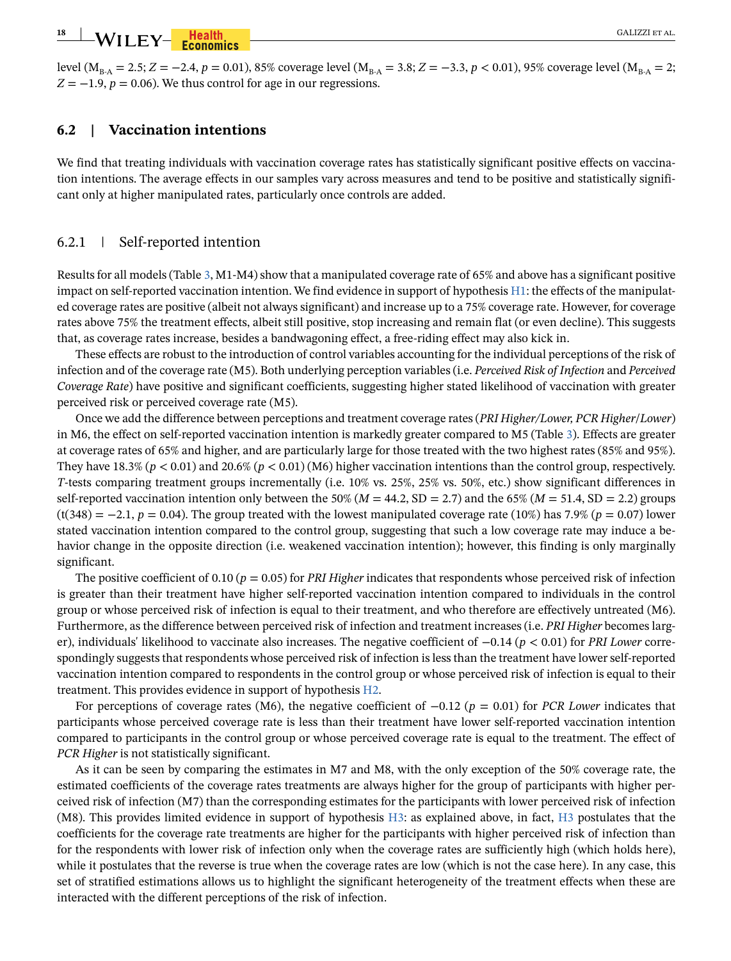level ( $M_{B-A} = 2.5$ ;  $Z = -2.4$ ,  $p = 0.01$ ), 85% coverage level ( $M_{B-A} = 3.8$ ;  $Z = -3.3$ ,  $p < 0.01$ ), 95% coverage level ( $M_{B-A} = 2$ ;  $Z = -1.9$ ,  $p = 0.06$ ). We thus control for age in our regressions.

# **6.2 | Vaccination intentions**

We find that treating individuals with vaccination coverage rates has statistically significant positive effects on vaccination intentions. The average effects in our samples vary across measures and tend to be positive and statistically significant only at higher manipulated rates, particularly once controls are added.

## 6.2.1 | Self-reported intention

Results for all models (Table [3](#page-18-0), M1-M4) show that a manipulated coverage rate of 65% and above has a significant positive impact on self-reported vaccination intention. We find evidence in support of hypothesis H1: the effects of the manipulated coverage rates are positive (albeit not always significant) and increase up to a 75% coverage rate. However, for coverage rates above 75% the treatment effects, albeit still positive, stop increasing and remain flat (or even decline). This suggests that, as coverage rates increase, besides a bandwagoning effect, a free-riding effect may also kick in.

These effects are robust to the introduction of control variables accounting for the individual perceptions of the risk of infection and of the coverage rate (M5). Both underlying perception variables (i.e. *Perceived Risk of Infection* and *Perceived Coverage Rate*) have positive and significant coefficients, suggesting higher stated likelihood of vaccination with greater perceived risk or perceived coverage rate (M5).

Once we add the difference between perceptions and treatment coverage rates (*PRI Higher/Lower, PCR Higher*/*Lower*) in M6, the effect on self-reported vaccination intention is markedly greater compared to M5 (Table [3](#page-18-0)). Effects are greater at coverage rates of 65% and higher, and are particularly large for those treated with the two highest rates (85% and 95%). They have  $18.3\%$  ( $p < 0.01$ ) and  $20.6\%$  ( $p < 0.01$ ) (M6) higher vaccination intentions than the control group, respectively. *T*-tests comparing treatment groups incrementally (i.e. 10% vs. 25%, 25% vs. 50%, etc.) show significant differences in self-reported vaccination intention only between the 50% ( $M = 44.2$ , SD = 2.7) and the 65% ( $M = 51.4$ , SD = 2.2) groups (t(348) = −2.1, *p* = 0.04). The group treated with the lowest manipulated coverage rate (10%) has 7.9% (*p* = 0.07) lower stated vaccination intention compared to the control group, suggesting that such a low coverage rate may induce a behavior change in the opposite direction (i.e. weakened vaccination intention); however, this finding is only marginally significant.

The positive coefficient of 0.10 ( $p = 0.05$ ) for *PRI Higher* indicates that respondents whose perceived risk of infection is greater than their treatment have higher self-reported vaccination intention compared to individuals in the control group or whose perceived risk of infection is equal to their treatment, and who therefore are effectively untreated (M6). Furthermore, as the difference between perceived risk of infection and treatment increases (i.e. *PRI Higher* becomes larger), individuals' likelihood to vaccinate also increases. The negative coefficient of −0.14 (*p* < 0.01) for *PRI Lower* correspondingly suggests that respondents whose perceived risk of infection is less than the treatment have lower self-reported vaccination intention compared to respondents in the control group or whose perceived risk of infection is equal to their treatment. This provides evidence in support of hypothesis H2.

For perceptions of coverage rates (M6), the negative coefficient of −0.12 (*p* = 0.01) for *PCR Lower* indicates that participants whose perceived coverage rate is less than their treatment have lower self-reported vaccination intention compared to participants in the control group or whose perceived coverage rate is equal to the treatment. The effect of *PCR Higher* is not statistically significant.

As it can be seen by comparing the estimates in M7 and M8, with the only exception of the 50% coverage rate, the estimated coefficients of the coverage rates treatments are always higher for the group of participants with higher perceived risk of infection (M7) than the corresponding estimates for the participants with lower perceived risk of infection (M8). This provides limited evidence in support of hypothesis H3: as explained above, in fact, H3 postulates that the coefficients for the coverage rate treatments are higher for the participants with higher perceived risk of infection than for the respondents with lower risk of infection only when the coverage rates are sufficiently high (which holds here), while it postulates that the reverse is true when the coverage rates are low (which is not the case here). In any case, this set of stratified estimations allows us to highlight the significant heterogeneity of the treatment effects when these are interacted with the different perceptions of the risk of infection.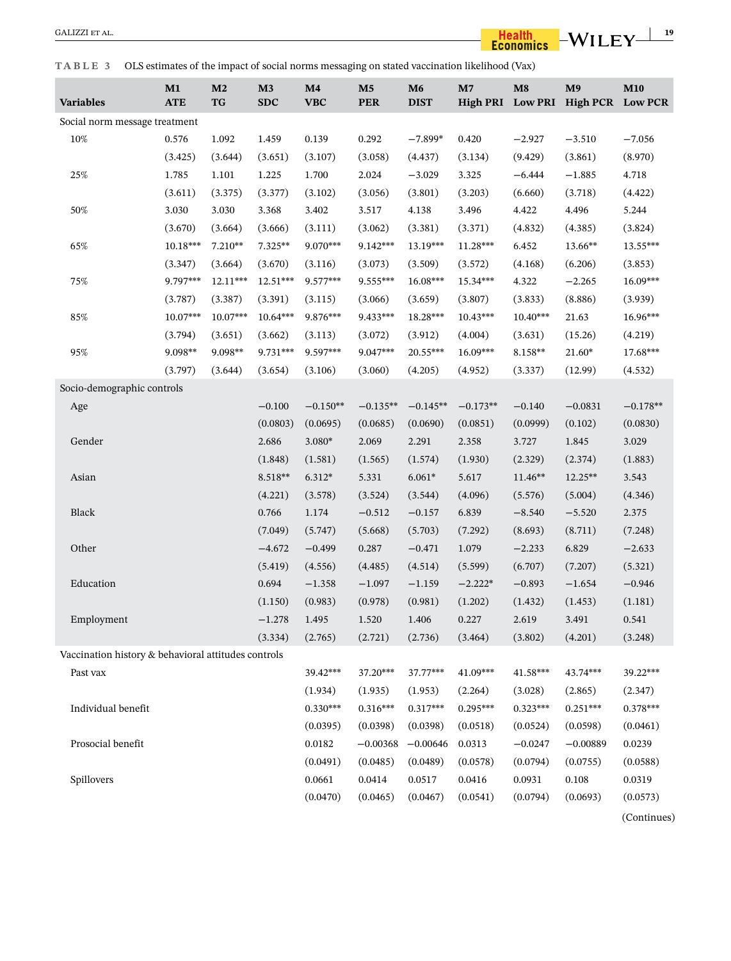<span id="page-18-0"></span>**TABLE 3** OLS estimates of the impact of social norms messaging on stated vaccination likelihood (Vax)

| <b>Variables</b>                                    | M1<br><b>ATE</b> | M <sub>2</sub><br>TG | M3<br><b>SDC</b> | $\mathbf{M}4$<br><b>VBC</b> | $\mathbf{M}5$<br><b>PER</b> | M6<br><b>DIST</b> | M <sub>7</sub><br><b>High PRI</b> | $\mathbf{M}8$ | M <sub>9</sub><br>Low PRI High PCR Low PCR | <b>M10</b>  |
|-----------------------------------------------------|------------------|----------------------|------------------|-----------------------------|-----------------------------|-------------------|-----------------------------------|---------------|--------------------------------------------|-------------|
| Social norm message treatment                       |                  |                      |                  |                             |                             |                   |                                   |               |                                            |             |
| 10%                                                 | 0.576            | 1.092                | 1.459            | 0.139                       | 0.292                       | $-7.899*$         | 0.420                             | $-2.927$      | $-3.510$                                   | $-7.056$    |
|                                                     | (3.425)          | (3.644)              | (3.651)          | (3.107)                     | (3.058)                     | (4.437)           | (3.134)                           | (9.429)       | (3.861)                                    | (8.970)     |
| 25%                                                 | 1.785            | 1.101                | 1.225            | 1.700                       | 2.024                       | $-3.029$          | 3.325                             | $-6.444$      | $-1.885$                                   | 4.718       |
|                                                     | (3.611)          | (3.375)              | (3.377)          | (3.102)                     | (3.056)                     | (3.801)           | (3.203)                           | (6.660)       | (3.718)                                    | (4.422)     |
| 50%                                                 | 3.030            | 3.030                | 3.368            | 3.402                       | 3.517                       | 4.138             | 3.496                             | 4.422         | 4.496                                      | 5.244       |
|                                                     | (3.670)          | (3.664)              | (3.666)          | (3.111)                     | (3.062)                     | (3.381)           | (3.371)                           | (4.832)       | (4.385)                                    | (3.824)     |
| 65%                                                 | 10.18***         | 7.210**              | 7.325**          | 9.070***                    | 9.142***                    | 13.19***          | 11.28***                          | 6.452         | 13.66**                                    | 13.55***    |
|                                                     | (3.347)          | (3.664)              | (3.670)          | (3.116)                     | (3.073)                     | (3.509)           | (3.572)                           | (4.168)       | (6.206)                                    | (3.853)     |
| 75%                                                 | 9.797***         | $12.11***$           | $12.51***$       | 9.577***                    | $9.555***$                  | 16.08***          | 15.34***                          | 4.322         | $-2.265$                                   | 16.09***    |
|                                                     | (3.787)          | (3.387)              | (3.391)          | (3.115)                     | (3.066)                     | (3.659)           | (3.807)                           | (3.833)       | (8.886)                                    | (3.939)     |
| 85%                                                 | 10.07***         | 10.07***             | 10.64***         | 9.876***                    | 9.433***                    | 18.28***          | 10.43***                          | $10.40***$    | 21.63                                      | 16.96***    |
|                                                     | (3.794)          | (3.651)              | (3.662)          | (3.113)                     | (3.072)                     | (3.912)           | (4.004)                           | (3.631)       | (15.26)                                    | (4.219)     |
| 95%                                                 | 9.098**          | 9.098**              | 9.731***         | 9.597***                    | 9.047***                    | $20.55***$        | $16.09***$                        | 8.158**       | 21.60*                                     | 17.68***    |
|                                                     | (3.797)          | (3.644)              | (3.654)          | (3.106)                     | (3.060)                     | (4.205)           | (4.952)                           | (3.337)       | (12.99)                                    | (4.532)     |
| Socio-demographic controls                          |                  |                      |                  |                             |                             |                   |                                   |               |                                            |             |
| Age                                                 |                  |                      | $-0.100$         | $-0.150**$                  | $-0.135**$                  | $-0.145**$        | $-0.173**$                        | $-0.140$      | $-0.0831$                                  | $-0.178**$  |
|                                                     |                  |                      | (0.0803)         | (0.0695)                    | (0.0685)                    | (0.0690)          | (0.0851)                          | (0.0999)      | (0.102)                                    | (0.0830)    |
| Gender                                              |                  |                      | 2.686            | $3.080*$                    | 2.069                       | 2.291             | 2.358                             | 3.727         | 1.845                                      | 3.029       |
|                                                     |                  |                      | (1.848)          | (1.581)                     | (1.565)                     | (1.574)           | (1.930)                           | (2.329)       | (2.374)                                    | (1.883)     |
| Asian                                               |                  |                      | 8.518**          | $6.312*$                    | 5.331                       | $6.061*$          | 5.617                             | 11.46**       | 12.25**                                    | 3.543       |
|                                                     |                  |                      | (4.221)          | (3.578)                     | (3.524)                     | (3.544)           | (4.096)                           | (5.576)       | (5.004)                                    | (4.346)     |
| Black                                               |                  |                      | 0.766            | 1.174                       | $-0.512$                    | $-0.157$          | 6.839                             | $-8.540$      | $-5.520$                                   | 2.375       |
|                                                     |                  |                      | (7.049)          | (5.747)                     | (5.668)                     | (5.703)           | (7.292)                           | (8.693)       | (8.711)                                    | (7.248)     |
| Other                                               |                  |                      | $-4.672$         | $-0.499$                    | 0.287                       | $-0.471$          | 1.079                             | $-2.233$      | 6.829                                      | $-2.633$    |
|                                                     |                  |                      | (5.419)          | (4.556)                     | (4.485)                     | (4.514)           | (5.599)                           | (6.707)       | (7.207)                                    | (5.321)     |
| Education                                           |                  |                      | 0.694            | $-1.358$                    | $-1.097$                    | $-1.159$          | $-2.222*$                         | $-0.893$      | $-1.654$                                   | $-0.946$    |
|                                                     |                  |                      | (1.150)          | (0.983)                     | (0.978)                     | (0.981)           | (1.202)                           | (1.432)       | (1.453)                                    | (1.181)     |
| Employment                                          |                  |                      | $-1.278$         | 1.495                       | 1.520                       | 1.406             | 0.227                             | 2.619         | 3.491                                      | 0.541       |
|                                                     |                  |                      | (3.334)          | (2.765)                     | (2.721)                     | (2.736)           | (3.464)                           | (3.802)       | (4.201)                                    | (3.248)     |
| Vaccination history & behavioral attitudes controls |                  |                      |                  |                             |                             |                   |                                   |               |                                            |             |
| Past vax                                            |                  |                      |                  | 39.42***                    | 37.20***                    | 37.77***          | 41.09***                          | 41.58***      | 43.74***                                   | 39.22***    |
|                                                     |                  |                      |                  | (1.934)                     | (1.935)                     | (1.953)           | (2.264)                           | (3.028)       | (2.865)                                    | (2.347)     |
| Individual benefit                                  |                  |                      |                  | $0.330***$                  | $0.316***$                  | $0.317***$        | $0.295***$                        | $0.323***$    | $0.251***$                                 | $0.378***$  |
|                                                     |                  |                      |                  | (0.0395)                    | (0.0398)                    | (0.0398)          | (0.0518)                          | (0.0524)      | (0.0598)                                   | (0.0461)    |
| Prosocial benefit                                   |                  |                      |                  | 0.0182                      | $-0.00368$                  | $-0.00646$        | 0.0313                            | $-0.0247$     | $-0.00889$                                 | 0.0239      |
|                                                     |                  |                      |                  | (0.0491)                    | (0.0485)                    | (0.0489)          | (0.0578)                          | (0.0794)      | (0.0755)                                   | (0.0588)    |
| Spillovers                                          |                  |                      |                  | 0.0661                      | 0.0414                      | 0.0517            | 0.0416                            | 0.0931        | 0.108                                      | 0.0319      |
|                                                     |                  |                      |                  | (0.0470)                    | (0.0465)                    | (0.0467)          | (0.0541)                          | (0.0794)      | (0.0693)                                   | (0.0573)    |
|                                                     |                  |                      |                  |                             |                             |                   |                                   |               |                                            | (Continues) |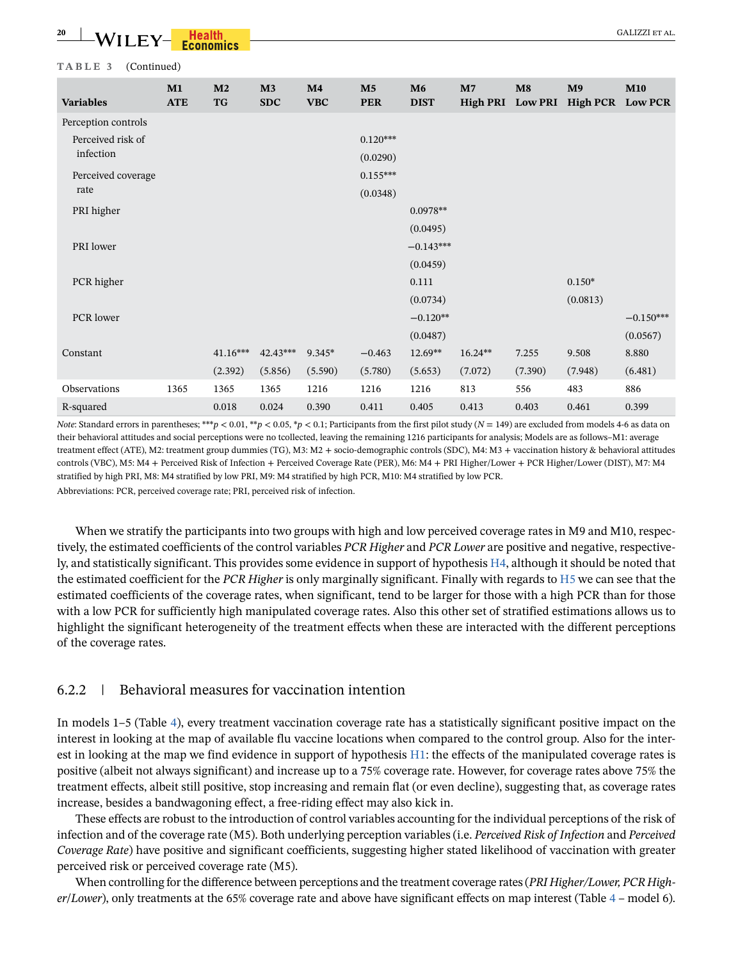<u><del>2011 **1994** GALIZZI ET AL.</u><br>
2011 LEY - Economics - CONSIDER AL. CONSIDER AL. CALIZZI ET AL.</u></u></del>

#### **TABLE 3** (Continued)

| <b>Variables</b>    | M1<br><b>ATE</b> | M <sub>2</sub><br><b>TG</b> | M3<br><b>SDC</b> | M <sub>4</sub><br><b>VBC</b> | M <sub>5</sub><br><b>PER</b> | M6<br><b>DIST</b> | M <sub>7</sub><br>High PRI Low PRI | $\mathbf{M}$ 8 | M <sub>9</sub><br><b>High PCR</b> | <b>M10</b><br><b>Low PCR</b> |
|---------------------|------------------|-----------------------------|------------------|------------------------------|------------------------------|-------------------|------------------------------------|----------------|-----------------------------------|------------------------------|
| Perception controls |                  |                             |                  |                              |                              |                   |                                    |                |                                   |                              |
| Perceived risk of   |                  |                             |                  |                              | $0.120***$                   |                   |                                    |                |                                   |                              |
| infection           |                  |                             |                  |                              | (0.0290)                     |                   |                                    |                |                                   |                              |
| Perceived coverage  |                  |                             |                  |                              | $0.155***$                   |                   |                                    |                |                                   |                              |
| rate                |                  |                             |                  |                              | (0.0348)                     |                   |                                    |                |                                   |                              |
| PRI higher          |                  |                             |                  |                              |                              | $0.0978**$        |                                    |                |                                   |                              |
|                     |                  |                             |                  |                              |                              | (0.0495)          |                                    |                |                                   |                              |
| PRI lower           |                  |                             |                  |                              |                              | $-0.143***$       |                                    |                |                                   |                              |
|                     |                  |                             |                  |                              |                              | (0.0459)          |                                    |                |                                   |                              |
| PCR higher          |                  |                             |                  |                              |                              | 0.111             |                                    |                | $0.150*$                          |                              |
|                     |                  |                             |                  |                              |                              | (0.0734)          |                                    |                | (0.0813)                          |                              |
| PCR lower           |                  |                             |                  |                              |                              | $-0.120**$        |                                    |                |                                   | $-0.150***$                  |
|                     |                  |                             |                  |                              |                              | (0.0487)          |                                    |                |                                   | (0.0567)                     |
| Constant            |                  | $41.16***$                  | 42.43***         | 9.345*                       | $-0.463$                     | $12.69**$         | $16.24**$                          | 7.255          | 9.508                             | 8.880                        |
|                     |                  | (2.392)                     | (5.856)          | (5.590)                      | (5.780)                      | (5.653)           | (7.072)                            | (7.390)        | (7.948)                           | (6.481)                      |
| Observations        | 1365             | 1365                        | 1365             | 1216                         | 1216                         | 1216              | 813                                | 556            | 483                               | 886                          |
| R-squared           |                  | 0.018                       | 0.024            | 0.390                        | 0.411                        | 0.405             | 0.413                              | 0.403          | 0.461                             | 0.399                        |

*Note*: Standard errors in parentheses; \*\*\**p* < 0.01, \*\**p* < 0.05, \**p* < 0.1; Participants from the first pilot study (*N* = 149) are excluded from models 4-6 as data on their behavioral attitudes and social perceptions were no tcollected, leaving the remaining 1216 participants for analysis; Models are as follows–M1: average treatment effect (ATE), M2: treatment group dummies (TG), M3: M2 + socio-demographic controls (SDC), M4: M3 + vaccination history & behavioral attitudes controls (VBC), M5: M4 + Perceived Risk of Infection + Perceived Coverage Rate (PER), M6: M4 + PRI Higher/Lower + PCR Higher/Lower (DIST), M7: M4 stratified by high PRI, M8: M4 stratified by low PRI, M9: M4 stratified by high PCR, M10: M4 stratified by low PCR. Abbreviations: PCR, perceived coverage rate; PRI, perceived risk of infection.

When we stratify the participants into two groups with high and low perceived coverage rates in M9 and M10, respectively, the estimated coefficients of the control variables *PCR Higher* and *PCR Lower* are positive and negative, respectively, and statistically significant. This provides some evidence in support of hypothesis H4, although it should be noted that the estimated coefficient for the *PCR Higher* is only marginally significant. Finally with regards to H5 we can see that the estimated coefficients of the coverage rates, when significant, tend to be larger for those with a high PCR than for those with a low PCR for sufficiently high manipulated coverage rates. Also this other set of stratified estimations allows us to highlight the significant heterogeneity of the treatment effects when these are interacted with the different perceptions of the coverage rates.

### 6.2.2 | Behavioral measures for vaccination intention

In models 1–5 (Table [4](#page-20-0)), every treatment vaccination coverage rate has a statistically significant positive impact on the interest in looking at the map of available flu vaccine locations when compared to the control group. Also for the interest in looking at the map we find evidence in support of hypothesis [H1:](#page-5-4) the effects of the manipulated coverage rates is positive (albeit not always significant) and increase up to a 75% coverage rate. However, for coverage rates above 75% the treatment effects, albeit still positive, stop increasing and remain flat (or even decline), suggesting that, as coverage rates increase, besides a bandwagoning effect, a free-riding effect may also kick in.

These effects are robust to the introduction of control variables accounting for the individual perceptions of the risk of infection and of the coverage rate (M5). Both underlying perception variables (i.e. *Perceived Risk of Infection* and *Perceived Coverage Rate*) have positive and significant coefficients, suggesting higher stated likelihood of vaccination with greater perceived risk or perceived coverage rate (M5).

When controlling for the difference between perceptions and the treatment coverage rates (*PRI Higher/Lower, PCR Higher*/*Lower*), only treatments at the 65% coverage rate and above have significant effects on map interest (Table [4](#page-20-0) – model 6).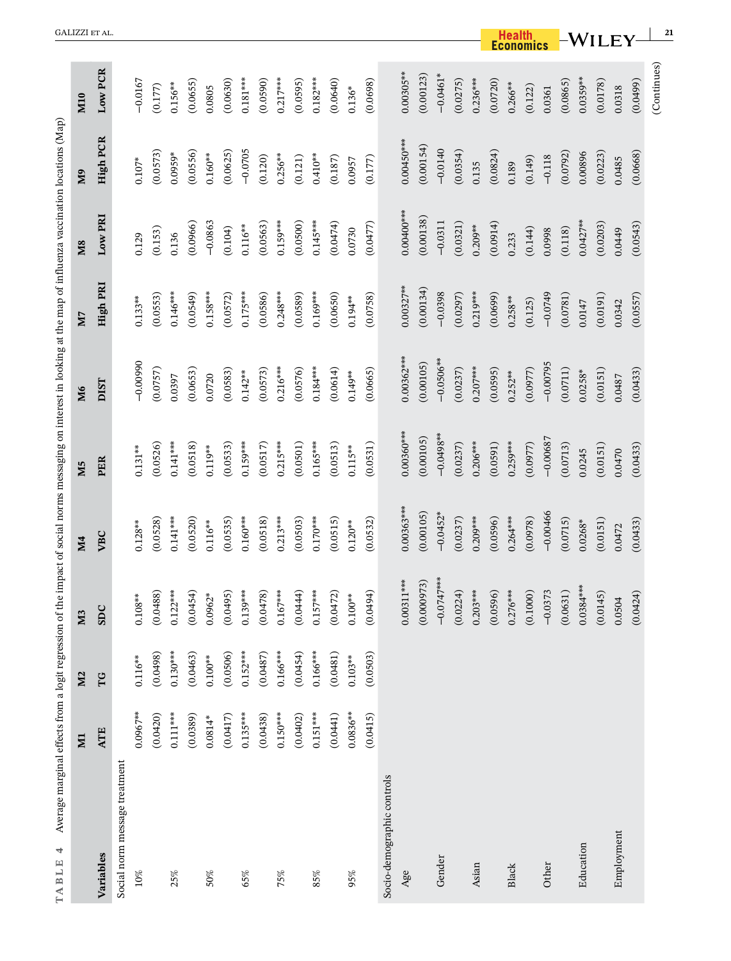<span id="page-20-0"></span>

| Average marginal effects from a logit regression of<br>4<br>TABLE |              |                |                          | the impact of social norms messaging on interest in looking at the map of influenza vaccination locations (Map |                |              |              |                |                 |              |
|-------------------------------------------------------------------|--------------|----------------|--------------------------|----------------------------------------------------------------------------------------------------------------|----------------|--------------|--------------|----------------|-----------------|--------------|
|                                                                   | $\mathbf{E}$ | M <sub>2</sub> | $\mathbf{\omega}$<br>N   | <b>M4</b>                                                                                                      | M <sub>5</sub> | M6           | M7           | M <sub>8</sub> | Μ9              | M10          |
| Variables                                                         | <b>ATE</b>   | TG             | <b>SDC</b>               | VBC                                                                                                            | PER            | DIST         | High PRI     | Low PRI        | <b>High PCR</b> | Low PCR      |
| Social norm message treatment                                     |              |                |                          |                                                                                                                |                |              |              |                |                 |              |
| 10%                                                               | $0.0967***$  | $0.116***$     | $0.108***$               | $0.128***$                                                                                                     | $0.131***$     | $-0.00990$   | $0.133***$   | 0.129          | $0.107*$        | $-0.0167$    |
|                                                                   | (0.0420)     | (0.0498)       | (0.0488)                 | (0.0528)                                                                                                       | (0.0526)       | (0.0757)     | (0.0553)     | (0.153)        | (0.0573)        | (0.177)      |
| 25%                                                               | $0.111***$   | $0.130***$     | $0.122***$               | $0.141***$                                                                                                     | $0.141***$     | 0.0397       | $0.146***$   | 0.136          | $0.0959*$       | $0.156***$   |
|                                                                   | (0.0389)     | (0.0463)       | (0.0454)                 | (0.0520)                                                                                                       | (0.0518)       | (0.0653)     | (0.0549)     | (0.0966)       | (0.0556)        | (0.0655)     |
| 50%                                                               | $0.0814*$    | $0.100***$     | $0.0962*$                | $0.116***$                                                                                                     | $0.119***$     | 0.0720       | $0.158***$   | $-0.0863$      | $0.160***$      | 0.0805       |
|                                                                   | (0.0417)     | (0.0506)       | (0.0495)                 | (0.0535)                                                                                                       | (0.0533)       | (0.0583)     | (0.0572)     | (0.104)        | (0.0625)        | (0.0630)     |
| 65%                                                               | $0.135***$   | $0.152***$     | 139***<br>$\overline{0}$ | $0.160***$                                                                                                     | $0.159***$     | $0.142***$   | $0.175***$   | $0.116**$      | $-0.0705$       | $0.181***$   |
|                                                                   | (0.0438)     | (0.0487)       | (0.0478)                 | (0.0518)                                                                                                       | (0.0517)       | (0.0573)     | (0.0586)     | (0.0563)       | (0.120)         | (0.0590)     |
| 75%                                                               | $0.150***$   | $0.166***$     | $0.167***$               | $0.213***$                                                                                                     | $0.215***$     | $0.216***$   | $0.248***$   | $0.159***$     | $0.256***$      | $0.217***$   |
|                                                                   | (0.0402)     | (0.0454)       | (0.0444)                 | (0.0503)                                                                                                       | (0.0501)       | (0.0576)     | (0.0589)     | (0.0500)       | (0.121)         | (0.0595)     |
| 85%                                                               | $0.151***$   | $0.166***$     | $0.157***$               | $0.170***$                                                                                                     | $0.165***$     | $0.184***$   | $0.169***$   | $0.145***$     | $0.410***$      | $0.182***$   |
|                                                                   | (0.0441)     | (0.0481)       | (0.0472)                 | (0.0515)                                                                                                       | (0.0513)       | (0.0614)     | (0.0650)     | (0.0474)       | (0.187)         | (0.0640)     |
| 95%                                                               | $0.0836***$  | $0.103***$     | $0.100***$               | $0.120**$                                                                                                      | $0.115***$     | $0.149***$   | $0.194***$   | 0.0730         | 0.0957          | $0.136*$     |
|                                                                   | (0.0415)     | (0.0503)       | (0.0494)                 | (0.0532)                                                                                                       | (0.0531)       | (0.0665)     | (0.0758)     | (0.0477)       | (0.177)         | (0.0698)     |
| Socio-demographic controls                                        |              |                |                          |                                                                                                                |                |              |              |                |                 |              |
| Age                                                               |              |                | $0.00311***$             | $0.00363***$                                                                                                   | $0.00360***$   | $0.00362***$ | $0.00327***$ | $0.00400***$   | $0.00450***$    | $0.00305***$ |
|                                                                   |              |                | (0.000973)               | (0.00105)                                                                                                      | (0.00105)      | (0.00105)    | (0.00134)    | (0.00138)      | (0.00154)       | (0.00123)    |
| Gender                                                            |              |                | $-0.0747***$             | $-0.0452*$                                                                                                     | $-0.0498**$    | $-0.0506**$  | $-0.0398$    | $-0.0311$      | $-0.0140$       | $-0.0461*$   |
|                                                                   |              |                | (0.0224)                 | (0.0237)                                                                                                       | (0.0237)       | (0.0237)     | (0.0297)     | (0.0321)       | (0.0354)        | (0.0275)     |
| Asian                                                             |              |                | $0.203***$               | $0.209***$                                                                                                     | $0.206***$     | $0.207***$   | $0.219***$   | $0.209***$     | 0.135           | $0.236***$   |
|                                                                   |              |                | (0.0596)                 | (0.0596)                                                                                                       | (0.0591)       | (0.0595)     | (0.0699)     | (0.0914)       | (0.0824)        | (0.0720)     |
| <b>Black</b>                                                      |              |                | $0.276***$               | $0.264***$                                                                                                     | $0.259***$     | $0.252***$   | $0.258***$   | 0.233          | 0.189           | $0.266***$   |
|                                                                   |              |                | (0.1000)                 | (0.0978)                                                                                                       | (0.0977)       | (0.0977)     | (0.125)      | (0.144)        | (0.149)         | (0.122)      |
| Other                                                             |              |                | $-0.0373$                | $-0.00466$                                                                                                     | $-0.00687$     | $-0.00795$   | $-0.0749$    | 0.0998         | $-0.118$        | 0.0361       |
|                                                                   |              |                | (0.0631)                 | (0.0715)                                                                                                       | (0.0713)       | (0.0711)     | (0.0781)     | (0.118)        | (0.0792)        | (0.0865)     |
| Education                                                         |              |                | $0.0384***$              | $0.0268*$                                                                                                      | 0.0245         | $0.0258*$    | 0.0147       | $0.0427***$    | 0.00896         | $0.0359***$  |
|                                                                   |              |                | (0.0145)                 | (0.0151)                                                                                                       | (0.0151)       | (0.0151)     | (0.0191)     | (0.0203)       | (0.0223)        | (0.0178)     |
| Employment                                                        |              |                | 0.0504                   | 0.0472                                                                                                         | 0.0470         | 0.0487       | 0.0342       | 0.0449         | 0.0485          | 0.0318       |
|                                                                   |              |                | (0.0424)                 | (0.0433)                                                                                                       | (0.0433)       | (0.0433)     | (0.0557)     | (0.0543)       | (0.0668)        | (0.0499)     |
|                                                                   |              |                |                          |                                                                                                                |                |              |              |                |                 | (Continues)  |

 $\frac{1}{2}$   $\frac{1}{2}$   $\frac{1}{2}$   $\frac{1}{2}$   $\frac{1}{2}$   $\frac{1}{2}$   $\frac{1}{2}$   $\frac{1}{2}$   $\frac{1}{2}$   $\frac{1}{2}$   $\frac{1}{2}$   $\frac{1}{2}$   $\frac{1}{2}$   $\frac{1}{2}$   $\frac{1}{2}$   $\frac{1}{2}$   $\frac{1}{2}$   $\frac{1}{2}$   $\frac{1}{2}$   $\frac{1}{2}$   $\frac{1}{2}$   $\frac{1}{2}$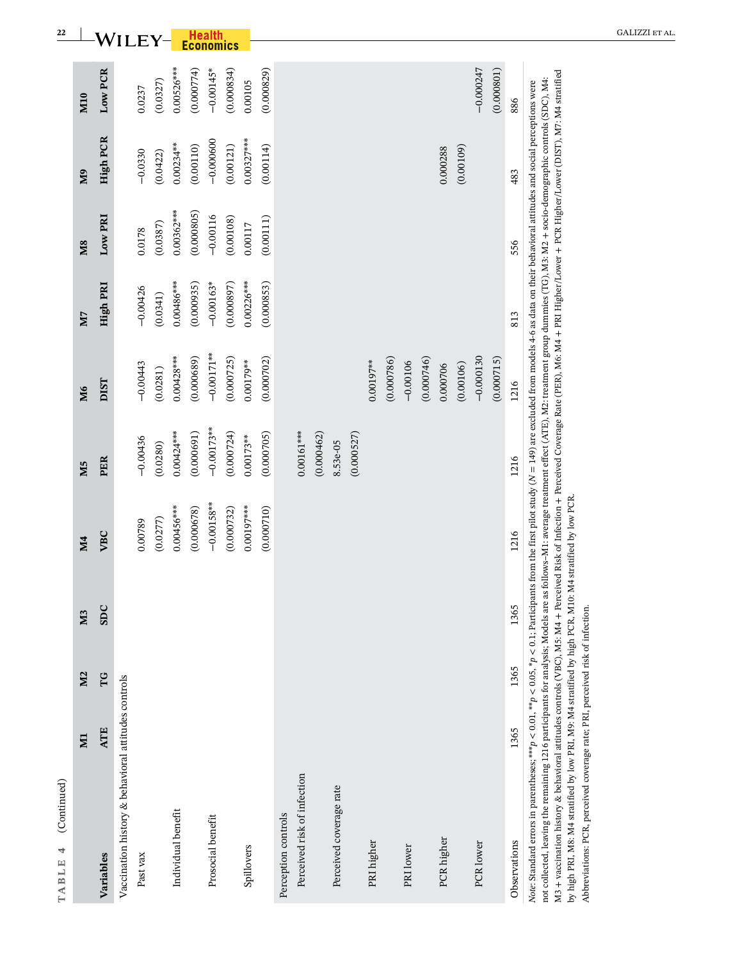|                                                                                                                                                                                                                                                                                                                                                                                                                                                                                                                                                                                                                                                                                                                                              | ZД         | M <sub>2</sub> | M <sub>3</sub> | <b>M4</b>                    | M <sub>5</sub> | M6            | N <sub>7</sub> | M <sub>8</sub> | <b>M</b> <sub>9</sub> | <b>M10</b>   |
|----------------------------------------------------------------------------------------------------------------------------------------------------------------------------------------------------------------------------------------------------------------------------------------------------------------------------------------------------------------------------------------------------------------------------------------------------------------------------------------------------------------------------------------------------------------------------------------------------------------------------------------------------------------------------------------------------------------------------------------------|------------|----------------|----------------|------------------------------|----------------|---------------|----------------|----------------|-----------------------|--------------|
| Variables                                                                                                                                                                                                                                                                                                                                                                                                                                                                                                                                                                                                                                                                                                                                    | <b>ATE</b> | TG             | <b>SDC</b>     | VBC                          | PER            | <b>DIST</b>   | High PRI       | Low PRI        | <b>High PCR</b>       | Low PCR      |
| Vaccination history & behavioral attitudes controls                                                                                                                                                                                                                                                                                                                                                                                                                                                                                                                                                                                                                                                                                          |            |                |                |                              |                |               |                |                |                       |              |
| Past vax                                                                                                                                                                                                                                                                                                                                                                                                                                                                                                                                                                                                                                                                                                                                     |            |                |                | 0.00789                      | $-0.00436$     | $-0.00443$    | $-0.00426$     | 0.0178         | $-0.0330$             | 0.0237       |
|                                                                                                                                                                                                                                                                                                                                                                                                                                                                                                                                                                                                                                                                                                                                              |            |                |                | (0.0277)                     | (0.0280)       | (0.0281)      | (0.0341)       | (0.0387)       | (0.0422)              | (0.0327)     |
| Individual benefit                                                                                                                                                                                                                                                                                                                                                                                                                                                                                                                                                                                                                                                                                                                           |            |                |                | $0.00456***$                 | $0.00424***$   | $0.00428***$  | $0.00486***$   | $0.00362***$   | $0.00234***$          | $0.00526***$ |
|                                                                                                                                                                                                                                                                                                                                                                                                                                                                                                                                                                                                                                                                                                                                              |            |                |                | (0.000678)                   | (0.000691)     | (0.000689)    | (0.000935)     | (0.000805)     | (0.00110)             | (0.000774)   |
| Prosocial benefit                                                                                                                                                                                                                                                                                                                                                                                                                                                                                                                                                                                                                                                                                                                            |            |                |                | $-0.00158***$                | $-0.00173***$  | $-0.00171***$ | $-0.00163*$    | $-0.00116$     | $-0.000600$           | $-0.00145*$  |
|                                                                                                                                                                                                                                                                                                                                                                                                                                                                                                                                                                                                                                                                                                                                              |            |                |                | (0.000732)                   | (0.000724)     | (0.000725)    | (0.000897)     | (0.00108)      | (0.00121)             | (0.000834)   |
| Spillovers                                                                                                                                                                                                                                                                                                                                                                                                                                                                                                                                                                                                                                                                                                                                   |            |                |                | $0.00197***$                 | $0.00173***$   | $0.00179***$  | $0.00226***$   | 0.00117        | $0.00327***$          | 0.00105      |
|                                                                                                                                                                                                                                                                                                                                                                                                                                                                                                                                                                                                                                                                                                                                              |            |                |                | (0.000710)                   | (0.000705)     | (0.000702)    | (0.000853)     | (0.00111)      | (0.00114)             | (0.000829)   |
| Perception controls                                                                                                                                                                                                                                                                                                                                                                                                                                                                                                                                                                                                                                                                                                                          |            |                |                |                              |                |               |                |                |                       |              |
| Perceived risk of infection                                                                                                                                                                                                                                                                                                                                                                                                                                                                                                                                                                                                                                                                                                                  |            |                |                |                              | $0.00161***$   |               |                |                |                       |              |
|                                                                                                                                                                                                                                                                                                                                                                                                                                                                                                                                                                                                                                                                                                                                              |            |                |                |                              | (0.000462)     |               |                |                |                       |              |
| Perceived coverage rate                                                                                                                                                                                                                                                                                                                                                                                                                                                                                                                                                                                                                                                                                                                      |            |                |                |                              | 8.53e-05       |               |                |                |                       |              |
|                                                                                                                                                                                                                                                                                                                                                                                                                                                                                                                                                                                                                                                                                                                                              |            |                |                |                              | (0.000527)     |               |                |                |                       |              |
| PRI higher                                                                                                                                                                                                                                                                                                                                                                                                                                                                                                                                                                                                                                                                                                                                   |            |                |                |                              |                | $0.00197***$  |                |                |                       |              |
|                                                                                                                                                                                                                                                                                                                                                                                                                                                                                                                                                                                                                                                                                                                                              |            |                |                |                              |                | (0.000786)    |                |                |                       |              |
| PRI lower                                                                                                                                                                                                                                                                                                                                                                                                                                                                                                                                                                                                                                                                                                                                    |            |                |                |                              |                | $-0.00106$    |                |                |                       |              |
|                                                                                                                                                                                                                                                                                                                                                                                                                                                                                                                                                                                                                                                                                                                                              |            |                |                |                              |                | (0.000746)    |                |                |                       |              |
| PCR higher                                                                                                                                                                                                                                                                                                                                                                                                                                                                                                                                                                                                                                                                                                                                   |            |                |                |                              |                | 0.000706      |                |                | 0.000288              |              |
|                                                                                                                                                                                                                                                                                                                                                                                                                                                                                                                                                                                                                                                                                                                                              |            |                |                |                              |                | (0.00106)     |                |                | (0.00109)             |              |
| PCR lower                                                                                                                                                                                                                                                                                                                                                                                                                                                                                                                                                                                                                                                                                                                                    |            |                |                |                              |                | $-0.000130$   |                |                |                       | $-0.000247$  |
|                                                                                                                                                                                                                                                                                                                                                                                                                                                                                                                                                                                                                                                                                                                                              |            |                |                |                              |                | (0.000715)    |                |                |                       | (0.000801)   |
| Observations                                                                                                                                                                                                                                                                                                                                                                                                                                                                                                                                                                                                                                                                                                                                 | 1365       | 1365           | 1365           | 1216                         | 1216           | 1216          | 813            | 556            | 483                   | 886          |
| M3 + vaccination history & behavioral attitudes controls (VBC), M5: M4 + Perceived Risk of Infection + Perceived Coverage Rate (PER), M6: M4 + PRI Higher/Lower + PCR Higher/Lower (DIST), M7: M4 stratified<br>not collected, leaving the remaining 1216 participants for analysis; Models are as follows-M1: average treatment effect (ATE), M2: treatment group dummies (TG), M3: M2 + socio-demographic controls (SDC), M4:<br>Note: Standard errors in parentheses; ***p < 0.01, **p < 0.05, *p < 0.1; Participants from the first pilot study (N = 149) are excluded from models 4-6 as data on their behavioral attitudes and social perceptions were<br>by high PRI, M8: M4 stratified by low PRI, M9: M4 stratified by high PCR, M1 |            |                |                | 0: M4 stratified by low PCR. |                |               |                |                |                       |              |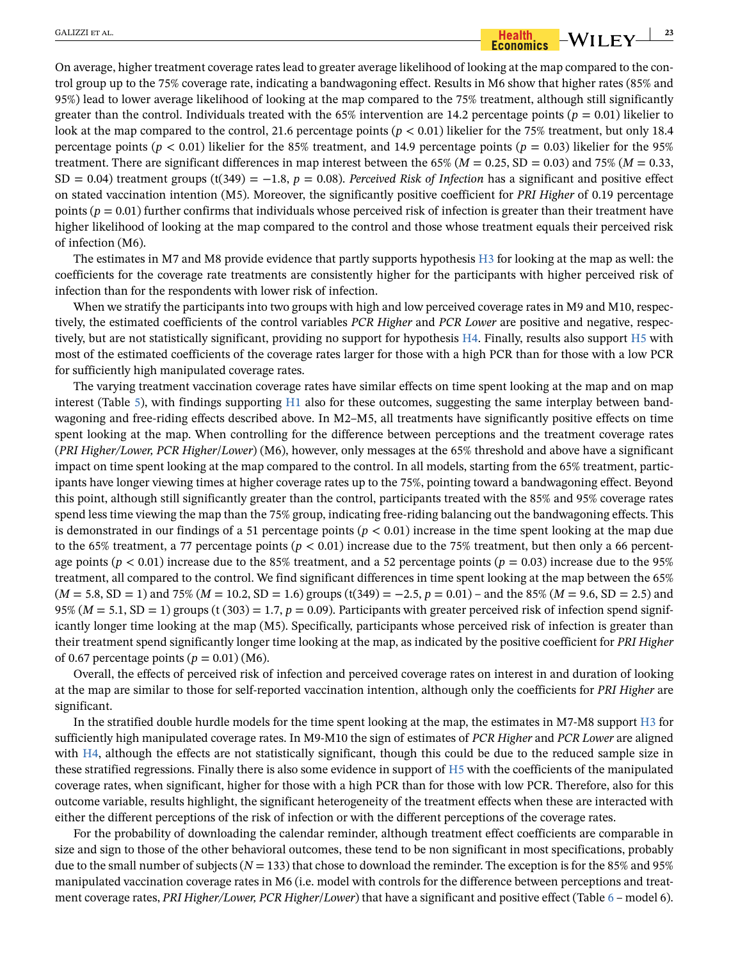# $\frac{1}{2}$   $\frac{1}{2}$   $\frac{1}{2}$   $\frac{1}{2}$   $\frac{1}{2}$   $\frac{1}{2}$   $\frac{1}{2}$   $\frac{1}{2}$   $\frac{1}{2}$   $\frac{1}{2}$   $\frac{1}{2}$   $\frac{1}{2}$   $\frac{1}{2}$   $\frac{1}{2}$   $\frac{1}{2}$   $\frac{1}{2}$   $\frac{1}{2}$   $\frac{1}{2}$   $\frac{1}{2}$   $\frac{1}{2}$   $\frac{1}{2}$   $\frac{1}{2}$

On average, higher treatment coverage rates lead to greater average likelihood of looking at the map compared to the control group up to the 75% coverage rate, indicating a bandwagoning effect. Results in M6 show that higher rates (85% and 95%) lead to lower average likelihood of looking at the map compared to the 75% treatment, although still significantly greater than the control. Individuals treated with the 65% intervention are 14.2 percentage points ( $p = 0.01$ ) likelier to look at the map compared to the control, 21.6 percentage points ( $p < 0.01$ ) likelier for the 75% treatment, but only 18.4 percentage points ( $p < 0.01$ ) likelier for the 85% treatment, and 14.9 percentage points ( $p = 0.03$ ) likelier for the 95% treatment. There are significant differences in map interest between the 65% ( $M = 0.25$ , SD = 0.03) and 75% ( $M = 0.33$ , SD = 0.04) treatment groups  $(t(349) = -1.8, p = 0.08)$ . *Perceived Risk of Infection* has a significant and positive effect on stated vaccination intention (M5). Moreover, the significantly positive coefficient for *PRI Higher* of 0.19 percentage points ( $p = 0.01$ ) further confirms that individuals whose perceived risk of infection is greater than their treatment have higher likelihood of looking at the map compared to the control and those whose treatment equals their perceived risk of infection (M6).

The estimates in M7 and M8 provide evidence that partly supports hypothesis [H3](#page-6-2) for looking at the map as well: the coefficients for the coverage rate treatments are consistently higher for the participants with higher perceived risk of infection than for the respondents with lower risk of infection.

When we stratify the participants into two groups with high and low perceived coverage rates in M9 and M10, respectively, the estimated coefficients of the control variables *PCR Higher* and *PCR Lower* are positive and negative, respectively, but are not statistically significant, providing no support for hypothesis [H4](#page-7-2). Finally, results also support H5 with most of the estimated coefficients of the coverage rates larger for those with a high PCR than for those with a low PCR for sufficiently high manipulated coverage rates.

The varying treatment vaccination coverage rates have similar effects on time spent looking at the map and on map interest (Table [5](#page-23-0)), with findings supporting [H1](#page-5-4) also for these outcomes, suggesting the same interplay between bandwagoning and free-riding effects described above. In M2–M5, all treatments have significantly positive effects on time spent looking at the map. When controlling for the difference between perceptions and the treatment coverage rates (*PRI Higher/Lower, PCR Higher*/*Lower*) (M6), however, only messages at the 65% threshold and above have a significant impact on time spent looking at the map compared to the control. In all models, starting from the 65% treatment, participants have longer viewing times at higher coverage rates up to the 75%, pointing toward a bandwagoning effect. Beyond this point, although still significantly greater than the control, participants treated with the 85% and 95% coverage rates spend less time viewing the map than the 75% group, indicating free-riding balancing out the bandwagoning effects. This is demonstrated in our findings of a 51 percentage points  $(p < 0.01)$  increase in the time spent looking at the map due to the 65% treatment, a 77 percentage points  $(p < 0.01)$  increase due to the 75% treatment, but then only a 66 percentage points ( $p < 0.01$ ) increase due to the 85% treatment, and a 52 percentage points ( $p = 0.03$ ) increase due to the 95% treatment, all compared to the control. We find significant differences in time spent looking at the map between the 65% (*M* = 5.8, SD = 1) and 75% (*M* = 10.2, SD = 1.6) groups (t(349) = −2.5, *p* = 0.01) – and the 85% (*M* = 9.6, SD = 2.5) and 95% ( $M = 5.1$ , SD = 1) groups (t (303) = 1.7,  $p = 0.09$ ). Participants with greater perceived risk of infection spend significantly longer time looking at the map (M5). Specifically, participants whose perceived risk of infection is greater than their treatment spend significantly longer time looking at the map, as indicated by the positive coefficient for *PRI Higher* of 0.67 percentage points  $(p = 0.01)$  (M6).

Overall, the effects of perceived risk of infection and perceived coverage rates on interest in and duration of looking at the map are similar to those for self-reported vaccination intention, although only the coefficients for *PRI Higher* are significant.

In the stratified double hurdle models for the time spent looking at the map, the estimates in M7-M8 support [H3](#page-6-2) for sufficiently high manipulated coverage rates. In M9-M10 the sign of estimates of *PCR Higher* and *PCR Lower* are aligned with [H4](#page-7-2), although the effects are not statistically significant, though this could be due to the reduced sample size in these stratified regressions. Finally there is also some evidence in support of [H5](#page-7-2) with the coefficients of the manipulated coverage rates, when significant, higher for those with a high PCR than for those with low PCR. Therefore, also for this outcome variable, results highlight, the significant heterogeneity of the treatment effects when these are interacted with either the different perceptions of the risk of infection or with the different perceptions of the coverage rates.

For the probability of downloading the calendar reminder, although treatment effect coefficients are comparable in size and sign to those of the other behavioral outcomes, these tend to be non significant in most specifications, probably due to the small number of subjects ( $N = 133$ ) that chose to download the reminder. The exception is for the 85% and 95% manipulated vaccination coverage rates in M6 (i.e. model with controls for the difference between perceptions and treatment coverage rates, *PRI Higher/Lower, PCR Higher*/*Lower*) that have a significant and positive effect (Table [6](#page-25-0) – model 6).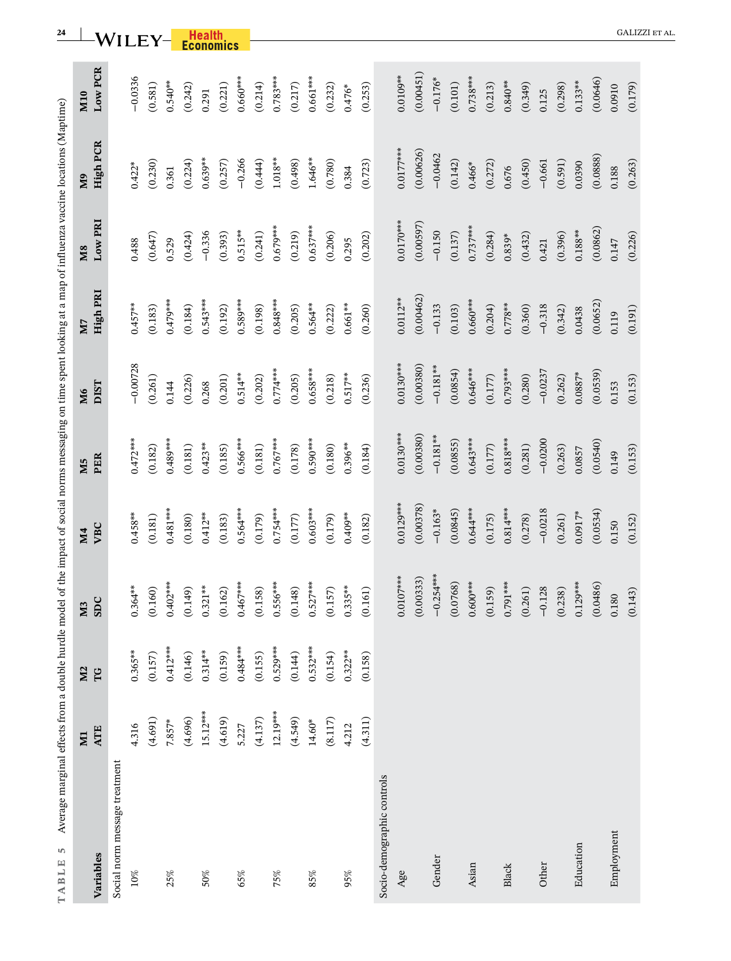<span id="page-23-0"></span>

| Average marginal effects from a double hurdle model of the impact of social norms messaging on time spent looking at a map of influenza vaccine locations (Maptime)<br>S<br>TABLE |                |                |             |             |             |             |             |             |                 |             |
|-----------------------------------------------------------------------------------------------------------------------------------------------------------------------------------|----------------|----------------|-------------|-------------|-------------|-------------|-------------|-------------|-----------------|-------------|
|                                                                                                                                                                                   | $\overline{M}$ | M <sub>2</sub> | $M3$<br>SDC | <b>M4</b>   | M5          | M6          | N7          | <b>M8</b>   | Μ9              | <b>M10</b>  |
| Variables                                                                                                                                                                         | <b>ATE</b>     | TG             |             | VBC         | PER         | <b>DIST</b> | High PRI    | Low PRI     | <b>High PCR</b> | Low PCR     |
| Social norm message treatment                                                                                                                                                     |                |                |             |             |             |             |             |             |                 |             |
| 10%                                                                                                                                                                               | 4.316          | $0.365***$     | $0.364***$  | $0.458***$  | $0.472***$  | $-0.00728$  | $0.457***$  | 0.488       | $0.422*$        | $-0.0336$   |
|                                                                                                                                                                                   | (4.691)        | (0.157)        | (0.160)     | (0.181)     | (0.182)     | (0.261)     | (0.183)     | (0.647)     | (0.230)         | (0.581)     |
| 25%                                                                                                                                                                               | $7.857*$       | $0.412***$     | $0.402***$  | $0.481***$  | $0.489***$  | 0.144       | $0.479***$  | 0.529       | 0.361           | $0.540***$  |
|                                                                                                                                                                                   | (4.696)        | (0.146)        | (0.149)     | (0.180)     | (0.181)     | (0.226)     | (0.184)     | (0.424)     | (0.224)         | (0.242)     |
| 50%                                                                                                                                                                               | $15.12***$     | $0.314***$     | $0.321***$  | $0.412***$  | $0.423***$  | 0.268       | $0.543***$  | $-0.336$    | $0.639**$       | 0.291       |
|                                                                                                                                                                                   | (4.619)        | (0.159)        | (0.162)     | (0.183)     | (0.185)     | (0.201)     | (0.192)     | (0.393)     | (0.257)         | (0.221)     |
| 65%                                                                                                                                                                               | 5.227          | $0.484***$     | $0.467***$  | $0.564***$  | $0.566***$  | $0.514***$  | $0.589***$  | $0.515***$  | $-0.266$        | $0.660***$  |
|                                                                                                                                                                                   | (4.137)        | (0.155)        | (0.158)     | (0.179)     | (0.181)     | (0.202)     | (0.198)     | (0.241)     | (0.444)         | (0.214)     |
| 75%                                                                                                                                                                               | $12.19***$     | $0.529***$     | $0.556***$  | $0.754***$  | $0.767***$  | $0.774***$  | $0.848***$  | $0.679***$  | $1.018^{**}$    | $0.783***$  |
|                                                                                                                                                                                   | (4.549)        | (0.144)        | (0.148)     | (0.177)     | (0.178)     | (0.205)     | (0.205)     | (0.219)     | (0.498)         | (0.217)     |
| 85%                                                                                                                                                                               | $14.60*$       | $0.532***$     | $0.527***$  | $0.603***$  | $0.590***$  | $0.658***$  | $0.564***$  | $0.637***$  | $1.646***$      | $0.661***$  |
|                                                                                                                                                                                   | (8.117)        | (0.154)        | (0.157)     | (0.179)     | (0.180)     | (0.218)     | (0.222)     | (0.206)     | (0.780)         | (0.232)     |
| 95%                                                                                                                                                                               | 4.212          | $0.322***$     | $0.335***$  | $0.409***$  | $0.396***$  | $0.517***$  | $0.661***$  | 0.295       | 0.384           | $0.476*$    |
|                                                                                                                                                                                   | (4.311)        | (0.158)        | (0.161)     | (0.182)     | (0.184)     | (0.236)     | (0.260)     | (0.202)     | (0.723)         | (0.253)     |
| Socio-demographic controls                                                                                                                                                        |                |                |             |             |             |             |             |             |                 |             |
| Age                                                                                                                                                                               |                |                | $0.0107***$ | $0.0129***$ | $0.0130***$ | $0.0130***$ | $0.0112***$ | $0.0170***$ | $0.0177***$     | $0.0109***$ |
|                                                                                                                                                                                   |                |                | (0.00333)   | (0.00378)   | (0.00380)   | (0.00380)   | (0.00462)   | (0.00597)   | (0.00626)       | (0.00451)   |
| Gender                                                                                                                                                                            |                |                | $-0.254***$ | $-0.163*$   | $-0.181***$ | $-0.181***$ | $-0.133$    | $-0.150$    | $-0.0462$       | $-0.176*$   |
|                                                                                                                                                                                   |                |                | (0.0768)    | (0.0845)    | (0.0855)    | (0.0854)    | (0.103)     | (0.137)     | (0.142)         | (0.101)     |
| Asian                                                                                                                                                                             |                |                | $0.600***$  | $0.644***$  | $0.643***$  | $0.646***$  | $0.660***$  | $0.737***$  | $0.466*$        | $0.738***$  |
|                                                                                                                                                                                   |                |                | (0.159)     | (0.175)     | (0.177)     | (0.177)     | (0.204)     | (0.284)     | (0.272)         | (0.213)     |
| Black                                                                                                                                                                             |                |                | $0.791***$  | $0.814***$  | $0.818***$  | $0.793***$  | $0.778***$  | $0.839*$    | 0.676           | $0.840***$  |
|                                                                                                                                                                                   |                |                | (0.261)     | (0.278)     | (0.281)     | (0.280)     | (0.360)     | (0.432)     | (0.450)         | (0.349)     |
| Other                                                                                                                                                                             |                |                | $-0.128$    | $-0.0218$   | $-0.0200$   | $-0.0237$   | $-0.318$    | 0.421       | $-0.661$        | 0.125       |
|                                                                                                                                                                                   |                |                | (0.238)     | (0.261)     | (0.263)     | (0.262)     | (0.342)     | (0.396)     | (0.591)         | (0.298)     |
| Education                                                                                                                                                                         |                |                | $0.129***$  | $0.0917*$   | 0.0857      | $0.0887*$   | 0.0438      | $0.188***$  | 0.0390          | $0.133***$  |
|                                                                                                                                                                                   |                |                | (0.0486)    | (0.0534)    | (0.0540)    | (0.0539)    | (0.0652)    | (0.0862)    | (0.0888)        | (0.0646)    |
| Employment                                                                                                                                                                        |                |                | 0.180       | 0.150       | 0.149       | 0.153       | 0.119       | 0.147       | 0.188           | 0.0910      |
|                                                                                                                                                                                   |                |                | (0.143)     | (0.152)     | (0.153)     | (0.153)     | (0.191)     | (0.226)     | (0.263)         | (0.179)     |

**24** WILEY-**Health CALIZZI ET AL.**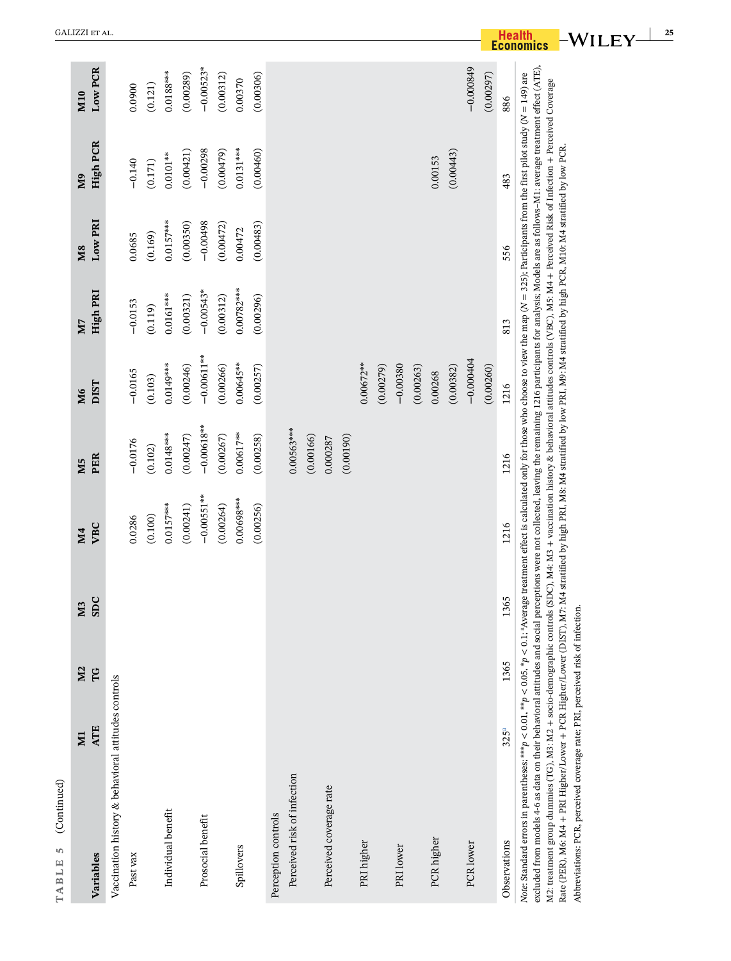<span id="page-24-0"></span>

| (Continued)<br>S<br>TABLE                                                                                                                                                                                                                                                                                                                                                                                                                                                                                                                                                                                                                                                                                                                                                                                                                                             |                         |                      |           |                  |                       |                   |                |                      |                       |                |
|-----------------------------------------------------------------------------------------------------------------------------------------------------------------------------------------------------------------------------------------------------------------------------------------------------------------------------------------------------------------------------------------------------------------------------------------------------------------------------------------------------------------------------------------------------------------------------------------------------------------------------------------------------------------------------------------------------------------------------------------------------------------------------------------------------------------------------------------------------------------------|-------------------------|----------------------|-----------|------------------|-----------------------|-------------------|----------------|----------------------|-----------------------|----------------|
| Variables                                                                                                                                                                                                                                                                                                                                                                                                                                                                                                                                                                                                                                                                                                                                                                                                                                                             | <b>ATE</b><br><b>NI</b> | M <sub>2</sub><br>FG | SDC<br>M3 | VBC<br><b>M4</b> | PER<br>M <sub>5</sub> | <b>DIST</b><br>M6 | High PRI<br>N7 | Low PRI<br><b>M8</b> | <b>High PCR</b><br>QM | Low PCR<br>M10 |
|                                                                                                                                                                                                                                                                                                                                                                                                                                                                                                                                                                                                                                                                                                                                                                                                                                                                       |                         |                      |           |                  |                       |                   |                |                      |                       |                |
| Vaccination history & behavioral attitudes controls                                                                                                                                                                                                                                                                                                                                                                                                                                                                                                                                                                                                                                                                                                                                                                                                                   |                         |                      |           |                  |                       |                   |                |                      |                       |                |
| Past vax                                                                                                                                                                                                                                                                                                                                                                                                                                                                                                                                                                                                                                                                                                                                                                                                                                                              |                         |                      |           | 0.0286           | $-0.0176$             | $-0.0165$         | $-0.0153$      | 0.0685               | $-0.140$              | 0.0900         |
|                                                                                                                                                                                                                                                                                                                                                                                                                                                                                                                                                                                                                                                                                                                                                                                                                                                                       |                         |                      |           | (0.100)          | (0.102)               | (0.103)           | (0.119)        | (0.169)              | (0.171)               | (0.121)        |
| Individual benefit                                                                                                                                                                                                                                                                                                                                                                                                                                                                                                                                                                                                                                                                                                                                                                                                                                                    |                         |                      |           | $0.0157***$      | $0.0148***$           | $0.0149***$       | $0.0161***$    | $0.0157***$          | $0.0101***$           | $0.0188***$    |
|                                                                                                                                                                                                                                                                                                                                                                                                                                                                                                                                                                                                                                                                                                                                                                                                                                                                       |                         |                      |           | (0.00241)        | (0.00247)             | (0.00246)         | (0.00321)      | (0.00350)            | (0.00421)             | (0.00289)      |
| Prosocial benefit                                                                                                                                                                                                                                                                                                                                                                                                                                                                                                                                                                                                                                                                                                                                                                                                                                                     |                         |                      |           | $-0.00551***$    | $-0.00618***$         | $-0.00611***$     | $-0.00543*$    | $-0.00498$           | $-0.00298$            | $-0.00523*$    |
|                                                                                                                                                                                                                                                                                                                                                                                                                                                                                                                                                                                                                                                                                                                                                                                                                                                                       |                         |                      |           | (0.00264)        | (0.00267)             | (0.00266)         | (0.00312)      | (0.00472)            | (0.00479)             | (0.00312)      |
| Spillovers                                                                                                                                                                                                                                                                                                                                                                                                                                                                                                                                                                                                                                                                                                                                                                                                                                                            |                         |                      |           | $0.00698***$     | $0.00617***$          | $0.00645***$      | $0.00782***$   | 0.00472              | $0.0131***$           | 0.00370        |
|                                                                                                                                                                                                                                                                                                                                                                                                                                                                                                                                                                                                                                                                                                                                                                                                                                                                       |                         |                      |           | (0.00256)        | (0.00258)             | (0.00257)         | (0.00296)      | (0.00483)            | (0.00460)             | (0.00306)      |
| Perception controls                                                                                                                                                                                                                                                                                                                                                                                                                                                                                                                                                                                                                                                                                                                                                                                                                                                   |                         |                      |           |                  |                       |                   |                |                      |                       |                |
| Perceived risk of infection                                                                                                                                                                                                                                                                                                                                                                                                                                                                                                                                                                                                                                                                                                                                                                                                                                           |                         |                      |           |                  | $0.00563***$          |                   |                |                      |                       |                |
|                                                                                                                                                                                                                                                                                                                                                                                                                                                                                                                                                                                                                                                                                                                                                                                                                                                                       |                         |                      |           |                  | (0.00166)             |                   |                |                      |                       |                |
| Perceived coverage rate                                                                                                                                                                                                                                                                                                                                                                                                                                                                                                                                                                                                                                                                                                                                                                                                                                               |                         |                      |           |                  | 0.000287              |                   |                |                      |                       |                |
|                                                                                                                                                                                                                                                                                                                                                                                                                                                                                                                                                                                                                                                                                                                                                                                                                                                                       |                         |                      |           |                  | (0.00190)             |                   |                |                      |                       |                |
| PRI higher                                                                                                                                                                                                                                                                                                                                                                                                                                                                                                                                                                                                                                                                                                                                                                                                                                                            |                         |                      |           |                  |                       | $0.00672***$      |                |                      |                       |                |
|                                                                                                                                                                                                                                                                                                                                                                                                                                                                                                                                                                                                                                                                                                                                                                                                                                                                       |                         |                      |           |                  |                       | (0.00279)         |                |                      |                       |                |
| PRI lower                                                                                                                                                                                                                                                                                                                                                                                                                                                                                                                                                                                                                                                                                                                                                                                                                                                             |                         |                      |           |                  |                       | $-0.00380$        |                |                      |                       |                |
|                                                                                                                                                                                                                                                                                                                                                                                                                                                                                                                                                                                                                                                                                                                                                                                                                                                                       |                         |                      |           |                  |                       | (0.00263)         |                |                      |                       |                |
| PCR higher                                                                                                                                                                                                                                                                                                                                                                                                                                                                                                                                                                                                                                                                                                                                                                                                                                                            |                         |                      |           |                  |                       | 0.00268           |                |                      | 0.00153               |                |
|                                                                                                                                                                                                                                                                                                                                                                                                                                                                                                                                                                                                                                                                                                                                                                                                                                                                       |                         |                      |           |                  |                       | (0.00382)         |                |                      | (0.00443)             |                |
| PCR lower                                                                                                                                                                                                                                                                                                                                                                                                                                                                                                                                                                                                                                                                                                                                                                                                                                                             |                         |                      |           |                  |                       | $-0.000404$       |                |                      |                       | $-0.000849$    |
|                                                                                                                                                                                                                                                                                                                                                                                                                                                                                                                                                                                                                                                                                                                                                                                                                                                                       |                         |                      |           |                  |                       | (0.00260)         |                |                      |                       | (0.00297)      |
| Observations                                                                                                                                                                                                                                                                                                                                                                                                                                                                                                                                                                                                                                                                                                                                                                                                                                                          | 325 <sup>a</sup>        | 1365                 | 365       | 1216             | 1216                  | 1216              | 813            | 556                  | 483                   | 886            |
| excluded from models 4-6 as data on their behavioral attitudes and social perceptions were not collected, leaving the remaining 1216 participants for analysis; Models are as follows-M1: average treatment effect (ATE),<br>Note: Standard errors in parentheses, ***p < 0.01, **p < 0.05, *p < 0.1; *Average treatment effect is calculated only for those who choose to view the map (N = 325), Participants from the first pilot study (N = 149) are<br>M2: treatment group dummies (TG), M2: M2 + socio-demographic controls (SDC), M4: M3 + vaccination history & behavioral attitudes controls (VBC), M5: M4 + Perceived Risk of Infection + Perceived Coverage<br>Rate (PER), M6: M4 + PRI Higher/Lower + PCR Higher/Lower (DIST), M7: M4 stratified by high PRI, M3: M4 stratified by low PRI, M9: M4 stratified by high PCR, M10: M4 stratified by low PCR. |                         |                      |           |                  |                       |                   |                |                      |                       |                |
| Abbreviations: PCR, perceived coverage rate; PRI, perceived risk of infection.                                                                                                                                                                                                                                                                                                                                                                                                                                                                                                                                                                                                                                                                                                                                                                                        |                         |                      |           |                  |                       |                   |                |                      |                       |                |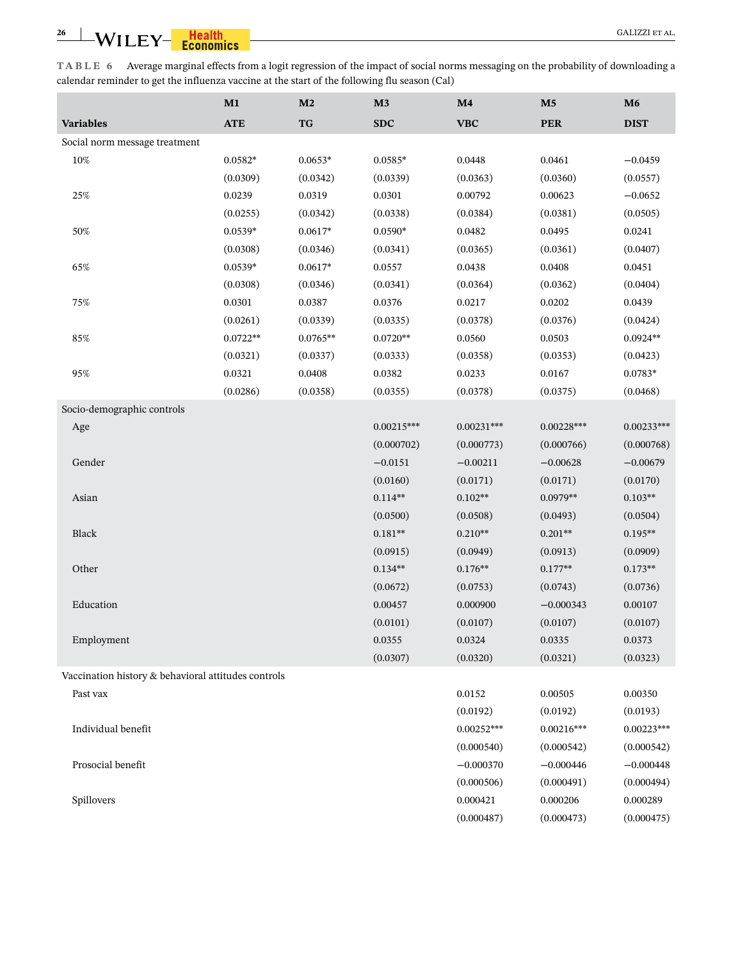<span id="page-25-0"></span>**TABLE 6** Average marginal effects from a logit regression of the impact of social norms messaging on the probability of downloading a calendar reminder to get the influenza vaccine at the start of the following flu season (Cal)

|                                                     | M1         | M <sub>2</sub> | M3           | M4           | M <sub>5</sub> | M6           |
|-----------------------------------------------------|------------|----------------|--------------|--------------|----------------|--------------|
| <b>Variables</b>                                    | <b>ATE</b> | <b>TG</b>      | <b>SDC</b>   | <b>VBC</b>   | <b>PER</b>     | <b>DIST</b>  |
| Social norm message treatment                       |            |                |              |              |                |              |
| 10%                                                 | $0.0582*$  | $0.0653*$      | $0.0585*$    | 0.0448       | 0.0461         | $-0.0459$    |
|                                                     | (0.0309)   | (0.0342)       | (0.0339)     | (0.0363)     | (0.0360)       | (0.0557)     |
| 25%                                                 | 0.0239     | 0.0319         | 0.0301       | 0.00792      | 0.00623        | $-0.0652$    |
|                                                     | (0.0255)   | (0.0342)       | (0.0338)     | (0.0384)     | (0.0381)       | (0.0505)     |
| 50%                                                 | $0.0539*$  | $0.0617*$      | 0.0590*      | 0.0482       | 0.0495         | 0.0241       |
|                                                     | (0.0308)   | (0.0346)       | (0.0341)     | (0.0365)     | (0.0361)       | (0.0407)     |
| 65%                                                 | $0.0539*$  | $0.0617*$      | 0.0557       | 0.0438       | 0.0408         | 0.0451       |
|                                                     | (0.0308)   | (0.0346)       | (0.0341)     | (0.0364)     | (0.0362)       | (0.0404)     |
| 75%                                                 | 0.0301     | 0.0387         | 0.0376       | 0.0217       | 0.0202         | 0.0439       |
|                                                     | (0.0261)   | (0.0339)       | (0.0335)     | (0.0378)     | (0.0376)       | (0.0424)     |
| 85%                                                 | $0.0722**$ | $0.0765**$     | $0.0720**$   | 0.0560       | 0.0503         | $0.0924**$   |
|                                                     | (0.0321)   | (0.0337)       | (0.0333)     | (0.0358)     | (0.0353)       | (0.0423)     |
| 95%                                                 | 0.0321     | 0.0408         | 0.0382       | 0.0233       | 0.0167         | $0.0783*$    |
|                                                     | (0.0286)   | (0.0358)       | (0.0355)     | (0.0378)     | (0.0375)       | (0.0468)     |
| Socio-demographic controls                          |            |                |              |              |                |              |
| Age                                                 |            |                | $0.00215***$ | $0.00231***$ | $0.00228***$   | $0.00233***$ |
|                                                     |            |                | (0.000702)   | (0.000773)   | (0.000766)     | (0.000768)   |
| Gender                                              |            |                | $-0.0151$    | $-0.00211$   | $-0.00628$     | $-0.00679$   |
|                                                     |            |                | (0.0160)     | (0.0171)     | (0.0171)       | (0.0170)     |
| Asian                                               |            |                | $0.114**$    | $0.102**$    | $0.0979**$     | $0.103**$    |
|                                                     |            |                | (0.0500)     | (0.0508)     | (0.0493)       | (0.0504)     |
| Black                                               |            |                | $0.181**$    | $0.210**$    | $0.201**$      | $0.195**$    |
|                                                     |            |                | (0.0915)     | (0.0949)     | (0.0913)       | (0.0909)     |
| Other                                               |            |                | $0.134**$    | $0.176**$    | $0.177**$      | $0.173**$    |
|                                                     |            |                | (0.0672)     | (0.0753)     | (0.0743)       | (0.0736)     |
| Education                                           |            |                | 0.00457      | 0.000900     | $-0.000343$    | 0.00107      |
|                                                     |            |                | (0.0101)     | (0.0107)     | (0.0107)       | (0.0107)     |
| Employment                                          |            |                | 0.0355       | 0.0324       | 0.0335         | 0.0373       |
|                                                     |            |                | (0.0307)     | (0.0320)     | (0.0321)       | (0.0323)     |
| Vaccination history & behavioral attitudes controls |            |                |              |              |                |              |
| Past vax                                            |            |                |              | 0.0152       | 0.00505        | 0.00350      |
|                                                     |            |                |              | (0.0192)     | (0.0192)       | (0.0193)     |
| Individual benefit                                  |            |                |              | $0.00252***$ | $0.00216***$   | $0.00223***$ |
|                                                     |            |                |              | (0.000540)   | (0.000542)     | (0.000542)   |
| Prosocial benefit                                   |            |                |              | $-0.000370$  | $-0.000446$    | $-0.000448$  |
|                                                     |            |                |              | (0.000506)   | (0.000491)     | (0.000494)   |
| Spillovers                                          |            |                |              | 0.000421     | 0.000206       | 0.000289     |
|                                                     |            |                |              | (0.000487)   | (0.000473)     | (0.000475)   |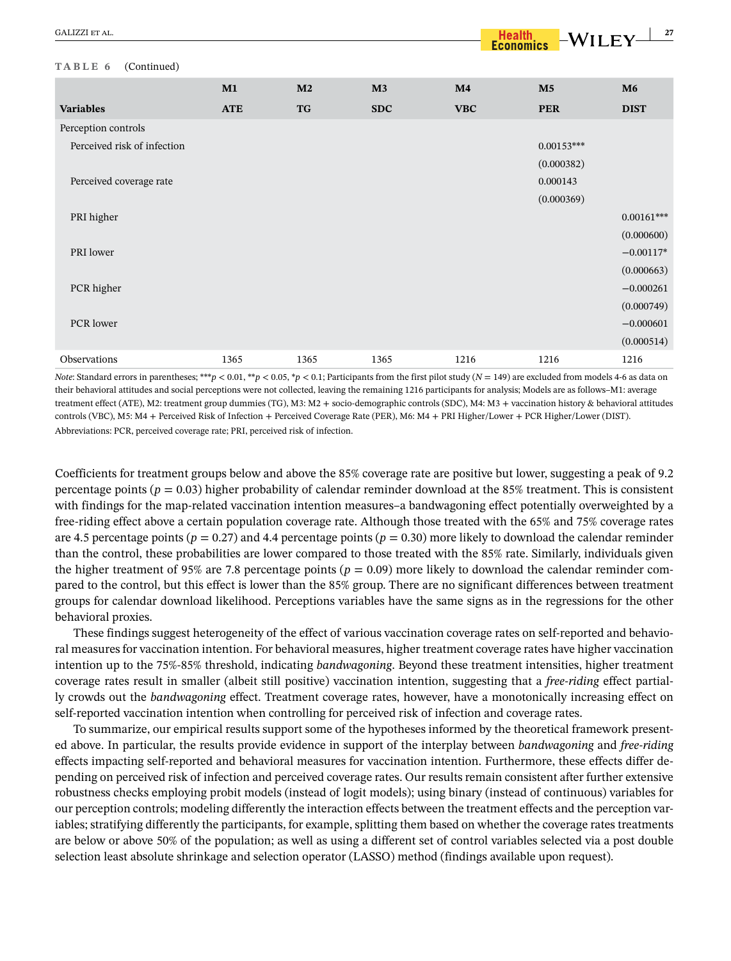#### **TABLE 6** (Continued)

|                             | M1         | M <sub>2</sub> | M3         | M4         | M <sub>5</sub> | M6           |
|-----------------------------|------------|----------------|------------|------------|----------------|--------------|
| <b>Variables</b>            | <b>ATE</b> | <b>TG</b>      | <b>SDC</b> | <b>VBC</b> | <b>PER</b>     | <b>DIST</b>  |
| Perception controls         |            |                |            |            |                |              |
| Perceived risk of infection |            |                |            |            | $0.00153***$   |              |
|                             |            |                |            |            | (0.000382)     |              |
| Perceived coverage rate     |            |                |            |            | 0.000143       |              |
|                             |            |                |            |            | (0.000369)     |              |
| PRI higher                  |            |                |            |            |                | $0.00161***$ |
|                             |            |                |            |            |                | (0.000600)   |
| PRI lower                   |            |                |            |            |                | $-0.00117*$  |
|                             |            |                |            |            |                | (0.000663)   |
| PCR higher                  |            |                |            |            |                | $-0.000261$  |
|                             |            |                |            |            |                | (0.000749)   |
| PCR lower                   |            |                |            |            |                | $-0.000601$  |
|                             |            |                |            |            |                | (0.000514)   |
| Observations                | 1365       | 1365           | 1365       | 1216       | 1216           | 1216         |

*Note*: Standard errors in parentheses; \*\*\**p* < 0.01, \*\**p* < 0.05, \**p* < 0.1; Participants from the first pilot study ( $N = 149$ ) are excluded from models 4-6 as data on their behavioral attitudes and social perceptions were not collected, leaving the remaining 1216 participants for analysis; Models are as follows–M1: average treatment effect (ATE), M2: treatment group dummies (TG), M3: M2 + socio-demographic controls (SDC), M4: M3 + vaccination history & behavioral attitudes controls (VBC), M5: M4 + Perceived Risk of Infection + Perceived Coverage Rate (PER), M6: M4 + PRI Higher/Lower + PCR Higher/Lower (DIST). Abbreviations: PCR, perceived coverage rate; PRI, perceived risk of infection.

Coefficients for treatment groups below and above the 85% coverage rate are positive but lower, suggesting a peak of 9.2 percentage points ( $p = 0.03$ ) higher probability of calendar reminder download at the 85% treatment. This is consistent with findings for the map-related vaccination intention measures–a bandwagoning effect potentially overweighted by a free-riding effect above a certain population coverage rate. Although those treated with the 65% and 75% coverage rates are 4.5 percentage points ( $p = 0.27$ ) and 4.4 percentage points ( $p = 0.30$ ) more likely to download the calendar reminder than the control, these probabilities are lower compared to those treated with the 85% rate. Similarly, individuals given the higher treatment of 95% are 7.8 percentage points ( $p = 0.09$ ) more likely to download the calendar reminder compared to the control, but this effect is lower than the 85% group. There are no significant differences between treatment groups for calendar download likelihood. Perceptions variables have the same signs as in the regressions for the other behavioral proxies.

These findings suggest heterogeneity of the effect of various vaccination coverage rates on self-reported and behavioral measures for vaccination intention. For behavioral measures, higher treatment coverage rates have higher vaccination intention up to the 75%-85% threshold, indicating *bandwagoning*. Beyond these treatment intensities, higher treatment coverage rates result in smaller (albeit still positive) vaccination intention, suggesting that a *free-riding* effect partially crowds out the *bandwagoning* effect. Treatment coverage rates, however, have a monotonically increasing effect on self-reported vaccination intention when controlling for perceived risk of infection and coverage rates.

To summarize, our empirical results support some of the hypotheses informed by the theoretical framework presented above. In particular, the results provide evidence in support of the interplay between *bandwagoning* and *free-riding* effects impacting self-reported and behavioral measures for vaccination intention. Furthermore, these effects differ depending on perceived risk of infection and perceived coverage rates. Our results remain consistent after further extensive robustness checks employing probit models (instead of logit models); using binary (instead of continuous) variables for our perception controls; modeling differently the interaction effects between the treatment effects and the perception variables; stratifying differently the participants, for example, splitting them based on whether the coverage rates treatments are below or above 50% of the population; as well as using a different set of control variables selected via a post double selection least absolute shrinkage and selection operator (LASSO) method (findings available upon request).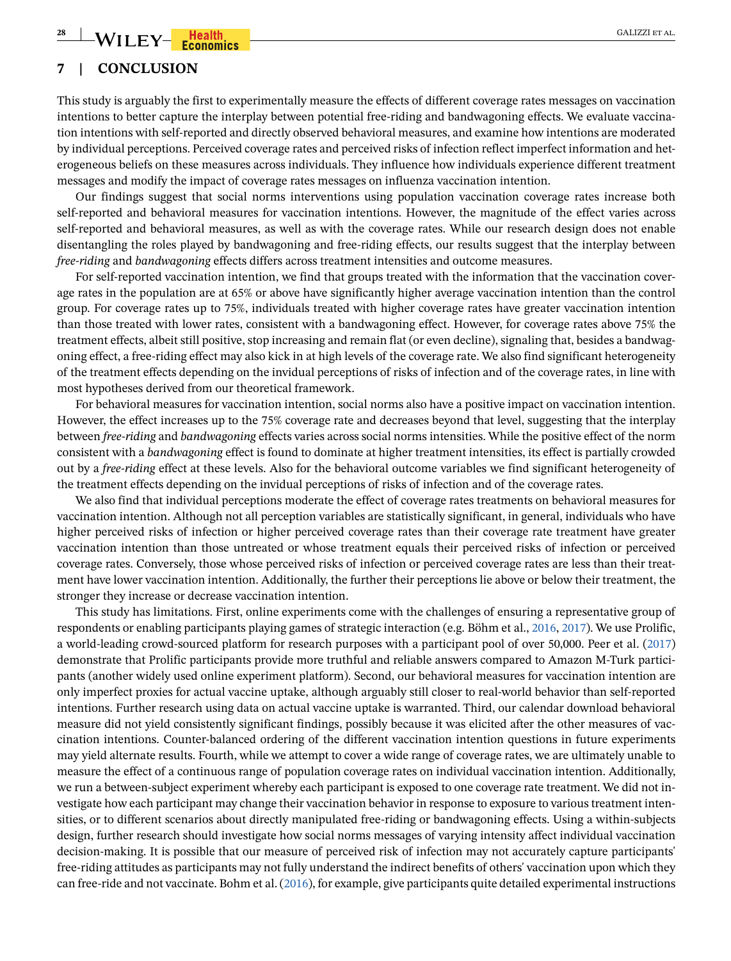# $\frac{1}{2}$  WILEY-**Health 28 Economics Example 20 CALIZZI ET AL.**

# <span id="page-27-0"></span>**7 | CONCLUSION**

This study is arguably the first to experimentally measure the effects of different coverage rates messages on vaccination intentions to better capture the interplay between potential free-riding and bandwagoning effects. We evaluate vaccination intentions with self-reported and directly observed behavioral measures, and examine how intentions are moderated by individual perceptions. Perceived coverage rates and perceived risks of infection reflect imperfect information and heterogeneous beliefs on these measures across individuals. They influence how individuals experience different treatment messages and modify the impact of coverage rates messages on influenza vaccination intention.

Our findings suggest that social norms interventions using population vaccination coverage rates increase both self-reported and behavioral measures for vaccination intentions. However, the magnitude of the effect varies across self-reported and behavioral measures, as well as with the coverage rates. While our research design does not enable disentangling the roles played by bandwagoning and free-riding effects, our results suggest that the interplay between *free-riding* and *bandwagoning* effects differs across treatment intensities and outcome measures.

For self-reported vaccination intention, we find that groups treated with the information that the vaccination coverage rates in the population are at 65% or above have significantly higher average vaccination intention than the control group. For coverage rates up to 75%, individuals treated with higher coverage rates have greater vaccination intention than those treated with lower rates, consistent with a bandwagoning effect. However, for coverage rates above 75% the treatment effects, albeit still positive, stop increasing and remain flat (or even decline), signaling that, besides a bandwagoning effect, a free-riding effect may also kick in at high levels of the coverage rate. We also find significant heterogeneity of the treatment effects depending on the invidual perceptions of risks of infection and of the coverage rates, in line with most hypotheses derived from our theoretical framework.

For behavioral measures for vaccination intention, social norms also have a positive impact on vaccination intention. However, the effect increases up to the 75% coverage rate and decreases beyond that level, suggesting that the interplay between *free-riding* and *bandwagoning* effects varies across social norms intensities. While the positive effect of the norm consistent with a *bandwagoning* effect is found to dominate at higher treatment intensities, its effect is partially crowded out by a *free-riding* effect at these levels. Also for the behavioral outcome variables we find significant heterogeneity of the treatment effects depending on the invidual perceptions of risks of infection and of the coverage rates.

We also find that individual perceptions moderate the effect of coverage rates treatments on behavioral measures for vaccination intention. Although not all perception variables are statistically significant, in general, individuals who have higher perceived risks of infection or higher perceived coverage rates than their coverage rate treatment have greater vaccination intention than those untreated or whose treatment equals their perceived risks of infection or perceived coverage rates. Conversely, those whose perceived risks of infection or perceived coverage rates are less than their treatment have lower vaccination intention. Additionally, the further their perceptions lie above or below their treatment, the stronger they increase or decrease vaccination intention.

This study has limitations. First, online experiments come with the challenges of ensuring a representative group of respondents or enabling participants playing games of strategic interaction (e.g. Böhm et al., [2016](#page-29-1), [2017\)](#page-29-11). We use Prolific, a world-leading crowd-sourced platform for research purposes with a participant pool of over 50,000. Peer et al. [\(2017](#page-31-26)) demonstrate that Prolific participants provide more truthful and reliable answers compared to Amazon M-Turk participants (another widely used online experiment platform). Second, our behavioral measures for vaccination intention are only imperfect proxies for actual vaccine uptake, although arguably still closer to real-world behavior than self-reported intentions. Further research using data on actual vaccine uptake is warranted. Third, our calendar download behavioral measure did not yield consistently significant findings, possibly because it was elicited after the other measures of vaccination intentions. Counter-balanced ordering of the different vaccination intention questions in future experiments may yield alternate results. Fourth, while we attempt to cover a wide range of coverage rates, we are ultimately unable to measure the effect of a continuous range of population coverage rates on individual vaccination intention. Additionally, we run a between-subject experiment whereby each participant is exposed to one coverage rate treatment. We did not investigate how each participant may change their vaccination behavior in response to exposure to various treatment intensities, or to different scenarios about directly manipulated free-riding or bandwagoning effects. Using a within-subjects design, further research should investigate how social norms messages of varying intensity affect individual vaccination decision-making. It is possible that our measure of perceived risk of infection may not accurately capture participants' free-riding attitudes as participants may not fully understand the indirect benefits of others' vaccination upon which they can free-ride and not vaccinate. Bohm et al. [\(2016](#page-29-1)), for example, give participants quite detailed experimental instructions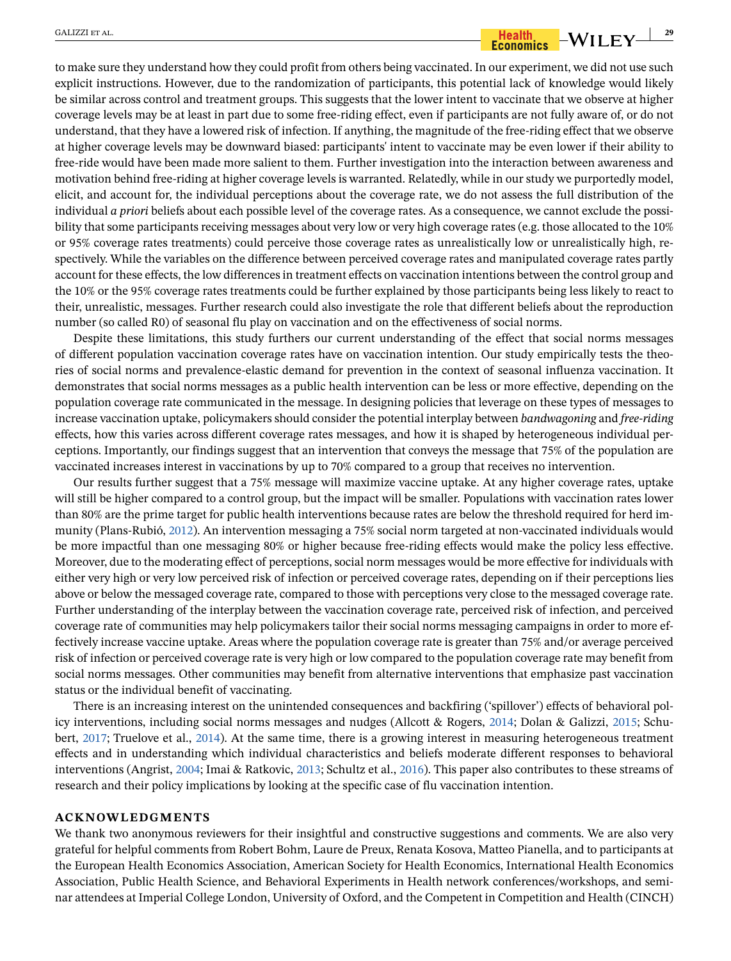$\frac{GALIZZI ETAL}{E}$   $-WILEY$   $\frac{1}{29}$ 

to make sure they understand how they could profit from others being vaccinated. In our experiment, we did not use such explicit instructions. However, due to the randomization of participants, this potential lack of knowledge would likely be similar across control and treatment groups. This suggests that the lower intent to vaccinate that we observe at higher coverage levels may be at least in part due to some free-riding effect, even if participants are not fully aware of, or do not understand, that they have a lowered risk of infection. If anything, the magnitude of the free-riding effect that we observe at higher coverage levels may be downward biased: participants' intent to vaccinate may be even lower if their ability to free-ride would have been made more salient to them. Further investigation into the interaction between awareness and motivation behind free-riding at higher coverage levels is warranted. Relatedly, while in our study we purportedly model, elicit, and account for, the individual perceptions about the coverage rate, we do not assess the full distribution of the individual *a priori* beliefs about each possible level of the coverage rates. As a consequence, we cannot exclude the possibility that some participants receiving messages about very low or very high coverage rates (e.g. those allocated to the 10% or 95% coverage rates treatments) could perceive those coverage rates as unrealistically low or unrealistically high, respectively. While the variables on the difference between perceived coverage rates and manipulated coverage rates partly account for these effects, the low differences in treatment effects on vaccination intentions between the control group and the 10% or the 95% coverage rates treatments could be further explained by those participants being less likely to react to their, unrealistic, messages. Further research could also investigate the role that different beliefs about the reproduction number (so called R0) of seasonal flu play on vaccination and on the effectiveness of social norms.

Despite these limitations, this study furthers our current understanding of the effect that social norms messages of different population vaccination coverage rates have on vaccination intention. Our study empirically tests the theories of social norms and prevalence-elastic demand for prevention in the context of seasonal influenza vaccination. It demonstrates that social norms messages as a public health intervention can be less or more effective, depending on the population coverage rate communicated in the message. In designing policies that leverage on these types of messages to increase vaccination uptake, policymakers should consider the potential interplay between *bandwagoning* and *free-riding* effects, how this varies across different coverage rates messages, and how it is shaped by heterogeneous individual perceptions. Importantly, our findings suggest that an intervention that conveys the message that 75% of the population are vaccinated increases interest in vaccinations by up to 70% compared to a group that receives no intervention.

Our results further suggest that a 75% message will maximize vaccine uptake. At any higher coverage rates, uptake will still be higher compared to a control group, but the impact will be smaller. Populations with vaccination rates lower than 80% are the prime target for public health interventions because rates are below the threshold required for herd immunity (Plans-Rubió, [2012](#page-31-27)). An intervention messaging a 75% social norm targeted at non-vaccinated individuals would be more impactful than one messaging 80% or higher because free-riding effects would make the policy less effective. Moreover, due to the moderating effect of perceptions, social norm messages would be more effective for individuals with either very high or very low perceived risk of infection or perceived coverage rates, depending on if their perceptions lies above or below the messaged coverage rate, compared to those with perceptions very close to the messaged coverage rate. Further understanding of the interplay between the vaccination coverage rate, perceived risk of infection, and perceived coverage rate of communities may help policymakers tailor their social norms messaging campaigns in order to more effectively increase vaccine uptake. Areas where the population coverage rate is greater than 75% and/or average perceived risk of infection or perceived coverage rate is very high or low compared to the population coverage rate may benefit from social norms messages. Other communities may benefit from alternative interventions that emphasize past vaccination status or the individual benefit of vaccinating.

There is an increasing interest on the unintended consequences and backfiring ('spillover') effects of behavioral policy interventions, including social norms messages and nudges (Allcott & Rogers, [2014;](#page-29-12) Dolan & Galizzi, [2015](#page-30-31); Schubert, [2017](#page-31-28); Truelove et al., [2014](#page-31-29)). At the same time, there is a growing interest in measuring heterogeneous treatment effects and in understanding which individual characteristics and beliefs moderate different responses to behavioral interventions (Angrist, [2004](#page-29-13); Imai & Ratkovic, [2013](#page-30-32); Schultz et al., [2016](#page-31-30)). This paper also contributes to these streams of research and their policy implications by looking at the specific case of flu vaccination intention.

#### **ACKNOWLEDGMENTS**

We thank two anonymous reviewers for their insightful and constructive suggestions and comments. We are also very grateful for helpful comments from Robert Bohm, Laure de Preux, Renata Kosova, Matteo Pianella, and to participants at the European Health Economics Association, American Society for Health Economics, International Health Economics Association, Public Health Science, and Behavioral Experiments in Health network conferences/workshops, and seminar attendees at Imperial College London, University of Oxford, and the Competent in Competition and Health (CINCH)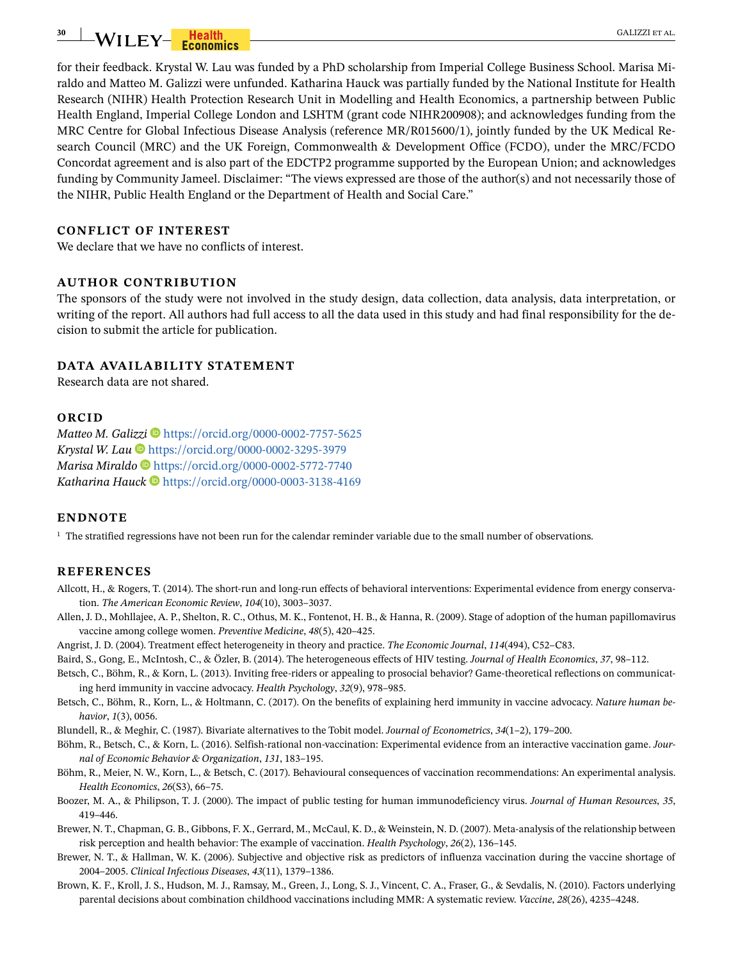# **30** WILEY-**Health** GALIZZI ET AL.

for their feedback. Krystal W. Lau was funded by a PhD scholarship from Imperial College Business School. Marisa Miraldo and Matteo M. Galizzi were unfunded. Katharina Hauck was partially funded by the National Institute for Health Research (NIHR) Health Protection Research Unit in Modelling and Health Economics, a partnership between Public Health England, Imperial College London and LSHTM (grant code NIHR200908); and acknowledges funding from the MRC Centre for Global Infectious Disease Analysis (reference MR/R015600/1), jointly funded by the UK Medical Research Council (MRC) and the UK Foreign, Commonwealth & Development Office (FCDO), under the MRC/FCDO Concordat agreement and is also part of the EDCTP2 programme supported by the European Union; and acknowledges funding by Community Jameel. Disclaimer: "The views expressed are those of the author(s) and not necessarily those of the NIHR, Public Health England or the Department of Health and Social Care."

#### **CONFLICT OF INTEREST**

We declare that we have no conflicts of interest.

#### **AUTHOR CONTRIBUTION**

The sponsors of the study were not involved in the study design, data collection, data analysis, data interpretation, or writing of the report. All authors had full access to all the data used in this study and had final responsibility for the decision to submit the article for publication.

#### **DATA AVAILABILITY STATEMENT**

Research data are not shared.

#### **ORCID**

*Matteo M. Galizzi* <sup>D</sup> <https://orcid.org/0000-0002-7757-5625> *Krystal W. Lau* <https://orcid.org/0000-0002-3295-3979> *Marisa Miraldo* <https://orcid.org/0000-0002-5772-7740> *Katharina Hauck* <https://orcid.org/0000-0003-3138-4169>

#### **ENDNOTE**

<span id="page-29-10"></span> $^{\rm 1}$  The stratified regressions have not been run for the calendar reminder variable due to the small number of observations.

#### **REFERENCES**

- <span id="page-29-12"></span>Allcott, H., & Rogers, T. (2014). The short-run and long-run effects of behavioral interventions: Experimental evidence from energy conservation. *The American Economic Review*, *104*(10), 3003–3037.
- <span id="page-29-0"></span>Allen, J. D., Mohllajee, A. P., Shelton, R. C., Othus, M. K., Fontenot, H. B., & Hanna, R. (2009). Stage of adoption of the human papillomavirus vaccine among college women. *Preventive Medicine*, *48*(5), 420–425.
- <span id="page-29-13"></span>Angrist, J. D. (2004). Treatment effect heterogeneity in theory and practice. *The Economic Journal*, *114*(494), C52–C83.
- <span id="page-29-2"></span>Baird, S., Gong, E., McIntosh, C., & Özler, B. (2014). The heterogeneous effects of HIV testing. *Journal of Health Economics*, *37*, 98–112.
- <span id="page-29-6"></span>Betsch, C., Böhm, R., & Korn, L. (2013). Inviting free-riders or appealing to prosocial behavior? Game-theoretical reflections on communicating herd immunity in vaccine advocacy. *Health Psychology*, *32*(9), 978–985.
- <span id="page-29-7"></span>Betsch, C., Böhm, R., Korn, L., & Holtmann, C. (2017). On the benefits of explaining herd immunity in vaccine advocacy. *Nature human behavior*, *1*(3), 0056.
- <span id="page-29-9"></span>Blundell, R., & Meghir, C. (1987). Bivariate alternatives to the Tobit model. *Journal of Econometrics*, *34*(1–2), 179–200.
- <span id="page-29-1"></span>Böhm, R., Betsch, C., & Korn, L. (2016). Selfish-rational non-vaccination: Experimental evidence from an interactive vaccination game. *Journal of Economic Behavior & Organization*, *131*, 183–195.
- <span id="page-29-11"></span>Böhm, R., Meier, N. W., Korn, L., & Betsch, C. (2017). Behavioural consequences of vaccination recommendations: An experimental analysis. *Health Economics*, *26*(S3), 66–75.
- <span id="page-29-3"></span>Boozer, M. A., & Philipson, T. J. (2000). The impact of public testing for human immunodeficiency virus. *Journal of Human Resources*, *35*, 419–446.
- <span id="page-29-5"></span>Brewer, N. T., Chapman, G. B., Gibbons, F. X., Gerrard, M., McCaul, K. D., & Weinstein, N. D. (2007). Meta-analysis of the relationship between risk perception and health behavior: The example of vaccination. *Health Psychology*, *26*(2), 136–145.
- <span id="page-29-4"></span>Brewer, N. T., & Hallman, W. K. (2006). Subjective and objective risk as predictors of influenza vaccination during the vaccine shortage of 2004–2005. *Clinical Infectious Diseases*, *43*(11), 1379–1386.
- <span id="page-29-8"></span>Brown, K. F., Kroll, J. S., Hudson, M. J., Ramsay, M., Green, J., Long, S. J., Vincent, C. A., Fraser, G., & Sevdalis, N. (2010). Factors underlying parental decisions about combination childhood vaccinations including MMR: A systematic review. *Vaccine*, *28*(26), 4235–4248.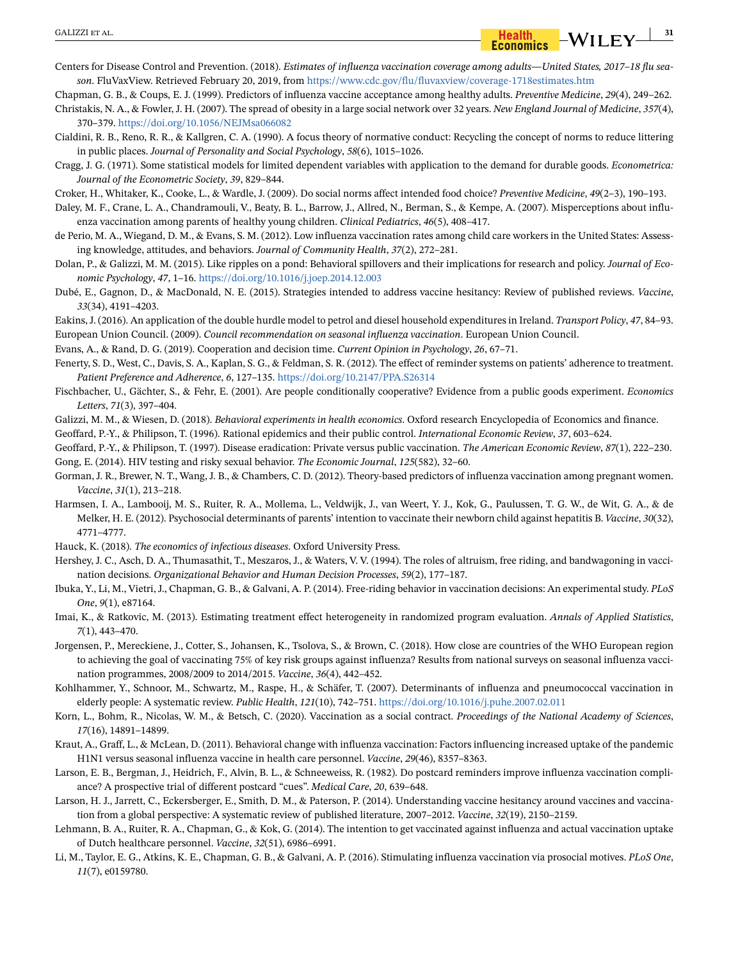- <span id="page-30-2"></span>Centers for Disease Control and Prevention. (2018). *Estimates of influenza vaccination coverage among adults—United States, 2017–18 flu season*. FluVaxView. Retrieved February 20, 2019, from<https://www.cdc.gov/flu/fluvaxview/coverage-1718estimates.htm>
- <span id="page-30-15"></span>Chapman, G. B., & Coups, E. J. (1999). Predictors of influenza vaccine acceptance among healthy adults. *Preventive Medicine*, *29*(4), 249–262.
- <span id="page-30-13"></span>Christakis, N. A., & Fowler, J. H. (2007). The spread of obesity in a large social network over 32 years. *New England Journal of Medicine*, *357*(4), 370–379.<https://doi.org/10.1056/NEJMsa066082>
- <span id="page-30-5"></span>Cialdini, R. B., Reno, R. R., & Kallgren, C. A. (1990). A focus theory of normative conduct: Recycling the concept of norms to reduce littering in public places. *Journal of Personality and Social Psychology*, *58*(6), 1015–1026.
- <span id="page-30-29"></span>Cragg, J. G. (1971). Some statistical models for limited dependent variables with application to the demand for durable goods. *Econometrica: Journal of the Econometric Society*, *39*, 829–844.
- <span id="page-30-14"></span>Croker, H., Whitaker, K., Cooke, L., & Wardle, J. (2009). Do social norms affect intended food choice? *Preventive Medicine*, *49*(2–3), 190–193.
- <span id="page-30-18"></span>Daley, M. F., Crane, L. A., Chandramouli, V., Beaty, B. L., Barrow, J., Allred, N., Berman, S., & Kempe, A. (2007). Misperceptions about influenza vaccination among parents of healthy young children. *Clinical Pediatrics*, *46*(5), 408–417.
- <span id="page-30-16"></span>de Perio, M. A., Wiegand, D. M., & Evans, S. M. (2012). Low influenza vaccination rates among child care workers in the United States: Assessing knowledge, attitudes, and behaviors. *Journal of Community Health*, *37*(2), 272–281.
- <span id="page-30-31"></span>Dolan, P., & Galizzi, M. M. (2015). Like ripples on a pond: Behavioral spillovers and their implications for research and policy. *Journal of Economic Psychology*, *47*, 1–16. <https://doi.org/10.1016/j.joep.2014.12.003>
- <span id="page-30-3"></span>Dubé, E., Gagnon, D., & MacDonald, N. E. (2015). Strategies intended to address vaccine hesitancy: Review of published reviews. *Vaccine*, *33*(34), 4191–4203.
- <span id="page-30-30"></span>Eakins, J. (2016). An application of the double hurdle model to petrol and diesel household expenditures in Ireland. *Transport Policy*, *47*, 84–93.
- <span id="page-30-1"></span>European Union Council. (2009). *Council recommendation on seasonal influenza vaccination*. European Union Council.
- <span id="page-30-24"></span>Evans, A., & Rand, D. G. (2019). Cooperation and decision time. *Current Opinion in Psychology*, *26*, 67–71.
- <span id="page-30-25"></span>Fenerty, S. D., West, C., Davis, S. A., Kaplan, S. G., & Feldman, S. R. (2012). The effect of reminder systems on patients' adherence to treatment. *Patient Preference and Adherence*, *6*, 127–135.<https://doi.org/10.2147/PPA.S26314>
- <span id="page-30-21"></span>Fischbacher, U., Gächter, S., & Fehr, E. (2001). Are people conditionally cooperative? Evidence from a public goods experiment. *Economics Letters*, *71*(3), 397–404.
- <span id="page-30-12"></span>Galizzi, M. M., & Wiesen, D. (2018). *Behavioral experiments in health economics*. Oxford research Encyclopedia of Economics and finance.
- <span id="page-30-6"></span>Geoffard, P.-Y., & Philipson, T. (1996). Rational epidemics and their public control. *International Economic Review*, *37*, 603–624.
- <span id="page-30-22"></span><span id="page-30-7"></span>Geoffard, P.-Y., & Philipson, T. (1997). Disease eradication: Private versus public vaccination. *The American Economic Review*, *87*(1), 222–230. Gong, E. (2014). HIV testing and risky sexual behavior. *The Economic Journal*, *125*(582), 32–60.
- <span id="page-30-10"></span>Gorman, J. R., Brewer, N. T., Wang, J. B., & Chambers, C. D. (2012). Theory-based predictors of influenza vaccination among pregnant women. *Vaccine*, *31*(1), 213–218.
- <span id="page-30-19"></span>Harmsen, I. A., Lambooij, M. S., Ruiter, R. A., Mollema, L., Veldwijk, J., van Weert, Y. J., Kok, G., Paulussen, T. G. W., de Wit, G. A., & de Melker, H. E. (2012). Psychosocial determinants of parents' intention to vaccinate their newborn child against hepatitis B. *Vaccine*, *30*(32), 4771–4777.
- <span id="page-30-8"></span>Hauck, K. (2018). *The economics of infectious diseases*. Oxford University Press.
- <span id="page-30-20"></span>Hershey, J. C., Asch, D. A., Thumasathit, T., Meszaros, J., & Waters, V. V. (1994). The roles of altruism, free riding, and bandwagoning in vaccination decisions. *Organizational Behavior and Human Decision Processes*, *59*(2), 177–187.
- <span id="page-30-9"></span>Ibuka, Y., Li, M., Vietri, J., Chapman, G. B., & Galvani, A. P. (2014). Free-riding behavior in vaccination decisions: An experimental study. *PLoS One*, *9*(1), e87164.
- <span id="page-30-32"></span>Imai, K., & Ratkovic, M. (2013). Estimating treatment effect heterogeneity in randomized program evaluation. *Annals of Applied Statistics*, *7*(1), 443–470.
- <span id="page-30-0"></span>Jorgensen, P., Mereckiene, J., Cotter, S., Johansen, K., Tsolova, S., & Brown, C. (2018). How close are countries of the WHO European region to achieving the goal of vaccinating 75% of key risk groups against influenza? Results from national surveys on seasonal influenza vaccination programmes, 2008/2009 to 2014/2015. *Vaccine*, *36*(4), 442–452.
- <span id="page-30-27"></span>Kohlhammer, Y., Schnoor, M., Schwartz, M., Raspe, H., & Schäfer, T. (2007). Determinants of influenza and pneumococcal vaccination in elderly people: A systematic review. *Public Health*, *121*(10), 742–751. <https://doi.org/10.1016/j.puhe.2007.02.011>
- <span id="page-30-4"></span>Korn, L., Bohm, R., Nicolas, W. M., & Betsch, C. (2020). Vaccination as a social contract. *Proceedings of the National Academy of Sciences*, *17*(16), 14891–14899.
- <span id="page-30-17"></span>Kraut, A., Graff, L., & McLean, D. (2011). Behavioral change with influenza vaccination: Factors influencing increased uptake of the pandemic H1N1 versus seasonal influenza vaccine in health care personnel. *Vaccine*, *29*(46), 8357–8363.
- <span id="page-30-26"></span>Larson, E. B., Bergman, J., Heidrich, F., Alvin, B. L., & Schneeweiss, R. (1982). Do postcard reminders improve influenza vaccination compliance? A prospective trial of different postcard "cues". *Medical Care*, *20*, 639–648.
- <span id="page-30-28"></span>Larson, H. J., Jarrett, C., Eckersberger, E., Smith, D. M., & Paterson, P. (2014). Understanding vaccine hesitancy around vaccines and vaccination from a global perspective: A systematic review of published literature, 2007–2012. *Vaccine*, *32*(19), 2150–2159.
- <span id="page-30-11"></span>Lehmann, B. A., Ruiter, R. A., Chapman, G., & Kok, G. (2014). The intention to get vaccinated against influenza and actual vaccination uptake of Dutch healthcare personnel. *Vaccine*, *32*(51), 6986–6991.
- <span id="page-30-23"></span>Li, M., Taylor, E. G., Atkins, K. E., Chapman, G. B., & Galvani, A. P. (2016). Stimulating influenza vaccination via prosocial motives. *PLoS One*, *11*(7), e0159780.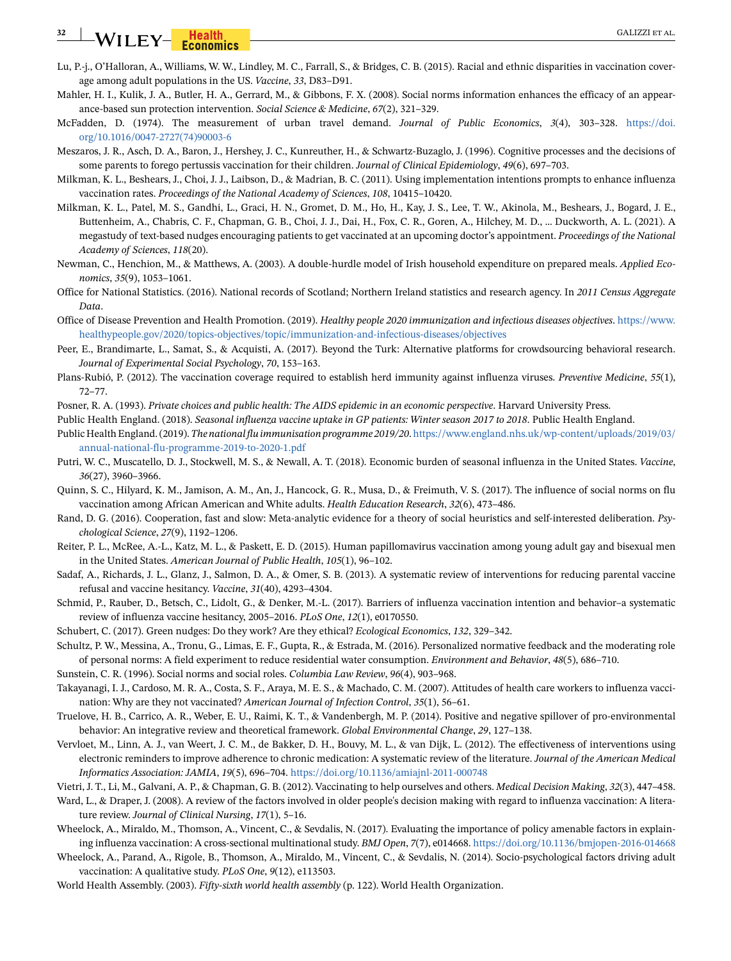# **32** WILEY-**Fiealth CALIZZI ET AL.**

- <span id="page-31-18"></span>Lu, P.-j., O'Halloran, A., Williams, W. W., Lindley, M. C., Farrall, S., & Bridges, C. B. (2015). Racial and ethnic disparities in vaccination coverage among adult populations in the US. *Vaccine*, *33*, D83–D91.
- <span id="page-31-13"></span>Mahler, H. I., Kulik, J. A., Butler, H. A., Gerrard, M., & Gibbons, F. X. (2008). Social norms information enhances the efficacy of an appearance-based sun protection intervention. *Social Science & Medicine*, *67*(2), 321–329.
- <span id="page-31-15"></span>McFadden, D. (1974). The measurement of urban travel demand. *Journal of Public Economics*, *3*(4), 303–328. [https://doi.](https://doi.org/10.1016/0047-2727(74)90003-6) [org/10.1016/0047-2727\(74\)90003-6](https://doi.org/10.1016/0047-2727(74)90003-6)
- <span id="page-31-23"></span>Meszaros, J. R., Asch, D. A., Baron, J., Hershey, J. C., Kunreuther, H., & Schwartz-Buzaglo, J. (1996). Cognitive processes and the decisions of some parents to forego pertussis vaccination for their children. *Journal of Clinical Epidemiology*, *49*(6), 697–703.
- <span id="page-31-6"></span>Milkman, K. L., Beshears, J., Choi, J. J., Laibson, D., & Madrian, B. C. (2011). Using implementation intentions prompts to enhance influenza vaccination rates. *Proceedings of the National Academy of Sciences*, *108*, 10415–10420.
- <span id="page-31-7"></span>Milkman, K. L., Patel, M. S., Gandhi, L., Graci, H. N., Gromet, D. M., Ho, H., Kay, J. S., Lee, T. W., Akinola, M., Beshears, J., Bogard, J. E., Buttenheim, A., Chabris, C. F., Chapman, G. B., Choi, J. J., Dai, H., Fox, C. R., Goren, A., Hilchey, M. D., … Duckworth, A. L. (2021). A megastudy of text-based nudges encouraging patients to get vaccinated at an upcoming doctor's appointment. *Proceedings of the National Academy of Sciences*, *118*(20).
- <span id="page-31-24"></span>Newman, C., Henchion, M., & Matthews, A. (2003). A double-hurdle model of Irish household expenditure on prepared meals. *Applied Economics*, *35*(9), 1053–1061.
- <span id="page-31-25"></span>Office for National Statistics. (2016). National records of Scotland; Northern Ireland statistics and research agency. In *2011 Census Aggregate Data*.
- <span id="page-31-4"></span>Office of Disease Prevention and Health Promotion. (2019). *Healthy people 2020 immunization and infectious diseases objectives*. [https://www.](https://www.healthypeople.gov/2020/topics-objectives/topic/immunization-and-infectious-diseases/objectives) [healthypeople.gov/2020/topics-objectives/topic/immunization-and-infectious-diseases/objectives](https://www.healthypeople.gov/2020/topics-objectives/topic/immunization-and-infectious-diseases/objectives)
- <span id="page-31-26"></span>Peer, E., Brandimarte, L., Samat, S., & Acquisti, A. (2017). Beyond the Turk: Alternative platforms for crowdsourcing behavioral research. *Journal of Experimental Social Psychology*, *70*, 153–163.
- <span id="page-31-27"></span>Plans-Rubió, P. (2012). The vaccination coverage required to establish herd immunity against influenza viruses. *Preventive Medicine*, *55*(1), 72–77.
- <span id="page-31-9"></span>Posner, R. A. (1993). *Private choices and public health: The AIDS epidemic in an economic perspective*. Harvard University Press.
- <span id="page-31-5"></span>Public Health England. (2018). *Seasonal influenza vaccine uptake in GP patients: Winter season 2017 to 2018*. Public Health England.
- <span id="page-31-3"></span>Public Health England. (2019). *The national flu immunisation programme 2019/20*. [https://www.england.nhs.uk/wp-content/uploads/2019/03/](https://www.england.nhs.uk/wp-content/uploads/2019/03/annual-national-flu-programme-2019-to-2020-1.pdf) [annual-national-flu-programme-2019-to-2020-1.pdf](https://www.england.nhs.uk/wp-content/uploads/2019/03/annual-national-flu-programme-2019-to-2020-1.pdf)
- <span id="page-31-0"></span>Putri, W. C., Muscatello, D. J., Stockwell, M. S., & Newall, A. T. (2018). Economic burden of seasonal influenza in the United States. *Vaccine*, *36*(27), 3960–3966.
- <span id="page-31-1"></span>Quinn, S. C., Hilyard, K. M., Jamison, A. M., An, J., Hancock, G. R., Musa, D., & Freimuth, V. S. (2017). The influence of social norms on flu vaccination among African American and White adults. *Health Education Research*, *32*(6), 473–486.
- <span id="page-31-16"></span>Rand, D. G. (2016). Cooperation, fast and slow: Meta-analytic evidence for a theory of social heuristics and self-interested deliberation. *Psychological Science*, *27*(9), 1192–1206.
- <span id="page-31-14"></span>Reiter, P. L., McRee, A.-L., Katz, M. L., & Paskett, E. D. (2015). Human papillomavirus vaccination among young adult gay and bisexual men in the United States. *American Journal of Public Health*, *105*(1), 96–102.
- <span id="page-31-8"></span>Sadaf, A., Richards, J. L., Glanz, J., Salmon, D. A., & Omer, S. B. (2013). A systematic review of interventions for reducing parental vaccine refusal and vaccine hesitancy. *Vaccine*, *31*(40), 4293–4304.
- <span id="page-31-19"></span>Schmid, P., Rauber, D., Betsch, C., Lidolt, G., & Denker, M.-L. (2017). Barriers of influenza vaccination intention and behavior–a systematic review of influenza vaccine hesitancy, 2005–2016. *PLoS One*, *12*(1), e0170550.
- <span id="page-31-28"></span>Schubert, C. (2017). Green nudges: Do they work? Are they ethical? *Ecological Economics*, *132*, 329–342.
- <span id="page-31-30"></span>Schultz, P. W., Messina, A., Tronu, G., Limas, E. F., Gupta, R., & Estrada, M. (2016). Personalized normative feedback and the moderating role of personal norms: A field experiment to reduce residential water consumption. *Environment and Behavior*, *48*(5), 686–710.
- <span id="page-31-12"></span>Sunstein, C. R. (1996). Social norms and social roles. *Columbia Law Review*, *96*(4), 903–968.
- <span id="page-31-11"></span>Takayanagi, I. J., Cardoso, M. R. A., Costa, S. F., Araya, M. E. S., & Machado, C. M. (2007). Attitudes of health care workers to influenza vaccination: Why are they not vaccinated? *American Journal of Infection Control*, *35*(1), 56–61.
- <span id="page-31-29"></span>Truelove, H. B., Carrico, A. R., Weber, E. U., Raimi, K. T., & Vandenbergh, M. P. (2014). Positive and negative spillover of pro-environmental behavior: An integrative review and theoretical framework. *Global Environmental Change*, *29*, 127–138.
- <span id="page-31-17"></span>Vervloet, M., Linn, A. J., van Weert, J. C. M., de Bakker, D. H., Bouvy, M. L., & van Dijk, L. (2012). The effectiveness of interventions using electronic reminders to improve adherence to chronic medication: A systematic review of the literature. *Journal of the American Medical Informatics Association: JAMIA*, *19*(5), 696–704. <https://doi.org/10.1136/amiajnl-2011-000748>
- <span id="page-31-10"></span>Vietri, J. T., Li, M., Galvani, A. P., & Chapman, G. B. (2012). Vaccinating to help ourselves and others. *Medical Decision Making*, *32*(3), 447–458.
- <span id="page-31-20"></span>Ward, L., & Draper, J. (2008). A review of the factors involved in older people's decision making with regard to influenza vaccination: A literature review. *Journal of Clinical Nursing*, *17*(1), 5–16.
- <span id="page-31-22"></span>Wheelock, A., Miraldo, M., Thomson, A., Vincent, C., & Sevdalis, N. (2017). Evaluating the importance of policy amenable factors in explaining influenza vaccination: A cross-sectional multinational study. *BMJ Open*, *7*(7), e014668. <https://doi.org/10.1136/bmjopen-2016-014668>
- <span id="page-31-21"></span>Wheelock, A., Parand, A., Rigole, B., Thomson, A., Miraldo, M., Vincent, C., & Sevdalis, N. (2014). Socio-psychological factors driving adult vaccination: A qualitative study. *PLoS One*, *9*(12), e113503.
- <span id="page-31-2"></span>World Health Assembly. (2003). *Fifty-sixth world health assembly* (p. 122). World Health Organization.